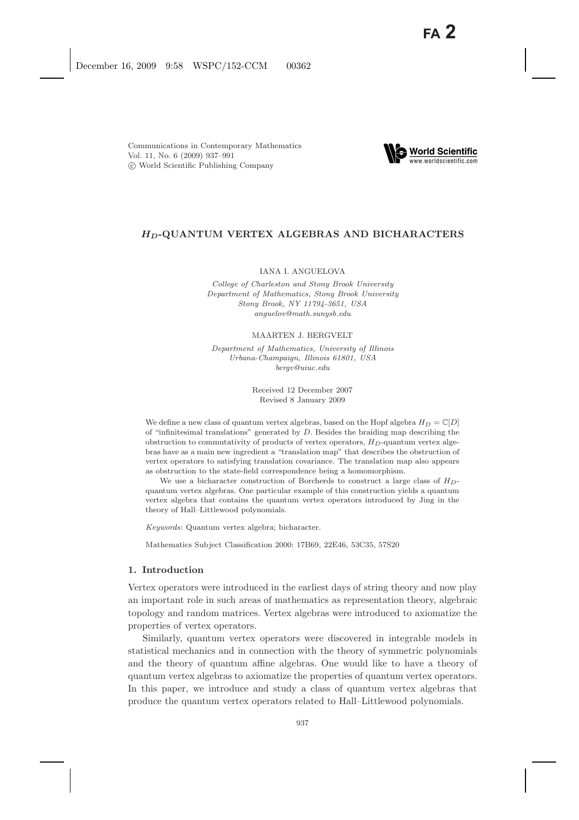

# *HD***-QUANTUM VERTEX ALGEBRAS AND BICHARACTERS**

# IANA I. ANGUELOVA

*College of Charleston and Stony Brook University Department of Mathematics, Stony Brook University Stony Brook, NY 11794-3651, USA anguelov@math.sunysb.edu*

#### MAARTEN J. BERGVELT

*Department of Mathematics, University of Illinois Urbana-Champaign, Illinois 61801, USA bergv@uiuc.edu*

> Received 12 December 2007 Revised 8 January 2009

We define a new class of quantum vertex algebras, based on the Hopf algebra  $H_D = \mathbb{C}[D]$ of "infinitesimal translations" generated by *D*. Besides the braiding map describing the obstruction to commutativity of products of vertex operators, *HD*-quantum vertex algebras have as a main new ingredient a "translation map" that describes the obstruction of vertex operators to satisfying translation covariance. The translation map also appears as obstruction to the state-field correspondence being a homomorphism.

We use a bicharacter construction of Borcherds to construct a large class of *HD*quantum vertex algebras. One particular example of this construction yields a quantum vertex algebra that contains the quantum vertex operators introduced by Jing in the theory of Hall–Littlewood polynomials.

*Keywords*: Quantum vertex algebra; bicharacter.

Mathematics Subject Classification 2000: 17B69, 22E46, 53C35, 57S20

## **1. Introduction**

Vertex operators were introduced in the earliest days of string theory and now play an important role in such areas of mathematics as representation theory, algebraic topology and random matrices. Vertex algebras were introduced to axiomatize the properties of vertex operators.

Similarly, quantum vertex operators were discovered in integrable models in statistical mechanics and in connection with the theory of symmetric polynomials and the theory of quantum affine algebras. One would like to have a theory of quantum vertex algebras to axiomatize the properties of quantum vertex operators. In this paper, we introduce and study a class of quantum vertex algebras that produce the quantum vertex operators related to Hall–Littlewood polynomials.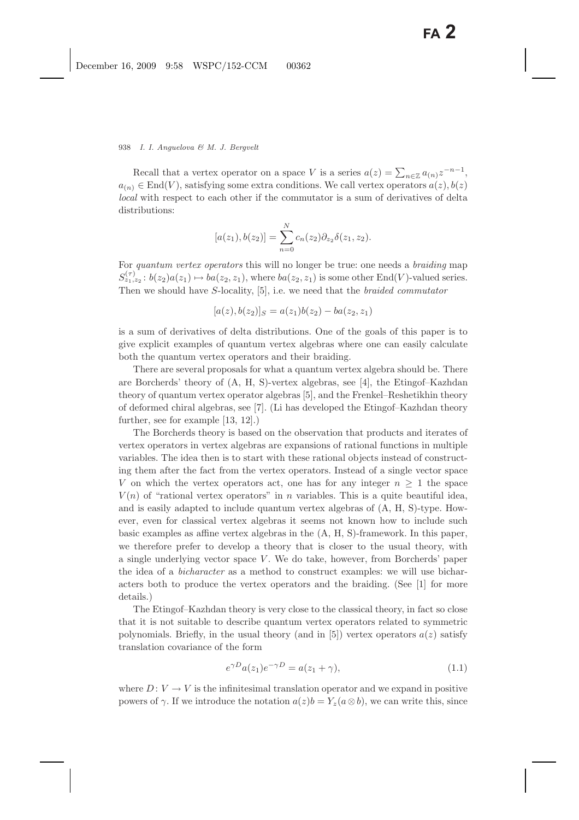Recall that a vertex operator on a space V is a series  $a(z) = \sum_{n \in \mathbb{Z}} a_{(n)} z^{-n-1}$ ,<br> $\in \text{End}(V)$  satisfying some oxtra conditions. We call vertex operators  $a(z) \, b(z)$  $a_{(n)} \in \text{End}(V)$ , satisfying some extra conditions. We call vertex operators  $a(z)$ ,  $b(z)$ *local* with respect to each other if the commutator is a sum of derivatives of delta distributions:

$$
[a(z_1), b(z_2)] = \sum_{n=0}^{N} c_n(z_2) \partial_{z_2} \delta(z_1, z_2).
$$

For *quantum vertex operators* this will no longer be true: one needs a *braiding* map  $S_{z_1,z_2}^{(\tau)}$ :  $b(z_2)a(z_1) \mapsto ba(z_2, z_1)$ , where  $ba(z_2, z_1)$  is some other End(V)-valued series. Then we should have S-locality, [5], i.e. we need that the *braided commutator*

$$
[a(z), b(z_2)]_S = a(z_1)b(z_2) - ba(z_2, z_1)
$$

is a sum of derivatives of delta distributions. One of the goals of this paper is to give explicit examples of quantum vertex algebras where one can easily calculate both the quantum vertex operators and their braiding.

There are several proposals for what a quantum vertex algebra should be. There are Borcherds' theory of (A, H, S)-vertex algebras, see [4], the Etingof–Kazhdan theory of quantum vertex operator algebras [5], and the Frenkel–Reshetikhin theory of deformed chiral algebras, see [7]. (Li has developed the Etingof–Kazhdan theory further, see for example [13, 12].)

The Borcherds theory is based on the observation that products and iterates of vertex operators in vertex algebras are expansions of rational functions in multiple variables. The idea then is to start with these rational objects instead of constructing them after the fact from the vertex operators. Instead of a single vector space V on which the vertex operators act, one has for any integer  $n \geq 1$  the space  $V(n)$  of "rational vertex operators" in n variables. This is a quite beautiful idea, and is easily adapted to include quantum vertex algebras of (A, H, S)-type. However, even for classical vertex algebras it seems not known how to include such basic examples as affine vertex algebras in the (A, H, S)-framework. In this paper, we therefore prefer to develop a theory that is closer to the usual theory, with a single underlying vector space  $V$ . We do take, however, from Borcherds' paper the idea of a *bicharacter* as a method to construct examples: we will use bicharacters both to produce the vertex operators and the braiding. (See [1] for more details.)

The Etingof–Kazhdan theory is very close to the classical theory, in fact so close that it is not suitable to describe quantum vertex operators related to symmetric polynomials. Briefly, in the usual theory (and in [5]) vertex operators  $a(z)$  satisfy translation covariance of the form

$$
e^{\gamma D}a(z_1)e^{-\gamma D} = a(z_1 + \gamma), \tag{1.1}
$$

where  $D: V \to V$  is the infinitesimal translation operator and we expand in positive powers of  $\gamma$ . If we introduce the notation  $a(z)b = Y_z(a \otimes b)$ , we can write this, since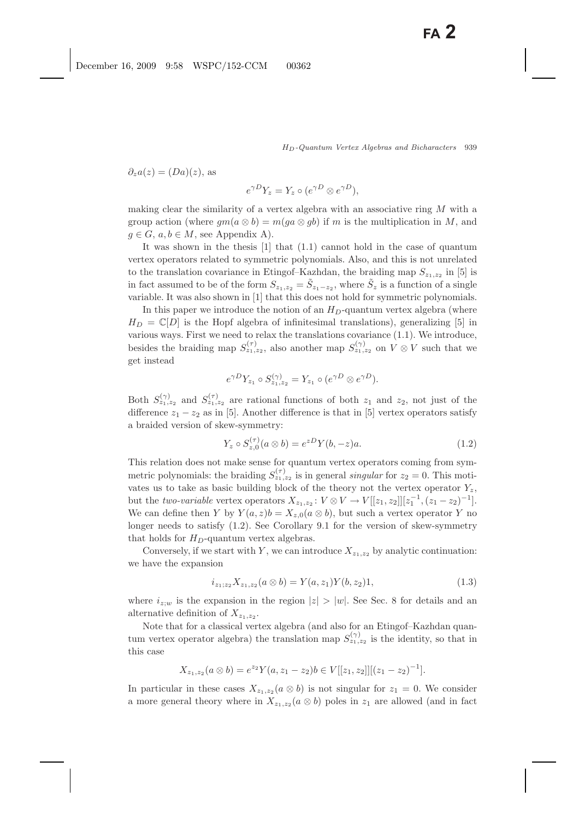$\partial_z a(z)=(Da)(z)$ , as

$$
e^{\gamma D}Y_z = Y_z \circ (e^{\gamma D} \otimes e^{\gamma D}),
$$

making clear the similarity of a vertex algebra with an associative ring M with a group action (where  $qm(a \otimes b) = m(ga \otimes gb)$ ) if m is the multiplication in M, and  $g \in G$ ,  $a, b \in M$ , see Appendix A).

It was shown in the thesis [1] that (1.1) cannot hold in the case of quantum vertex operators related to symmetric polynomials. Also, and this is not unrelated to the translation covariance in Etingof–Kazhdan, the braiding map  $S_{z_1,z_2}$  in [5] is in fact assumed to be of the form  $S_{z_1,z_2} = \tilde{S}_{z_1-z_2}$ , where  $\tilde{S}_z$  is a function of a single variable. It was also shown in [1] that this does not hold for symmetric polynomials.

In this paper we introduce the notion of an  $H_D$ -quantum vertex algebra (where  $H_D = \mathbb{C}[D]$  is the Hopf algebra of infinitesimal translations), generalizing [5] in various ways. First we need to relax the translations covariance (1.1). We introduce, besides the braiding map  $S_{z_1,z_2}^{(\tau)}$ , also another map  $S_{z_1,z_2}^{(\gamma)}$  on  $V \otimes V$  such that we get instead

$$
e^{\gamma D} Y_{z_1} \circ S_{z_1, z_2}^{(\gamma)} = Y_{z_1} \circ (e^{\gamma D} \otimes e^{\gamma D}).
$$

Both  $S_{z_1,z_2}^{(\gamma)}$  and  $S_{z_1,z_2}^{(\tau)}$  are rational functions of both  $z_1$  and  $z_2$ , not just of the difference  $z_1 - z_2$  as in [5]. Another difference is that in [5] vertex operators satisfy a braided version of skew-symmetry:

$$
Y_z \circ S_{z,0}^{(\tau)}(a \otimes b) = e^{zD} Y(b, -z)a.
$$
 (1.2)

This relation does not make sense for quantum vertex operators coming from symmetric polynomials: the braiding  $S_{z_1,z_2}^{(\tau)}$  is in general *singular* for  $z_2 = 0$ . This motivates us to take as basic building block of the theory not the vertex operator  $Y_z$ , but the *two-variable* vertex operators  $X_{z_1,z_2}: V \otimes V \to V[[z_1,z_2]][z_1^{-1}, (z_1-z_2)^{-1}].$ <br>We see define then  $V$  by  $V(z, z) = V_{-1}(z \otimes b)$ , but such a vertex operator  $V$  no We can define then Y by  $Y(a, z)b = X_{z,0}(a \otimes b)$ , but such a vertex operator Y no longer needs to satisfy (1.2). See Corollary 9.1 for the version of skew-symmetry that holds for  $H_D$ -quantum vertex algebras.

Conversely, if we start with Y, we can introduce  $X_{z_1,z_2}$  by analytic continuation: we have the expansion

$$
i_{z_1;z_2}X_{z_1,z_2}(a\otimes b) = Y(a,z_1)Y(b,z_2)1,
$$
\n(1.3)

where  $i_{z,w}$  is the expansion in the region  $|z| > |w|$ . See Sec. 8 for details and an alternative definition of  $X_{z_1,z_2}$ .

Note that for a classical vertex algebra (and also for an Etingof–Kazhdan quantum vertex operator algebra) the translation map  $S_{z_1,z_2}^{(\gamma)}$  is the identity, so that in this case

$$
X_{z_1,z_2}(a\otimes b)=e^{z_2}Y(a,z_1-z_2)b\in V[[z_1,z_2]][(z_1-z_2)^{-1}].
$$

In particular in these cases  $X_{z_1,z_2} (a \otimes b)$  is not singular for  $z_1 = 0$ . We consider a more general theory where in  $X_{z_1,z_2}$  ( $a \otimes b$ ) poles in  $z_1$  are allowed (and in fact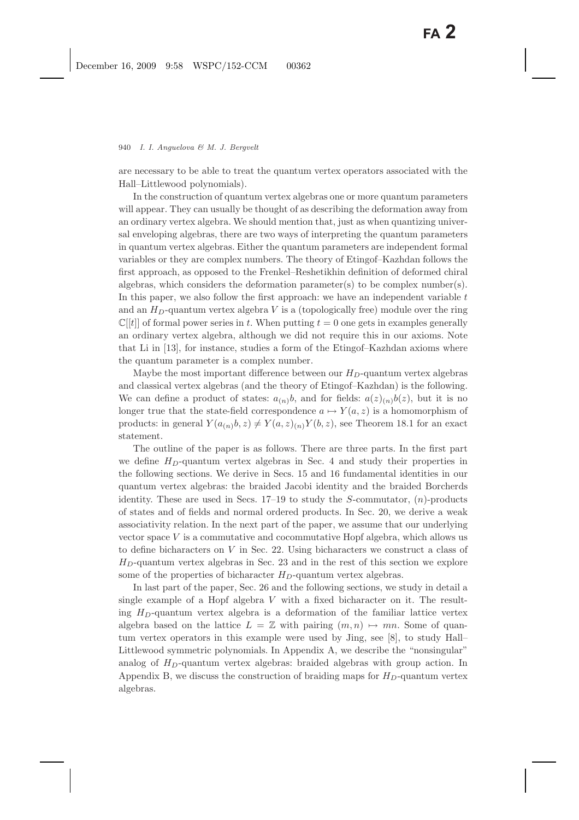are necessary to be able to treat the quantum vertex operators associated with the Hall–Littlewood polynomials).

In the construction of quantum vertex algebras one or more quantum parameters will appear. They can usually be thought of as describing the deformation away from an ordinary vertex algebra. We should mention that, just as when quantizing universal enveloping algebras, there are two ways of interpreting the quantum parameters in quantum vertex algebras. Either the quantum parameters are independent formal variables or they are complex numbers. The theory of Etingof–Kazhdan follows the first approach, as opposed to the Frenkel–Reshetikhin definition of deformed chiral algebras, which considers the deformation parameter(s) to be complex number(s). In this paper, we also follow the first approach: we have an independent variable  $t$ and an  $H_D$ -quantum vertex algebra V is a (topologically free) module over the ring  $\mathbb{C}[[t]]$  of formal power series in t. When putting  $t = 0$  one gets in examples generally an ordinary vertex algebra, although we did not require this in our axioms. Note that Li in [13], for instance, studies a form of the Etingof–Kazhdan axioms where the quantum parameter is a complex number.

Maybe the most important difference between our  $H_D$ -quantum vertex algebras and classical vertex algebras (and the theory of Etingof–Kazhdan) is the following. We can define a product of states:  $a_{(n)}b$ , and for fields:  $a(z)_{(n)}b(z)$ , but it is no longer true that the state-field correspondence  $a \mapsto Y(a, z)$  is a homomorphism of products: in general  $Y(a_{(n)}b, z) \neq Y(a, z)_{(n)}Y(b, z)$ , see Theorem 18.1 for an exact statement.

The outline of the paper is as follows. There are three parts. In the first part we define  $H_D$ -quantum vertex algebras in Sec. 4 and study their properties in the following sections. We derive in Secs. 15 and 16 fundamental identities in our quantum vertex algebras: the braided Jacobi identity and the braided Borcherds identity. These are used in Secs.  $17-19$  to study the S-commutator,  $(n)$ -products of states and of fields and normal ordered products. In Sec. 20, we derive a weak associativity relation. In the next part of the paper, we assume that our underlying vector space  $V$  is a commutative and cocommutative Hopf algebra, which allows us to define bicharacters on  $V$  in Sec. 22. Using bicharacters we construct a class of  $H_D$ -quantum vertex algebras in Sec. 23 and in the rest of this section we explore some of the properties of bicharacter  $H_D$ -quantum vertex algebras.

In last part of the paper, Sec. 26 and the following sections, we study in detail a single example of a Hopf algebra  $V$  with a fixed bicharacter on it. The resulting  $H_D$ -quantum vertex algebra is a deformation of the familiar lattice vertex algebra based on the lattice  $L = \mathbb{Z}$  with pairing  $(m, n) \mapsto mn$ . Some of quantum vertex operators in this example were used by Jing, see [8], to study Hall– Littlewood symmetric polynomials. In Appendix A, we describe the "nonsingular" analog of  $H_D$ -quantum vertex algebras: braided algebras with group action. In Appendix B, we discuss the construction of braiding maps for  $H_D$ -quantum vertex algebras.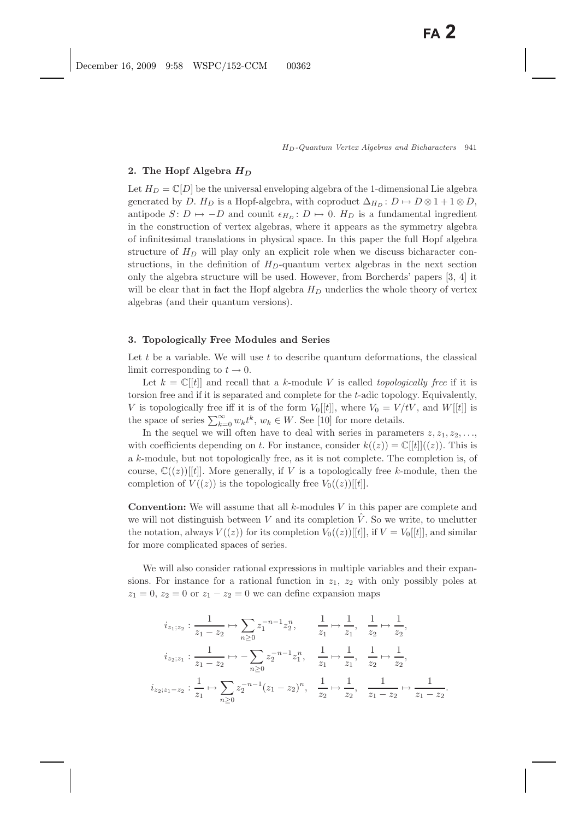### **2. The Hopf Algebra** *H<sup>D</sup>*

Let  $H_D = \mathbb{C}[D]$  be the universal enveloping algebra of the 1-dimensional Lie algebra generated by D.  $H_D$  is a Hopf-algebra, with coproduct  $\Delta_{H_D} : D \mapsto D \otimes 1 + 1 \otimes D$ , antipode  $S: D \mapsto -D$  and counit  $\epsilon_{H_D}: D \mapsto 0$ .  $H_D$  is a fundamental ingredient in the construction of vertex algebras, where it appears as the symmetry algebra of infinitesimal translations in physical space. In this paper the full Hopf algebra structure of  $H_D$  will play only an explicit role when we discuss bicharacter constructions, in the definition of  $H_D$ -quantum vertex algebras in the next section only the algebra structure will be used. However, from Borcherds' papers [3, 4] it will be clear that in fact the Hopf algebra  $H_D$  underlies the whole theory of vertex algebras (and their quantum versions).

#### **3. Topologically Free Modules and Series**

Let t be a variable. We will use t to describe quantum deformations, the classical limit corresponding to  $t \to 0$ .

Let  $k = \mathbb{C}[[t]]$  and recall that a k-module V is called *topologically free* if it is torsion free and if it is separated and complete for the t-adic topology. Equivalently, V is topologically free iff it is of the form  $V_0[[t]]$ , where  $V_0 = V/tV$ , and  $W[[t]]$  is the space of series  $\sum_{k=0}^{\infty} w_k t^k$ ,  $w_k \in W$ . See [10] for more details.<br>In the security was will often have to dool with series in param

In the sequel we will often have to deal with series in parameters  $z, z_1, z_2, \ldots$ with coefficients depending on t. For instance, consider  $k((z)) = \mathbb{C}[t]]((z))$ . This is a k-module, but not topologically free, as it is not complete. The completion is, of course,  $\mathbb{C}((z))[[t]]$ . More generally, if V is a topologically free k-module, then the completion of  $V((z))$  is the topologically free  $V_0((z))[[t]]$ .

**Convention:** We will assume that all k-modules V in this paper are complete and we will not distinguish between V and its completion  $\hat{V}$ . So we write, to unclutter the notation, always  $V((z))$  for its completion  $V_0((z))[t]$ , if  $V = V_0[[t]]$ , and similar for more complicated spaces of series.

We will also consider rational expressions in multiple variables and their expansions. For instance for a rational function in  $z_1$ ,  $z_2$  with only possibly poles at  $z_1 = 0$ ,  $z_2 = 0$  or  $z_1 - z_2 = 0$  we can define expansion maps

$$
i_{z_1; z_2}: \frac{1}{z_1 - z_2} \mapsto \sum_{n \ge 0} z_1^{-n-1} z_2^n, \qquad \frac{1}{z_1} \mapsto \frac{1}{z_1}, \quad \frac{1}{z_2} \mapsto \frac{1}{z_2},
$$

$$
i_{z_2; z_1}: \frac{1}{z_1 - z_2} \mapsto -\sum_{n \ge 0} z_2^{-n-1} z_1^n, \quad \frac{1}{z_1} \mapsto \frac{1}{z_1}, \quad \frac{1}{z_2} \mapsto \frac{1}{z_2},
$$

$$
i_{z_2; z_1 - z_2}: \frac{1}{z_1} \mapsto \sum_{n \ge 0} z_2^{-n-1} (z_1 - z_2)^n, \quad \frac{1}{z_2} \mapsto \frac{1}{z_2}, \quad \frac{1}{z_1 - z_2} \mapsto \frac{1}{z_1 - z_2}.
$$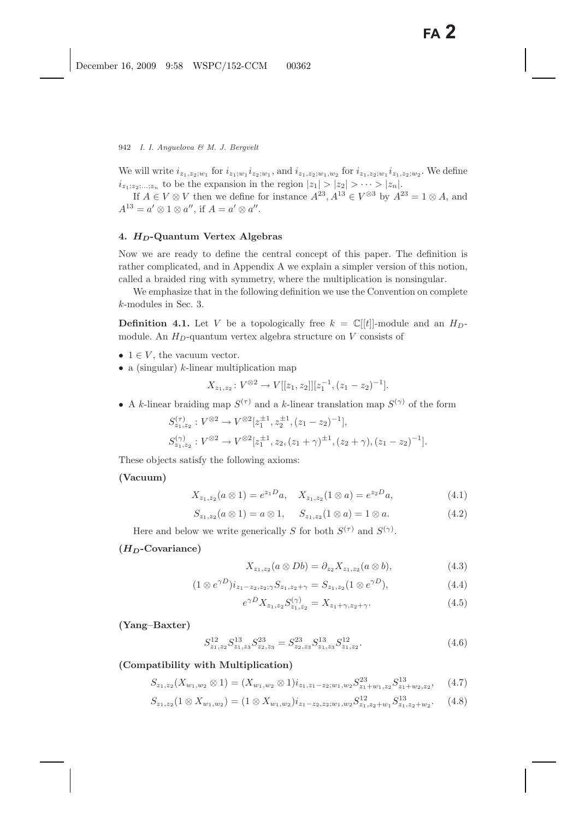We will write  $i_{z_1,z_2;w_1}$  for  $i_{z_1,w_1}i_{z_2;w_1}$ , and  $i_{z_1,z_2;w_1,w_2}$  for  $i_{z_1,z_2;w_1}i_{z_1,z_2;w_2}$ . We define  $i_{z_1:z_2,\ldots,z_n}$  to be the expansion in the region  $|z_1| > |z_2| > \cdots > |z_n|$ .

If  $A \in V \otimes V$  then we define for instance  $A^{23}$ ,  $A^{13} \in V^{\otimes 3}$  by  $A^{23} = 1 \otimes A$ , and  $A^{13} = a' \otimes 1 \otimes a''$ , if  $A = a' \otimes a''$ .

# **4.** *HD***-Quantum Vertex Algebras**

Now we are ready to define the central concept of this paper. The definition is rather complicated, and in Appendix A we explain a simpler version of this notion, called a braided ring with symmetry, where the multiplication is nonsingular.

We emphasize that in the following definition we use the Convention on complete k-modules in Sec. 3.

**Definition 4.1.** Let V be a topologically free  $k = \mathbb{C}[[t]]$ -module and an  $H_D$ module. An  $H_D$ -quantum vertex algebra structure on V consists of

- $1 \in V$ , the vacuum vector.
- a (singular)  $k$ -linear multiplication map

$$
X_{z_1,z_2}: V^{\otimes 2} \to V[[z_1,z_2]][z_1^{-1}, (z_1-z_2)^{-1}].
$$

• A k-linear braiding map  $S^{(\tau)}$  and a k-linear translation map  $S^{(\gamma)}$  of the form

$$
S_{z_1,z_2}^{(\tau)} : V^{\otimes 2} \to V^{\otimes 2}[z_1^{\pm 1}, z_2^{\pm 1}, (z_1 - z_2)^{-1}],
$$
  
\n
$$
S_{z_1,z_2}^{(\gamma)} : V^{\otimes 2} \to V^{\otimes 2}[z_1^{\pm 1}, z_2, (z_1 + \gamma)^{\pm 1}, (z_2 + \gamma), (z_1 - z_2)^{-1}].
$$

These objects satisfy the following axioms:

# **(Vacuum)**

$$
X_{z_1, z_2}(a \otimes 1) = e^{z_1 D} a, \quad X_{z_1, z_2}(1 \otimes a) = e^{z_2 D} a,
$$
\n(4.1)

$$
S_{z_1,z_2}(a\otimes 1) = a\otimes 1, \quad S_{z_1,z_2}(1\otimes a) = 1\otimes a. \tag{4.2}
$$

Here and below we write generically S for both  $S^{(\tau)}$  and  $S^{(\gamma)}$ .

# **(***HD***-Covariance)**

$$
X_{z_1, z_2}(a \otimes Db) = \partial_{z_2} X_{z_1, z_2}(a \otimes b), \tag{4.3}
$$

$$
(1 \otimes e^{\gamma D}) i_{z_1 - z_2, z_2; \gamma} S_{z_1, z_2 + \gamma} = S_{z_1, z_2} (1 \otimes e^{\gamma D}), \qquad (4.4)
$$

$$
e^{\gamma D} X_{z_1, z_2} S_{z_1, z_2}^{(\gamma)} = X_{z_1 + \gamma, z_2 + \gamma}.
$$
 (4.5)

**(Yang–Baxter)**

$$
S_{z_1,z_2}^{12} S_{z_1,z_3}^{13} S_{z_2,z_3}^{23} = S_{z_2,z_3}^{23} S_{z_1,z_3}^{13} S_{z_1,z_2}^{12}.
$$
 (4.6)

# **(Compatibility with Multiplication)**

$$
S_{z_1,z_2}(X_{w_1,w_2} \otimes 1) = (X_{w_1,w_2} \otimes 1)i_{z_1,z_1-z_2;w_1,w_2} S_{z_1+w_1,z_2}^{23} S_{z_1+w_2,z_2}^{13}, \quad (4.7)
$$

$$
S_{z_1,z_2}(1\otimes X_{w_1,w_2})=(1\otimes X_{w_1,w_2})i_{z_1-z_2,z_2;w_1,w_2}S_{z_1,z_2+w_1}^{12}S_{z_1,z_2+w_2}^{13}.\tag{4.8}
$$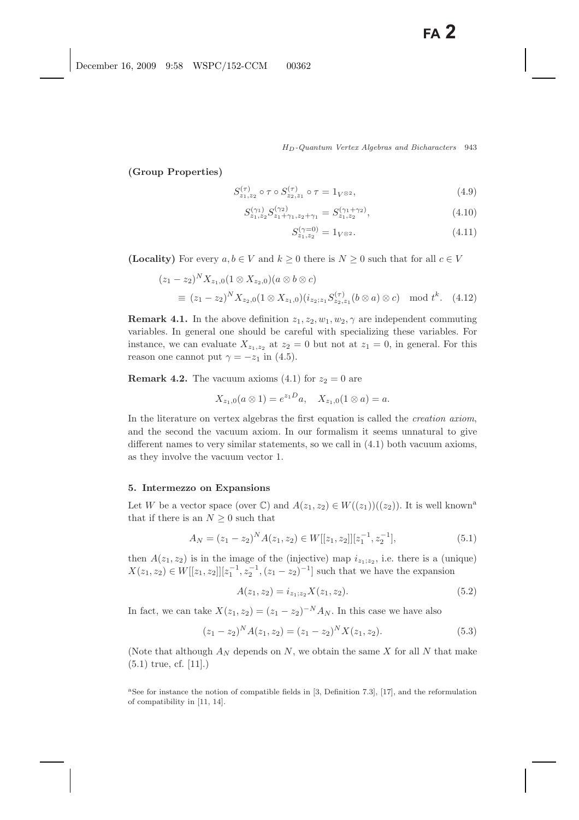**(Group Properties)**

$$
S_{z_1, z_2}^{(\tau)} \circ \tau \circ S_{z_2, z_1}^{(\tau)} \circ \tau = 1_{V^{\otimes 2}},\tag{4.9}
$$

$$
S_{z_1, z_2}^{(\gamma_1)} S_{z_1 + \gamma_1, z_2 + \gamma_1}^{(\gamma_2)} = S_{z_1, z_2}^{(\gamma_1 + \gamma_2)}, \tag{4.10}
$$

$$
S_{z_1, z_2}^{(\gamma=0)} = 1_{V^{\otimes 2}}.\tag{4.11}
$$

**(Locality)** For every  $a, b \in V$  and  $k \geq 0$  there is  $N \geq 0$  such that for all  $c \in V$ 

$$
(z_1 - z_2)^N X_{z_1,0} (1 \otimes X_{z_2,0}) (a \otimes b \otimes c)
$$
  
\n
$$
\equiv (z_1 - z_2)^N X_{z_2,0} (1 \otimes X_{z_1,0}) (i_{z_2;z_1} S_{z_2,z_1}^{(\tau)} (b \otimes a) \otimes c) \mod t^k.
$$
 (4.12)

**Remark 4.1.** In the above definition  $z_1, z_2, w_1, w_2, \gamma$  are independent commuting variables. In general one should be careful with specializing these variables. For instance, we can evaluate  $X_{z_1,z_2}$  at  $z_2 = 0$  but not at  $z_1 = 0$ , in general. For this reason one cannot put  $\gamma = -z_1$  in (4.5).

**Remark 4.2.** The vacuum axioms (4.1) for  $z_2 = 0$  are

$$
X_{z_1,0}(a\otimes 1)=e^{z_1D}a, \quad X_{z_1,0}(1\otimes a)=a.
$$

In the literature on vertex algebras the first equation is called the *creation axiom*, and the second the vacuum axiom. In our formalism it seems unnatural to give different names to very similar statements, so we call in (4.1) both vacuum axioms, as they involve the vacuum vector 1.

#### **5. Intermezzo on Expansions**

Let W be a vector space (over C) and  $A(z_1, z_2) \in W((z_1))((z_2))$ . It is well known<sup>a</sup> that if there is an  $N \geq 0$  such that

$$
A_N = (z_1 - z_2)^N A(z_1, z_2) \in W[[z_1, z_2]][z_1^{-1}, z_2^{-1}], \tag{5.1}
$$

then  $A(z_1, z_2)$  is in the image of the (injective) map  $i_{z_1, z_2}$ , i.e. there is a (unique)  $X(z_1, z_2) \in W[[z_1, z_2]][z_1^{-1}, z_2^{-1}, (z_1 - z_2)^{-1}]$  such that we have the expansion

$$
A(z_1, z_2) = i_{z_1; z_2} X(z_1, z_2).
$$
\n(5.2)

In fact, we can take  $X(z_1, z_2)=(z_1 - z_2)^{-N} A_N$ . In this case we have also

$$
(z_1 - z_2)^N A(z_1, z_2) = (z_1 - z_2)^N X(z_1, z_2).
$$
\n(5.3)

(Note that although  $A_N$  depends on N, we obtain the same X for all N that make (5.1) true, cf. [11].)

<sup>a</sup>See for instance the notion of compatible fields in [3, Definition 7.3], [17], and the reformulation of compatibility in [11, 14].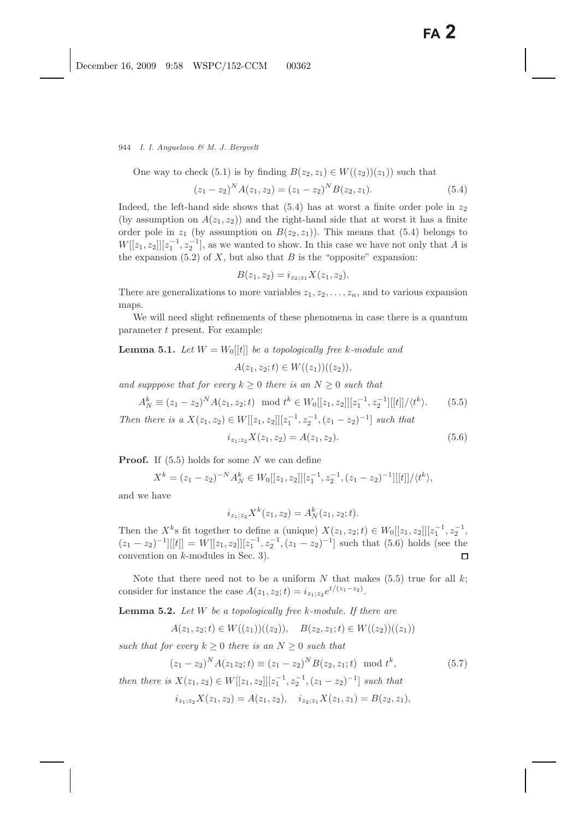944 *I. I. Anguelova & M. J. Bergvelt*

One way to check (5.1) is by finding  $B(z_2, z_1) \in W((z_2))(z_1)$  such that

$$
(z_1 - z_2)^N A(z_1, z_2) = (z_1 - z_2)^N B(z_2, z_1).
$$
\n(5.4)

Indeed, the left-hand side shows that  $(5.4)$  has at worst a finite order pole in  $z_2$ (by assumption on  $A(z_1, z_2)$ ) and the right-hand side that at worst it has a finite order pole in  $z_1$  (by assumption on  $B(z_2, z_1)$ ). This means that (5.4) belongs to  $W[[z_1, z_2]][z_1^{-1}, z_2^{-1}]$ , as we wanted to show. In this case we have not only that A is<br>the expansion  $(5, 2)$  of Y, but also that B is the "eppecite" expansion: the expansion  $(5.2)$  of X, but also that B is the "opposite" expansion:

$$
B(z_1, z_2) = i_{z_2; z_1} X(z_1, z_2).
$$

There are generalizations to more variables  $z_1, z_2, \ldots, z_n$ , and to various expansion maps.

We will need slight refinements of these phenomena in case there is a quantum parameter t present. For example:

**Lemma 5.1.** *Let*  $W = W_0[[t]]$  *be a topologically free k-module and* 

 $A(z_1, z_2; t) \in W((z_1))((z_2)),$ 

*and supppose that for every*  $k \geq 0$  *there is an*  $N \geq 0$  *such that* 

$$
A_N^k \equiv (z_1 - z_2)^N A(z_1, z_2; t) \mod t^k \in W_0[[z_1, z_2]][z_1^{-1}, z_2^{-1}][[t]]/\langle t^k \rangle.
$$
 (5.5)  
Then there is a  $X(z_1, z_2) \in W[[z_1, z_2]][z_1^{-1}, z_2^{-1}, (z_1 - z_2)^{-1}]$  such that

$$
i_{z_1; z_2} X(z_1, z_2) = A(z_1, z_2). \tag{5.6}
$$

**Proof.** If  $(5.5)$  holds for some N we can define

$$
X^{k} = (z_{1} - z_{2})^{-N} A_{N}^{k} \in W_{0}[[z_{1}, z_{2}]][z_{1}^{-1}, z_{2}^{-1}, (z_{1} - z_{2})^{-1}][[t]]/\langle t^{k} \rangle,
$$

and we have

$$
i_{z_1; z_2} X^k(z_1, z_2) = A_N^k(z_1, z_2; t).
$$

Then the  $X^k$ s fit together to define a (unique)  $X(z_1, z_2; t) \in W_0[[z_1, z_2]][z_1^{-1}]$  $z_1^{-1}, z_2^{-1},$  $(z_1 - z_2)^{-1}[[t]] = W[[z_1, z_2]][z_1^{-1}, z_2^{-1}, (z_1 - z_2)^{-1}]$  such that (5.6) holds (see the convention on k-modules in Sec. 3).

Note that there need not to be a uniform  $N$  that makes (5.5) true for all  $k$ ; consider for instance the case  $A(z_1, z_2; t) = i_{z_1, z_2} e^{t/(z_1 - z_2)}$ .

**Lemma 5.2.** *Let* W *be a topologically free* k*-module. If there are*

$$
A(z_1, z_2; t) \in W((z_1))((z_2)), \quad B(z_2, z_1; t) \in W((z_2))((z_1))
$$

*such that for every*  $k \geq 0$  *there is an*  $N \geq 0$  *such that* 

$$
(z_1 - z_2)^N A(z_1 z_2; t) \equiv (z_1 - z_2)^N B(z_2, z_1; t) \mod t^k,
$$
\n(5.7)

*then there is*  $X(z_1, z_2) \in W[[z_1, z_2]][z_1^{-1}, z_2^{-1}, (z_1 - z_2)^{-1}]$  *such that* 

$$
i_{z_1;z_2}X(z_1,z_2) = A(z_1,z_2), \quad i_{z_2;z_1}X(z_1,z_1) = B(z_2,z_1),
$$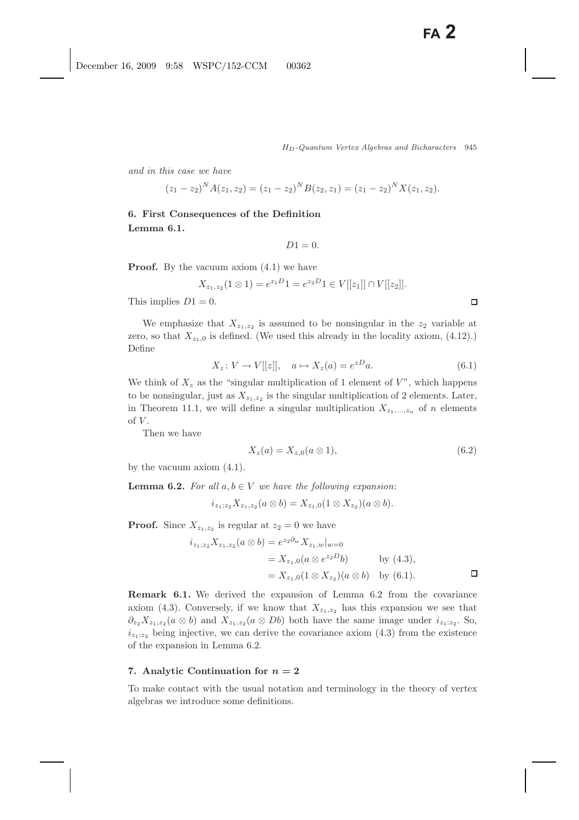*and in this case we have*

$$
(z_1 - z_2)^N A(z_1, z_2) = (z_1 - z_2)^N B(z_2, z_1) = (z_1 - z_2)^N X(z_1, z_2).
$$

**6. First Consequences of the Definition Lemma 6.1.**

$$
D1=0.
$$

**Proof.** By the vacuum axiom  $(4.1)$  we have

$$
X_{z_1,z_2}(1\otimes 1)=e^{z_1D}1=e^{z_2D}1\in V[[z_1]]\cap V[[z_2]].
$$

This implies  $D1 = 0$ .

We emphasize that  $X_{z_1,z_2}$  is assumed to be nonsingular in the  $z_2$  variable at zero, so that  $X_{z_1,0}$  is defined. (We used this already in the locality axiom, (4.12).) Define

$$
X_z: V \to V[[z]], \quad a \mapsto X_z(a) = e^{zD}a.
$$
 (6.1)

We think of  $X<sub>z</sub>$  as the "singular multiplication of 1 element of  $V$ ", which happens to be nonsingular, just as  $X_{z_1,z_2}$  is the singular multiplication of 2 elements. Later, in Theorem 11.1, we will define a singular multiplication  $X_{z_1,\dots,z_n}$  of n elements of  $V$ .

Then we have

$$
X_z(a) = X_{z,0}(a \otimes 1), \tag{6.2}
$$

by the vacuum axiom (4.1).

**Lemma 6.2.** *For all*  $a, b \in V$  *we have the following expansion:* 

$$
i_{z_1,z_2}X_{z_1,z_2}(a\otimes b)=X_{z_1,0}(1\otimes X_{z_2})(a\otimes b).
$$

**Proof.** Since  $X_{z_1,z_2}$  is regular at  $z_2 = 0$  we have

$$
i_{z_1; z_2} X_{z_1, z_2} (a \otimes b) = e^{z_2 \partial_w} X_{z_1, w}|_{w=0}
$$
  
=  $X_{z_1, 0} (a \otimes e^{z_2 D}b)$  by (4.3),  
=  $X_{z_1, 0} (1 \otimes X_{z_2}) (a \otimes b)$  by (6.1).

**Remark 6.1.** We derived the expansion of Lemma 6.2 from the covariance axiom (4.3). Conversely, if we know that  $X_{z_1,z_2}$  has this expansion we see that  $\partial_{z_2}X_{z_1,z_2} (a \otimes b)$  and  $X_{z_1,z_2} (a \otimes Db)$  both have the same image under  $i_{z_1,z_2}$ . So,  $i_{z_1;z_2}$  being injective, we can derive the covariance axiom (4.3) from the existence of the expansion in Lemma 6.2.

#### 7. Analytic Continuation for  $n = 2$

To make contact with the usual notation and terminology in the theory of vertex algebras we introduce some definitions.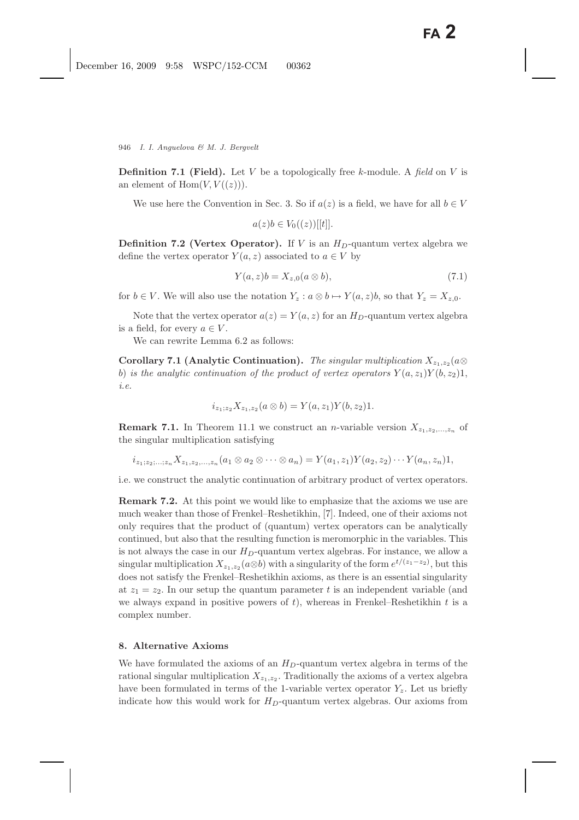**Definition 7.1 (Field).** Let V be a topologically free k-module. A *field* on V is an element of  $\text{Hom}(V, V((z)))$ .

We use here the Convention in Sec. 3. So if  $a(z)$  is a field, we have for all  $b \in V$ 

$$
a(z)b \in V_0((z))[[t]].
$$

**Definition 7.2 (Vertex Operator).** If V is an  $H_D$ -quantum vertex algebra we define the vertex operator  $Y(a, z)$  associated to  $a \in V$  by

$$
Y(a,z)b = X_{z,0}(a \otimes b),\tag{7.1}
$$

for  $b \in V$ . We will also use the notation  $Y_z : a \otimes b \mapsto Y(a, z)b$ , so that  $Y_z = X_{z,0}$ .

Note that the vertex operator  $a(z) = Y(a, z)$  for an  $H_D$ -quantum vertex algebra is a field, for every  $a \in V$ .

We can rewrite Lemma 6.2 as follows:

**Corollary 7.1 (Analytic Continuation).** *The singular multiplication*  $X_{z_1,z_2}(a\otimes$ b) *is the analytic continuation of the product of vertex operators*  $Y(a, z_1)Y(b, z_2)1$ , *i.e.*

$$
i_{z_1;z_2}X_{z_1,z_2}(a\otimes b)=Y(a,z_1)Y(b,z_2)1.
$$

**Remark 7.1.** In Theorem 11.1 we construct an *n*-variable version  $X_{z_1,z_2,...,z_n}$  of the singular multiplication satisfying

$$
i_{z_1; z_2; \dots; z_n} X_{z_1, z_2, \dots, z_n} (a_1 \otimes a_2 \otimes \dots \otimes a_n) = Y(a_1, z_1) Y(a_2, z_2) \dots Y(a_n, z_n) 1,
$$

i.e. we construct the analytic continuation of arbitrary product of vertex operators.

**Remark 7.2.** At this point we would like to emphasize that the axioms we use are much weaker than those of Frenkel–Reshetikhin, [7]. Indeed, one of their axioms not only requires that the product of (quantum) vertex operators can be analytically continued, but also that the resulting function is meromorphic in the variables. This is not always the case in our  $H_D$ -quantum vertex algebras. For instance, we allow a singular multiplication  $X_{z_1,z_2}(a\otimes b)$  with a singularity of the form  $e^{t/(z_1-z_2)}$ , but this does not satisfy the Frenkel–Reshetikhin axioms, as there is an essential singularity at  $z_1 = z_2$ . In our setup the quantum parameter t is an independent variable (and we always expand in positive powers of  $t$ ), whereas in Frenkel–Reshetikhin  $t$  is a complex number.

# **8. Alternative Axioms**

We have formulated the axioms of an  $H_D$ -quantum vertex algebra in terms of the rational singular multiplication  $X_{z_1,z_2}$ . Traditionally the axioms of a vertex algebra have been formulated in terms of the 1-variable vertex operator  $Y_z$ . Let us briefly indicate how this would work for  $H_D$ -quantum vertex algebras. Our axioms from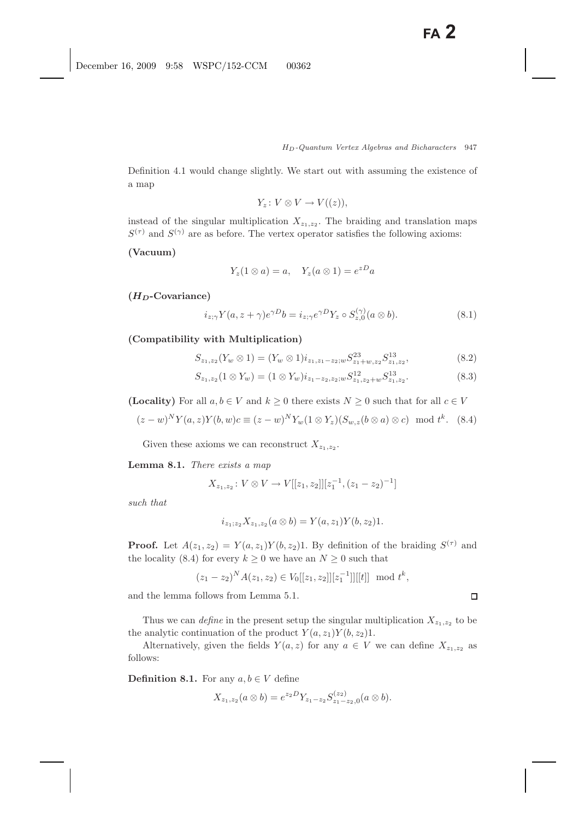Definition 4.1 would change slightly. We start out with assuming the existence of a map

$$
Y_z\colon V\otimes V\to V((z)),
$$

instead of the singular multiplication  $X_{z_1,z_2}$ . The braiding and translation maps  $S^{(\tau)}$  and  $S^{(\gamma)}$  are as before. The vertex operator satisfies the following axioms:

### **(Vacuum)**

$$
Y_z(1\otimes a) = a, \quad Y_z(a\otimes 1) = e^{zD}a
$$

**(***HD***-Covariance)**

$$
i_{z;\gamma} Y(a, z + \gamma) e^{\gamma D} b = i_{z;\gamma} e^{\gamma D} Y_z \circ S_{z,0}^{(\gamma)} (a \otimes b).
$$
 (8.1)

**(Compatibility with Multiplication)**

$$
S_{z_1,z_2}(Y_w \otimes 1) = (Y_w \otimes 1)i_{z_1,z_1-z_2;w} S_{z_1+w,z_2}^{23} S_{z_1,z_2}^{13}, \tag{8.2}
$$

$$
S_{z_1,z_2}(1 \otimes Y_w) = (1 \otimes Y_w)i_{z_1-z_2,z_2;w} S^{12}_{z_1,z_2+w} S^{13}_{z_1,z_2}.
$$
 (8.3)

**(Locality)** For all  $a, b \in V$  and  $k \geq 0$  there exists  $N \geq 0$  such that for all  $c \in V$ 

$$
(z-w)^N Y(a,z) Y(b,w)c \equiv (z-w)^N Y_w(1 \otimes Y_z)(S_{w,z}(b \otimes a) \otimes c) \mod t^k. \quad (8.4)
$$

Given these axioms we can reconstruct  $X_{z_1,z_2}$ .

**Lemma 8.1.** *There exists a map*

$$
X_{z_1,z_2}: V \otimes V \to V[[z_1,z_2]][z_1^{-1}, (z_1-z_2)^{-1}]
$$

*such that*

$$
i_{z_1;z_2}X_{z_1,z_2}(a\otimes b)=Y(a,z_1)Y(b,z_2)1.
$$

**Proof.** Let  $A(z_1, z_2) = Y(a, z_1)Y(b, z_2)1$ . By definition of the braiding  $S^{(\tau)}$  and the locality (8.4) for every  $k \geq 0$  we have an  $N \geq 0$  such that

$$
(z_1 - z_2)^N A(z_1, z_2) \in V_0[[z_1, z_2]][z_1^{-1}]][[t]] \mod t^k,
$$

and the lemma follows from Lemma 5.1.

Thus we can *define* in the present setup the singular multiplication  $X_{z_1,z_2}$  to be the analytic continuation of the product  $Y(a, z_1)Y(b, z_2)1$ .

Alternatively, given the fields  $Y(a, z)$  for any  $a \in V$  we can define  $X_{z_1,z_2}$  as follows:

**Definition 8.1.** For any  $a, b \in V$  define

$$
X_{z_1,z_2}(a\otimes b)=e^{z_2D}Y_{z_1-z_2}S_{z_1-z_2,0}^{(z_2)}(a\otimes b).
$$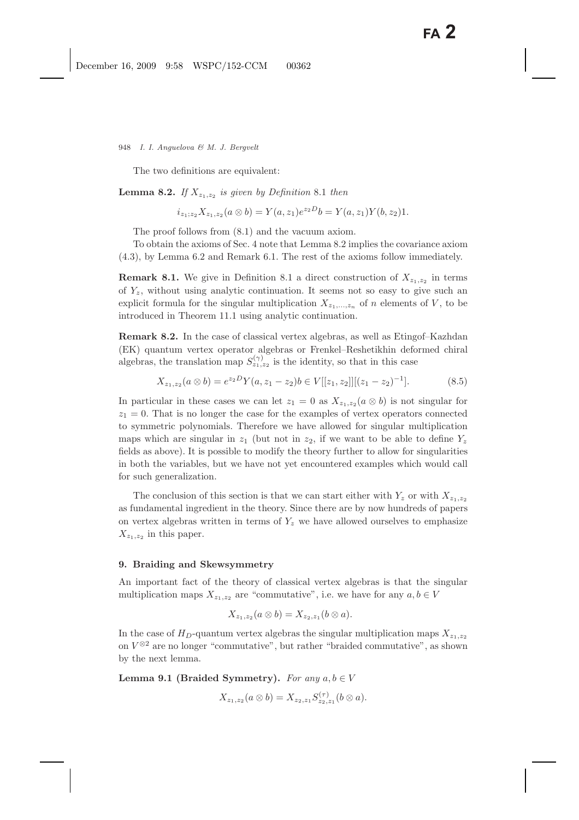The two definitions are equivalent:

**Lemma 8.2.** *If*  $X_{z_1,z_2}$  *is given by Definition* 8.1 *then* 

$$
i_{z_1;z_2}X_{z_1,z_2}(a\otimes b)=Y(a,z_1)e^{z_2D}b=Y(a,z_1)Y(b,z_2)1.
$$

The proof follows from (8.1) and the vacuum axiom.

To obtain the axioms of Sec. 4 note that Lemma 8.2 implies the covariance axiom (4.3), by Lemma 6.2 and Remark 6.1. The rest of the axioms follow immediately.

**Remark 8.1.** We give in Definition 8.1 a direct construction of  $X_{z_1,z_2}$  in terms of  $Y_z$ , without using analytic continuation. It seems not so easy to give such an explicit formula for the singular multiplication  $X_{z_1,\,\ldots,z_n}$  of n elements of V, to be introduced in Theorem 11.1 using analytic continuation.

**Remark 8.2.** In the case of classical vertex algebras, as well as Etingof–Kazhdan (EK) quantum vertex operator algebras or Frenkel–Reshetikhin deformed chiral algebras, the translation map  $S_{z_1,z_2}^{(\gamma)}$  is the identity, so that in this case

$$
X_{z_1,z_2}(a\otimes b) = e^{z_2D}Y(a,z_1-z_2)b \in V[[z_1,z_2]][(z_1-z_2)^{-1}].
$$
\n(8.5)

In particular in these cases we can let  $z_1 = 0$  as  $X_{z_1,z_2} (a \otimes b)$  is not singular for  $z_1 = 0$ . That is no longer the case for the examples of vertex operators connected to symmetric polynomials. Therefore we have allowed for singular multiplication maps which are singular in  $z_1$  (but not in  $z_2$ , if we want to be able to define  $Y_z$ fields as above). It is possible to modify the theory further to allow for singularities in both the variables, but we have not yet encountered examples which would call for such generalization.

The conclusion of this section is that we can start either with  $Y_z$  or with  $X_{z_1,z_2}$ as fundamental ingredient in the theory. Since there are by now hundreds of papers on vertex algebras written in terms of  $Y_z$  we have allowed ourselves to emphasize  $X_{z_1,z_2}$  in this paper.

#### **9. Braiding and Skewsymmetry**

An important fact of the theory of classical vertex algebras is that the singular multiplication maps  $X_{z_1,z_2}$  are "commutative", i.e. we have for any  $a, b \in V$ 

$$
X_{z_1,z_2}(a\otimes b)=X_{z_2,z_1}(b\otimes a).
$$

In the case of  $H_D$ -quantum vertex algebras the singular multiplication maps  $X_{z_1,z_2}$ on  $V^{\otimes 2}$  are no longer "commutative", but rather "braided commutative", as shown by the next lemma.

**Lemma 9.1 (Braided Symmetry).** *For any*  $a, b \in V$ 

$$
X_{z_1,z_2}(a\otimes b)=X_{z_2,z_1}S_{z_2,z_1}^{(\tau)}(b\otimes a).
$$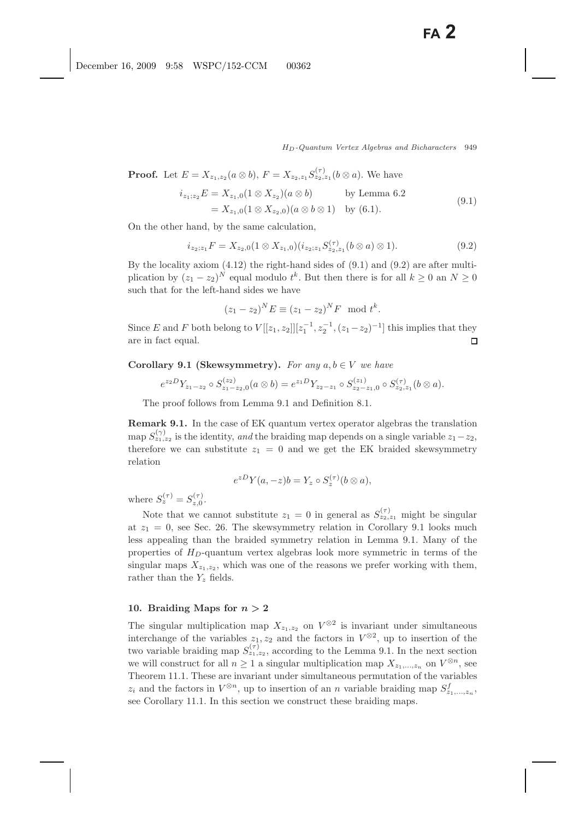**Proof.** Let  $E = X_{z_1,z_2}(a \otimes b)$ ,  $F = X_{z_2,z_1} S_{z_2,z_1}^{(\tau)}(b \otimes a)$ . We have

$$
i_{z_1; z_2}E = X_{z_1,0}(1 \otimes X_{z_2})(a \otimes b) \qquad \text{by Lemma 6.2}
$$
  
=  $X_{z_1,0}(1 \otimes X_{z_2,0})(a \otimes b \otimes 1) \qquad \text{by (6.1)}.$  (9.1)

On the other hand, by the same calculation,

$$
i_{z_2;z_1}F = X_{z_2,0}(1 \otimes X_{z_1,0})(i_{z_2;z_1}S_{z_2,z_1}^{(\tau)}(b \otimes a) \otimes 1).
$$
 (9.2)

By the locality axiom (4.12) the right-hand sides of (9.1) and (9.2) are after multiplication by  $(z_1 - z_2)^N$  equal modulo  $t^k$ . But then there is for all  $k \ge 0$  an  $N \ge 0$ such that for the left-hand sides we have

$$
(z_1 - z_2)^N E \equiv (z_1 - z_2)^N F \mod t^k.
$$

Since E and F both belong to  $V[[z_1, z_2]][z_1^{-1}, z_2^{-1}, (z_1-z_2)^{-1}]$  this implies that they<br>gro in fact coupl are in fact equal.

**Corollary 9.1 (Skewsymmetry).** *For any*  $a, b \in V$  *we have* 

$$
e^{z_2D}Y_{z_1-z_2}\circ S_{z_1-z_2,0}^{(z_2)}(a\otimes b)=e^{z_1D}Y_{z_2-z_1}\circ S_{z_2-z_1,0}^{(z_1)}\circ S_{z_2,z_1}^{(\tau)}(b\otimes a).
$$

The proof follows from Lemma 9.1 and Definition 8.1.

**Remark 9.1.** In the case of EK quantum vertex operator algebras the translation map  $S_{z_1,z_2}^{(\gamma)}$  is the identity, *and* the braiding map depends on a single variable  $z_1-z_2$ , therefore we can substitute  $z_1 = 0$  and we get the EK braided skewsymmetry relation

$$
e^{zD}Y(a,-z)b=Y_z\circ S_z^{(\tau)}(b\otimes a),
$$

where  $S_z^{(\tau)} = S_{z,0}^{(\tau)}$ .

Note that we cannot substitute  $z_1 = 0$  in general as  $S_{z_2,z_1}^{(\tau)}$  might be singular at  $z_1 = 0$ , see Sec. 26. The skewsymmetry relation in Corollary 9.1 looks much less appealing than the braided symmetry relation in Lemma 9.1. Many of the properties of  $H_D$ -quantum vertex algebras look more symmetric in terms of the singular maps  $X_{z_1,z_2}$ , which was one of the reasons we prefer working with them, rather than the  $Y_z$  fields.

### **10. Braiding Maps for** *n >* **2**

The singular multiplication map  $X_{z_1,z_2}$  on  $V^{\otimes 2}$  is invariant under simultaneous interchange of the variables  $z_1, z_2$  and the factors in  $V^{\otimes 2}$ , up to insertion of the two variable braiding map  $S_{z_1,z_2}^{(\tau)}$ , according to the Lemma 9.1. In the next section we will construct for all  $n \geq 1$  a singular multiplication map  $X_{z_1,\ldots,z_n}$  on  $V^{\otimes n}$ , see Theorem 11.1. These are invariant under simultaneous permutation of the variables  $z_i$  and the factors in  $V^{\otimes n}$ , up to insertion of an *n* variable braiding map  $S^f_{z_1,\dots,z_n}$ , see Corollary 11.1. In this section we construct these braiding maps.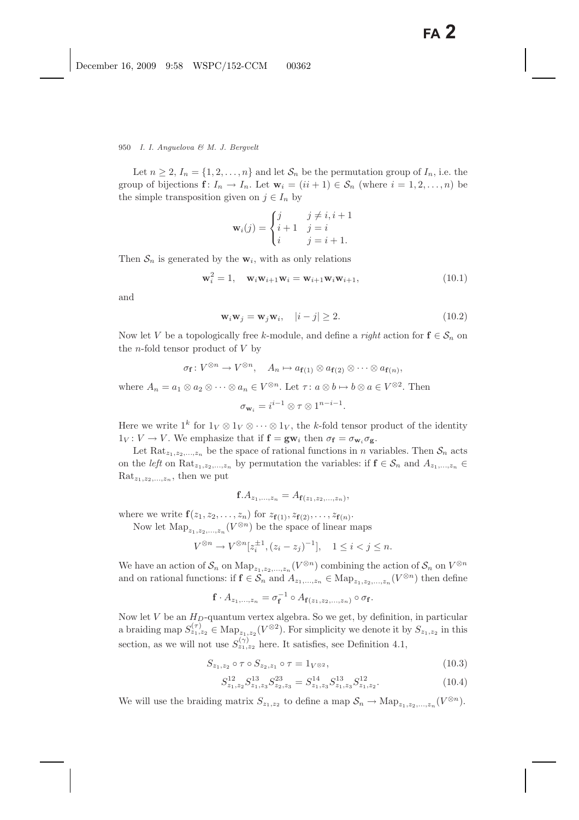Let  $n \geq 2$ ,  $I_n = \{1, 2, ..., n\}$  and let  $S_n$  be the permutation group of  $I_n$ , i.e. the group of bijections  $f: I_n \to I_n$ . Let  $\mathbf{w}_i = (ii+1) \in S_n$  (where  $i = 1, 2, ..., n$ ) be the simple transposition given on  $j \in I_n$  by

$$
\mathbf{w}_{i}(j) = \begin{cases} j & j \neq i, i+1 \\ i+1 & j = i \\ i & j = i+1. \end{cases}
$$

Then  $S_n$  is generated by the  $w_i$ , with as only relations

$$
\mathbf{w}_i^2 = 1, \quad \mathbf{w}_i \mathbf{w}_{i+1} \mathbf{w}_i = \mathbf{w}_{i+1} \mathbf{w}_i \mathbf{w}_{i+1}, \tag{10.1}
$$

and

$$
\mathbf{w}_i \mathbf{w}_j = \mathbf{w}_j \mathbf{w}_i, \quad |i - j| \ge 2. \tag{10.2}
$$

Now let V be a topologically free k-module, and define a *right* action for  $f \in S_n$  on the *n*-fold tensor product of  $V$  by

$$
\sigma_{\mathbf{f}} \colon V^{\otimes n} \to V^{\otimes n}, \quad A_n \mapsto a_{\mathbf{f}(1)} \otimes a_{\mathbf{f}(2)} \otimes \cdots \otimes a_{\mathbf{f}(n)},
$$
  
where  $A_n = a_1 \otimes a_2 \otimes \cdots \otimes a_n \in V^{\otimes n}$ . Let  $\tau \colon a \otimes b \mapsto b \otimes a \in V^{\otimes 2}$ . Then  

$$
\sigma_{\mathbf{w}_i} = i^{i-1} \otimes \tau \otimes 1^{n-i-1}.
$$

Here we write  $1^k$  for  $1_V \otimes 1_V \otimes \cdots \otimes 1_V$ , the k-fold tensor product of the identity  $1_V: V \to V$ . We emphasize that if  $f = g w_i$  then  $\sigma_f = \sigma_{w_i} \sigma_g$ .

Let Rat<sub>z<sub>1,z<sub>2</sub>,...,z<sub>n</sub></sub> be the space of rational functions in *n* variables. Then  $S_n$  acts</sub> on the *left* on Rat<sub> $z_1, z_2, ..., z_n$  by permutation the variables: if  $f \in S_n$  and  $A_{z_1, ..., z_n} \in$ </sub>  $\text{Rat}_{z_1,z_2,...,z_n}$ , then we put

$$
f.A_{z_1,...,z_n} = A_{f(z_1,z_2,...,z_n)},
$$

where we write  $f(z_1, z_2, ..., z_n)$  for  $z_{f(1)}, z_{f(2)}, ..., z_{f(n)}$ .

Now let  $\text{Map}_{z_1,z_2,...,z_n}(V^{\otimes n})$  be the space of linear maps

$$
V^{\otimes n} \to V^{\otimes n}[z_i^{\pm 1}, (z_i - z_j)^{-1}], \quad 1 \le i < j \le n.
$$

We have an action of  $S_n$  on  $\text{Map}_{z_1,z_2,\dots,z_n}(V^{\otimes n})$  combining the action of  $S_n$  on  $V^{\otimes n}$ <br>and on national functions: if  $f \in S_n$  and  $A_n$  is  $\subset \text{Map}$  ( $V^{\otimes n}$ ) then define and on rational functions: if  $f \in S_n$  and  $A_{z_1,...,z_n} \in \text{Map}_{z_1,z_2,...,z_n}(V^{\otimes n})$  then define

$$
\mathbf{f} \cdot A_{z_1,\ldots,z_n} = \sigma_{\mathbf{f}}^{-1} \circ A_{\mathbf{f}(z_1,z_2,\ldots,z_n)} \circ \sigma_{\mathbf{f}}.
$$

Now let V be an  $H_D$ -quantum vertex algebra. So we get, by definition, in particular a braiding map  $S_{z_1,z_2}^{(\tau)} \in \text{Map}_{z_1,z_2}(V^{\otimes 2})$ . For simplicity we denote it by  $S_{z_1,z_2}$  in this section, as we will not use  $S_{z_1,z_2}^{(\gamma)}$  here. It satisfies, see Definition 4.1,

$$
S_{z_1, z_2} \circ \tau \circ S_{z_2, z_1} \circ \tau = 1_{V^{\otimes 2}},\tag{10.3}
$$

$$
S_{z_1,z_2}^{12} S_{z_1,z_3}^{13} S_{z_2,z_3}^{23} = S_{z_1,z_3}^{14} S_{z_1,z_3}^{13} S_{z_1,z_2}^{12}.
$$
 (10.4)

We will use the braiding matrix  $S_{z_1,z_2}$  to define a map  $S_n \to \text{Map}_{z_1,z_2,\dots,z_n} (V^{\otimes n})$ .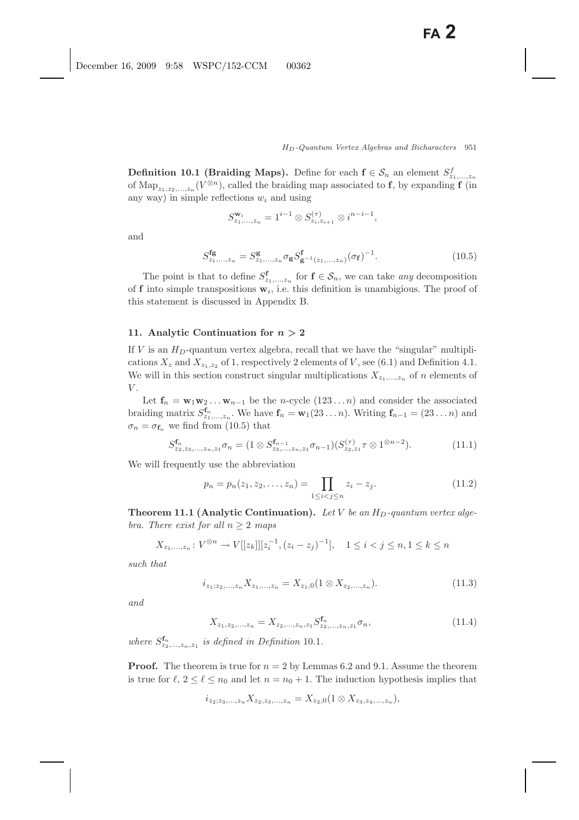**Definition 10.1 (Braiding Maps).** Define for each  $f \in S_n$  an element  $S_{z_1,...,z_n}^f$ of Map<sub>z<sub>1,z2</sub>,...<sub>zn</sub> ( $V^{\otimes n}$ ), called the braiding map associated to **f**, by expanding **f** (in</sub> any way) in simple reflections  $w_i$  and using

$$
S_{z_1,...,z_n}^{\mathbf{w}_i} = 1^{i-1} \otimes S_{z_i,z_{i+1}}^{(\tau)} \otimes i^{n-i-1},
$$

and

$$
S_{z_1,\ldots,z_n}^{\mathbf{fg}} = S_{z_1,\ldots,z_n}^{\mathbf{g}} \sigma_{\mathbf{g}} S_{\mathbf{g}^{-1}(z_1,\ldots,z_n)}^{\mathbf{f}}(\sigma_{\mathbf{f}})^{-1}.
$$
 (10.5)

The point is that to define  $S^{\mathbf{f}}_{z_1,\dots,z_n}$  for  $\mathbf{f} \in S_n$ , we can take *any* decomposition<br>into simple transpositions  $\mathbf{r}_i$ , i.e. this definition is unambigious. The proof of of **f** into simple transpositions  $\mathbf{w}_i$ , i.e. this definition is unambigious. The proof of this statement is discussed in Appendix B.

### **11. Analytic Continuation for** *n >* **2**

If V is an  $H_D$ -quantum vertex algebra, recall that we have the "singular" multiplications  $X_z$  and  $X_{z_1,z_2}$  of 1, respectively 2 elements of V, see (6.1) and Definition 4.1. We will in this section construct singular multiplications  $X_{z_1,\ldots,z_n}$  of n elements of  $V$ .

Let  $f_n = w_1w_2 \ldots w_{n-1}$  be the n-cycle  $(123 \ldots n)$  and consider the associated braiding matrix  $S_{z_1,\,\ldots,z_n}^{\mathbf{f}_n}$ . We have  $\mathbf{f}_n = \mathbf{w}_1(23\ldots n)$ . Writing  $\mathbf{f}_{n-1} = (23\ldots n)$  and  $\sigma_n = \sigma_{\mathbf{f}_n}$  we find from (10.5) that

$$
S_{z_2,z_3,\ldots,z_n,z_1}^{\mathbf{f}_n} \sigma_n = (1 \otimes S_{z_3,\ldots,z_n,z_1}^{\mathbf{f}_{n-1}} \sigma_{n-1}) (S_{z_2,z_1}^{(\tau)} \tau \otimes 1^{\otimes n-2}). \tag{11.1}
$$

We will frequently use the abbreviation

$$
p_n = p_n(z_1, z_2, \dots, z_n) = \prod_{1 \le i < j \le n} z_i - z_j. \tag{11.2}
$$

**Theorem 11.1 (Analytic Continuation).** Let V be an  $H_D$ -quantum vertex alge*bra. There exist for all*  $n \geq 2$  *maps* 

$$
X_{z_1,...,z_n}: V^{\otimes n} \to V[[z_k]][z_i^{-1}, (z_i - z_j)^{-1}], \quad 1 \le i < j \le n, 1 \le k \le n
$$

*such that*

$$
i_{z_1; z_2, \dots, z_n} X_{z_1, \dots, z_n} = X_{z_1, 0} (1 \otimes X_{z_2, \dots, z_n}). \tag{11.3}
$$

*and*

$$
X_{z_1, z_2, \dots, z_n} = X_{z_2, \dots, z_n, z_1} S_{z_2, \dots, z_n, z_1}^{\mathbf{f}_n} \sigma_n,
$$
\n(11.4)

*where*  $S_{z_2,\ldots,z_n,z_1}^{\mathbf{f}_n}$  *is defined in Definition* 10.1*.* 

**Proof.** The theorem is true for  $n = 2$  by Lemmas 6.2 and 9.1. Assume the theorem is true for  $\ell, 2 \leq \ell \leq n_0$  and let  $n = n_0 + 1$ . The induction hypothesis implies that

$$
i_{z_2;z_3,...,z_n}X_{z_2,z_3,...,z_n}=X_{z_2,0}(1\otimes X_{z_3,z_4,...,z_n}),
$$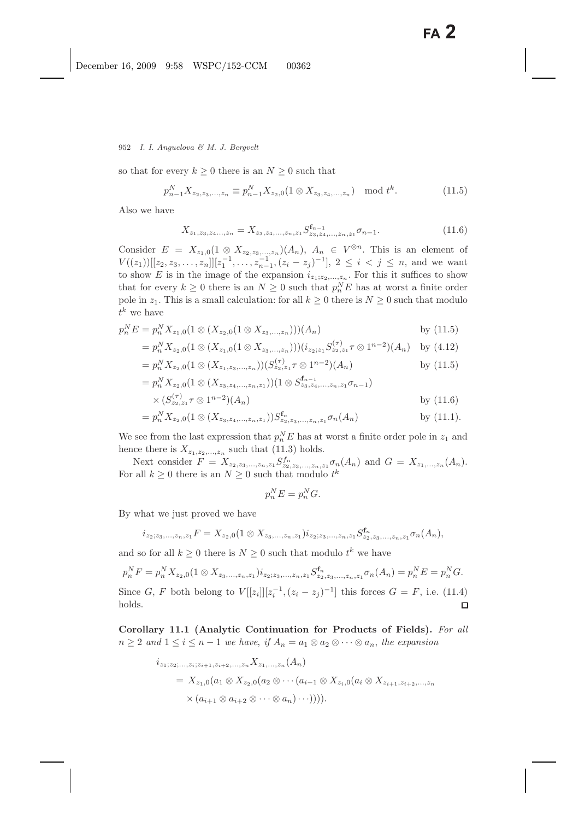952 *I. I. Anguelova & M. J. Bergvelt*

so that for every  $k \geq 0$  there is an  $N \geq 0$  such that

$$
p_{n-1}^N X_{z_2, z_3, \dots, z_n} \equiv p_{n-1}^N X_{z_2, 0} (1 \otimes X_{z_3, z_4, \dots, z_n}) \mod t^k.
$$
 (11.5)

Also we have

$$
X_{z_1, z_3, z_4, \dots, z_n} = X_{z_3, z_4, \dots, z_n, z_1} S_{z_3, z_4, \dots, z_n, z_1}^{f_{n-1}} \sigma_{n-1}.
$$
\n(11.6)

Consider  $E = X_{z_1,0}(1 \otimes X_{z_2,z_3,...,z_n})(A_n)$ ,  $A_n \in V^{\otimes n}$ . This is an element of  $V((z_1))[[z_2, z_3, \ldots, z_n]][z_1^{-1}, \ldots, z_{n-1}^{-1}, (z_i - z_j)^{-1}], 2 \le i < j \le n$ , and we want to show E is in the image of the expansion  $i_{z_1;z_2,...,z_n}$ . For this it suffices to show that for every  $k \geq 0$  there is an  $N \geq 0$  such that  $p_n^N E$  has at worst a finite order pole in  $z_1$ . This is a small calculation: for all  $k \geq 0$  there is  $N \geq 0$  such that modulo  $t^k$  we have

$$
p_n^N E = p_n^N X_{z_1,0} (1 \otimes (X_{z_2,0}(1 \otimes X_{z_3,\ldots,z_n}))) (A_n)
$$
 by (11.5)

$$
= p_n^N X_{z_2,0} (1 \otimes (X_{z_1,0}(1 \otimes X_{z_3,\ldots,z_n}))) (i_{z_2;z_1} S_{z_2,z_1}^{(\tau)} \tau \otimes 1^{n-2})(A_n) \text{ by (4.12)}
$$

$$
= p_n^N X_{z_2,0} (1 \otimes (X_{z_1,z_3,\dots,z_n})) (S_{z_2,z_1}^{(\tau)} \tau \otimes 1^{n-2}) (A_n)
$$
 by (11.5)

$$
= p_n^N X_{z_2,0} (1 \otimes (X_{z_3,z_4,\dots,z_n,z_1})) (1 \otimes S_{z_3,z_4,\dots,z_n,z_1}^{t_{n-1}} \sigma_{n-1})
$$
  
 
$$
\times (S_{z_2,z_1}^{(\tau)} \tau \otimes 1^{n-2})(A_n)
$$
 by (11.6)

$$
= p_n^N X_{z_2,0}(1 \otimes (X_{z_3,z_4,\ldots,z_n,z_1})) S_{z_2,z_3,\ldots,z_n,z_1}^{\mathbf{f}_n} \sigma_n(A_n)
$$
 by (11.1).

We see from the last expression that  $p_n^N E$  has at worst a finite order pole in  $z_1$  and hange than is  $Y$ hence there is  $X_{z_1,z_2,...,z_n}$  such that (11.3) holds.

Next consider  $F = X_{z_2,z_3,\dots,z_n,z_1} S_{z_2,z_3,\dots,z_n,z_1}^{f_n} \sigma_n(A_n)$  and  $G = X_{z_1,\dots,z_n}(A_n)$ . For all  $k \geq 0$  there is an  $N \geq 0$  such that modulo  $t^k$ 

$$
p_n^N E = p_n^N G.
$$

By what we just proved we have

$$
i_{z_2;z_3,...,z_n,z_1}F=X_{z_2,0}(1\otimes X_{z_3,...,z_n,z_1})i_{z_2;z_3,...,z_n,z_1}S_{z_2,z_3,...,z_n,z_1}^{\mathbf{f}_n}\sigma_n(A_n),
$$

and so for all  $k \geq 0$  there is  $N \geq 0$  such that modulo  $t^k$  we have

$$
p_n^N F = p_n^N X_{z_2,0} (1 \otimes X_{z_3,...,z_n,z_1}) i_{z_2;z_3,...,z_n,z_1} S_{z_2,z_3,...,z_n,z_1}^{\mathbf{f}_n} \sigma_n(A_n) = p_n^N E = p_n^N G.
$$
  
Since *G*, *F* both belong to  $V[[z_i]][z_i^{-1}, (z_i - z_j)^{-1}]$  this forces *G* = *F*, i.e. (11.4) holds.

**Corollary 11.1 (Analytic Continuation for Products of Fields).** *For all*  $n \geq 2$  and  $1 \leq i \leq n-1$  we have, if  $A_n = a_1 \otimes a_2 \otimes \cdots \otimes a_n$ , the expansion

$$
i_{z_1; z_2; \dots, z_i; z_{i+1}, z_{i+2}, \dots, z_n} X_{z_1, \dots, z_n} (A_n)
$$
  
=  $X_{z_1,0}(a_1 \otimes X_{z_2,0}(a_2 \otimes \cdots (a_{i-1} \otimes X_{z_i,0}(a_i \otimes X_{z_{i+1}, z_{i+2}, \dots, z_n} \times (a_{i+1} \otimes a_{i+2} \otimes \cdots \otimes a_n) \cdots))))$ .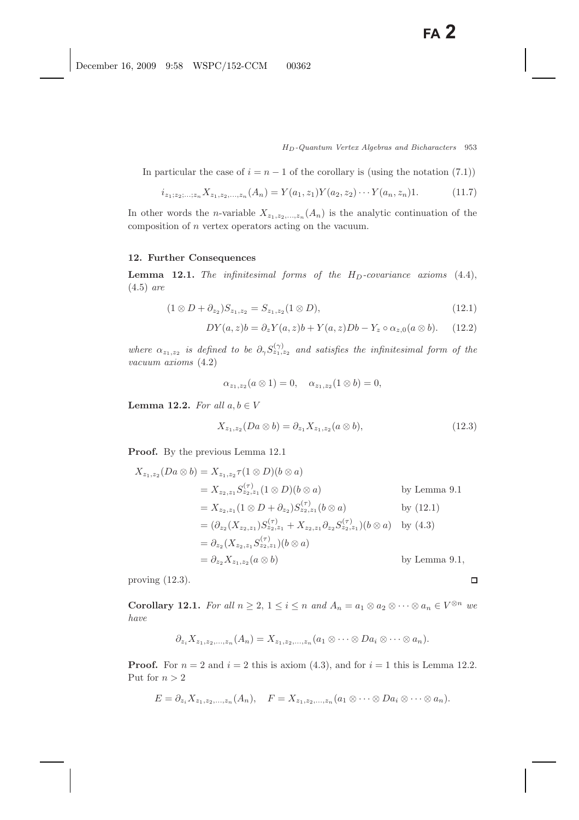In particular the case of  $i = n - 1$  of the corollary is (using the notation (7.1))

$$
i_{z_1; z_2; \dots; z_n} X_{z_1, z_2, \dots, z_n} (A_n) = Y(a_1, z_1) Y(a_2, z_2) \cdots Y(a_n, z_n) 1.
$$
 (11.7)

In other words the *n*-variable  $X_{z_1,z_2,...,z_n}(A_n)$  is the analytic continuation of the composition of n vertex operators acting on the vacuum.

## **12. Further Consequences**

**Lemma 12.1.** *The infinitesimal forms of the*  $H_D$ *-covariance axioms*  $(4.4)$ , (4.5) *are*

$$
(1 \otimes D + \partial_{z_2})S_{z_1, z_2} = S_{z_1, z_2}(1 \otimes D), \tag{12.1}
$$

$$
DY(a,z)b = \partial_z Y(a,z)b + Y(a,z)Db - Y_z \circ \alpha_{z,0}(a \otimes b). \tag{12.2}
$$

*where*  $\alpha_{z_1,z_2}$  *is defined to be*  $\partial_{\gamma}S_{z_1,z_2}^{(\gamma)}$  *and satisfies the infinitesimal form of the vacuum axioms* (4.2)

$$
\alpha_{z_1,z_2}(a\otimes 1)=0, \quad \alpha_{z_1,z_2}(1\otimes b)=0,
$$

**Lemma 12.2.** *For all*  $a, b \in V$ 

$$
X_{z_1, z_2}(Da \otimes b) = \partial_{z_1} X_{z_1, z_2}(a \otimes b), \tag{12.3}
$$

 $\Box$ 

**Proof.** By the previous Lemma 12.1

$$
X_{z_1,z_2}(Da \otimes b) = X_{z_1,z_2}\tau(1 \otimes D)(b \otimes a)
$$
  
\n
$$
= X_{z_2,z_1}S_{z_2,z_1}^{(\tau)}(1 \otimes D)(b \otimes a)
$$
 by Lemma 9.1  
\n
$$
= X_{z_2,z_1}(1 \otimes D + \partial_{z_2})S_{z_2,z_1}^{(\tau)}(b \otimes a)
$$
 by (12.1)  
\n
$$
= (\partial_{z_2}(X_{z_2,z_1})S_{z_2,z_1}^{(\tau)} + X_{z_2,z_1}\partial_{z_2}S_{z_2,z_1}^{(\tau)})(b \otimes a)
$$
 by (4.3)  
\n
$$
= \partial_{z_2}(X_{z_2,z_1}S_{z_2,z_1}^{(\tau)})(b \otimes a)
$$
  
\n
$$
= \partial_{z_2}X_{z_1,z_2}(a \otimes b)
$$
 by Lemma 9.1,

proving (12.3).

**Corollary 12.1.** *For all*  $n \geq 2, 1 \leq i \leq n$  *and*  $A_n = a_1 \otimes a_2 \otimes \cdots \otimes a_n \in V^{\otimes n}$  *we have*

$$
\partial_{z_i} X_{z_1,z_2,...,z_n}(A_n)=X_{z_1,z_2,...,z_n}(a_1\otimes\cdots\otimes Da_i\otimes\cdots\otimes a_n).
$$

**Proof.** For  $n = 2$  and  $i = 2$  this is axiom (4.3), and for  $i = 1$  this is Lemma 12.2. Put for  $n > 2$ 

$$
E = \partial_{z_i} X_{z_1,z_2,...,z_n}(A_n), \quad F = X_{z_1,z_2,...,z_n}(a_1 \otimes \cdots \otimes Da_i \otimes \cdots \otimes a_n).
$$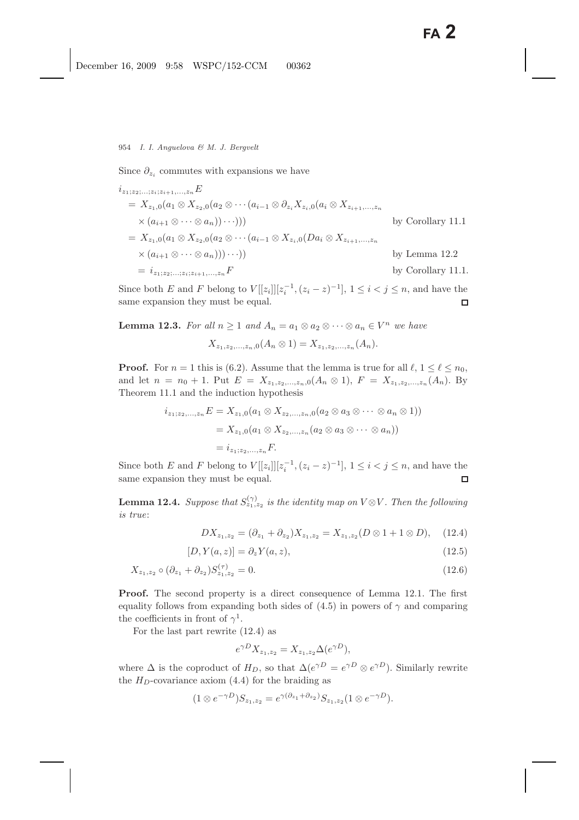Since  $\partial_{z_i}$  commutes with expansions we have

$$
i_{z_1; z_2; \dots; z_i; z_{i+1}, \dots, z_n} E
$$
  
=  $X_{z_1,0}(a_1 \otimes X_{z_2,0}(a_2 \otimes \cdots (a_{i-1} \otimes \partial_{z_i} X_{z_i,0}(a_i \otimes X_{z_{i+1}, \dots, z_n} \times (a_{i+1} \otimes \cdots \otimes a_n)) \cdots)))$   
=  $X_{z_1,0}(a_1 \otimes X_{z_2,0}(a_2 \otimes \cdots (a_{i-1} \otimes X_{z_i,0}(Da_i \otimes X_{z_{i+1}, \dots, z_n} \times (a_{i+1} \otimes \cdots \otimes a_n))) \cdots))$   
=  $i_{z_1; z_2; \dots; z_i; z_{i+1}, \dots, z_n} F$   
by Corollary 11.1.

Since both E and F belong to  $V[[z_i]][z_i^{-1},(z_i-z)^{-1}], 1 \leq i < j \leq n$ , and have the same expansion they must be equal.

**Lemma 12.3.** *For all*  $n \geq 1$  *and*  $A_n = a_1 \otimes a_2 \otimes \cdots \otimes a_n \in V^n$  *we have* 

$$
X_{z_1,z_2,...,z_n,0}(A_n \otimes 1) = X_{z_1,z_2,...,z_n}(A_n).
$$

**Proof.** For  $n = 1$  this is (6.2). Assume that the lemma is true for all  $\ell, 1 \leq \ell \leq n_0$ , and let  $n = n_0 + 1$ . Put  $E = X_{z_1, z_2, ..., z_n, 0}(A_n \otimes 1), F = X_{z_1, z_2, ..., z_n}(A_n)$ . By Theorem 11.1 and the induction hypothesis

$$
i_{z_1; z_2, ..., z_n} E = X_{z_1, 0}(a_1 \otimes X_{z_2, ..., z_n, 0}(a_2 \otimes a_3 \otimes \cdots \otimes a_n \otimes 1))
$$
  
=  $X_{z_1, 0}(a_1 \otimes X_{z_2, ..., z_n}(a_2 \otimes a_3 \otimes \cdots \otimes a_n))$   
=  $i_{z_1; z_2, ..., z_n} F$ .

Since both E and F belong to  $V[[z_i]][z_i^{-1},(z_i-z)^{-1}], 1 \leq i < j \leq n$ , and have the same expansion they must be equal.

**Lemma 12.4.** *Suppose that*  $S_{z_1,z_2}^{(\gamma)}$  *is the identity map on*  $V \otimes V$ *. Then the following is true*:

$$
DX_{z_1,z_2} = (\partial_{z_1} + \partial_{z_2})X_{z_1,z_2} = X_{z_1,z_2}(D \otimes 1 + 1 \otimes D), \quad (12.4)
$$

$$
[D, Y(a, z)] = \partial_z Y(a, z), \qquad (12.5)
$$

$$
X_{z_1, z_2} \circ (\partial_{z_1} + \partial_{z_2}) S_{z_1, z_2}^{(\tau)} = 0.
$$
 (12.6)

**Proof.** The second property is a direct consequence of Lemma 12.1. The first equality follows from expanding both sides of  $(4.5)$  in powers of  $\gamma$  and comparing the coefficients in front of  $\gamma^1$ .

For the last part rewrite (12.4) as

$$
e^{\gamma D} X_{z_1, z_2} = X_{z_1, z_2} \Delta(e^{\gamma D}),
$$

where  $\Delta$  is the coproduct of  $H_D$ , so that  $\Delta(e^{\gamma D} = e^{\gamma D} \otimes e^{\gamma D})$ . Similarly rewrite the  $H_D$ -covariance axiom (4.4) for the braiding as

$$
(1 \otimes e^{-\gamma D})S_{z_1,z_2} = e^{\gamma(\partial_{z_1} + \partial_{z_2})}S_{z_1,z_2}(1 \otimes e^{-\gamma D}).
$$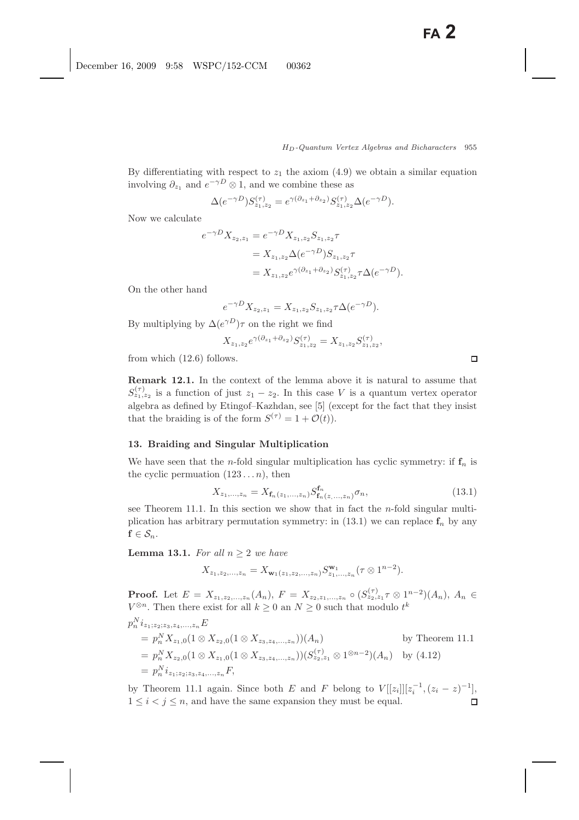By differentiating with respect to  $z_1$  the axiom (4.9) we obtain a similar equation involving  $\partial_{z_1}$  and  $e^{-\gamma D} \otimes 1$ , and we combine these as

$$
\Delta(e^{-\gamma D})S_{z_1,z_2}^{(\tau)} = e^{\gamma(\partial_{z_1} + \partial_{z_2})}S_{z_1,z_2}^{(\tau)}\Delta(e^{-\gamma D}).
$$

Now we calculate

$$
e^{-\gamma D} X_{z_2, z_1} = e^{-\gamma D} X_{z_1, z_2} S_{z_1, z_2} \tau
$$
  
=  $X_{z_1, z_2} \Delta(e^{-\gamma D}) S_{z_1, z_2} \tau$   
=  $X_{z_1, z_2} e^{\gamma (\partial_{z_1} + \partial_{z_2})} S_{z_1, z_2}^{(\tau)} \tau \Delta(e^{-\gamma D}).$ 

On the other hand

$$
e^{-\gamma D} X_{z_2, z_1} = X_{z_1, z_2} S_{z_1, z_2} \tau \Delta(e^{-\gamma D}).
$$

By multiplying by  $\Delta(e^{\gamma D})\tau$  on the right we find

$$
X_{z_1, z_2}e^{\gamma(\partial_{z_1} + \partial_{z_2})} S_{z_1, z_2}^{(\tau)} = X_{z_1, z_2} S_{z_1, z_2}^{(\tau)},
$$

from which (12.6) follows.

**Remark 12.1.** In the context of the lemma above it is natural to assume that  $S_{z_1,z_2}^{(\tau)}$  is a function of just  $z_1 - z_2$ . In this case V is a quantum vertex operator algebra as defined by Etingof–Kazhdan, see [5] (except for the fact that they insist that the braiding is of the form  $S^{(\tau)} = 1 + \mathcal{O}(t)$ .

#### **13. Braiding and Singular Multiplication**

We have seen that the *n*-fold singular multiplication has cyclic symmetry: if  $f_n$  is the cyclic permuation  $(123 \dots n)$ , then

$$
X_{z_1,\dots,z_n} = X_{\mathbf{f}_n(z_1,\dots,z_n)} S_{\mathbf{f}_n(z,\dots,z_n)}^{\mathbf{f}_n} \sigma_n,\tag{13.1}
$$

see Theorem 11.1. In this section we show that in fact the  $n$ -fold singular multiplication has arbitrary permutation symmetry: in  $(13.1)$  we can replace  $f_n$  by any  $f \in S_n$ .

**Lemma 13.1.** *For all*  $n \geq 2$  *we have* 

$$
X_{z_1,z_2,...,z_n}=X_{\mathbf{w}_1(z_1,z_2,...,z_n)}S_{z_1,...,z_n}^{\mathbf{w}_1}(\tau\otimes 1^{n-2}).
$$

**Proof.** Let  $E = X_{z_1,z_2,...,z_n}(A_n)$ ,  $F = X_{z_2,z_1,...,z_n} \circ (S_{z_2,z_1}^{(\tau)} \circ (B_{z_2,z_1}^{(\tau)} \circ (A_n), A_n \in$  $V^{\otimes n}$ . Then there exist for all  $k \geq 0$  an  $N \geq 0$  such that modulo  $t^k$ 

$$
p_n^{N} i_{z_1; z_2; z_3, z_4, \dots, z_n} E
$$
  
=  $p_n^N X_{z_1, 0} (1 \otimes X_{z_2, 0} (1 \otimes X_{z_3, z_4, \dots, z_n})) (A_n)$  by Theorem 11.1  
=  $p_n^N X_{z_2, 0} (1 \otimes X_{z_1, 0} (1 \otimes X_{z_3, z_4, \dots, z_n})) (S_{z_2, z_1}^{(\tau)} \otimes 1^{\otimes n-2})(A_n)$  by (4.12)  
=  $p_n^N i_{z_1; z_2; z_3, z_4, \dots, z_n} F$ ,

by Theorem 11.1 again. Since both E and F belong to  $V[[z_i]][z_i^{-1},(z_i-z)^{-1}]$ ,<br> $1 \le i \le i \le n$  and have the same arrangian thay must be equal.  $1 \leq i < j \leq n$ , and have the same expansion they must be equal.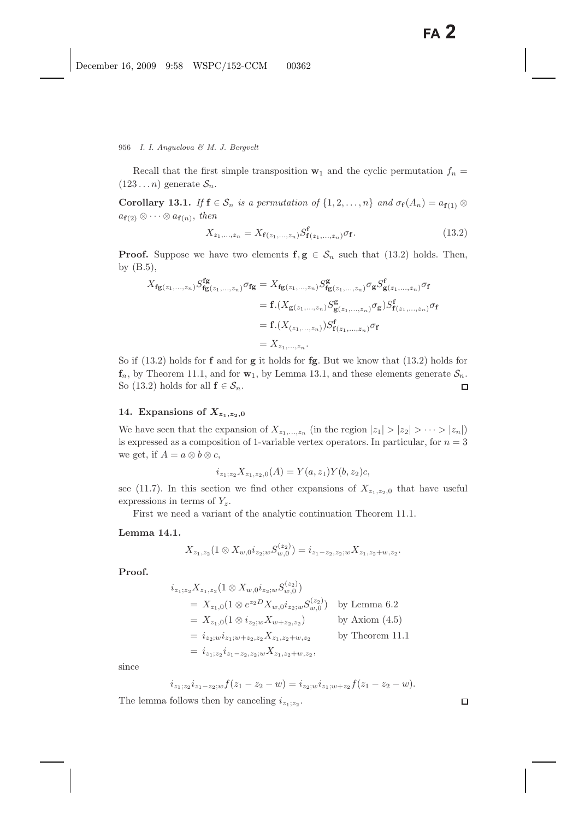Recall that the first simple transposition  $\mathbf{w}_1$  and the cyclic permutation  $f_n =$  $(123...n)$  generate  $S_n$ .

**Corollary 13.1.** *If*  $f \in S_n$  *is a permutation of*  $\{1, 2, ..., n\}$  *and*  $\sigma_f(A_n) = a_{f(1)} \otimes$  $a_{\mathbf{f}(2)} \otimes \cdots \otimes a_{\mathbf{f}(n)}$ , then

$$
X_{z_1,\ldots,z_n} = X_{\mathbf{f}(z_1,\ldots,z_n)} S_{\mathbf{f}(z_1,\ldots,z_n)}^{\mathbf{f}} \sigma_{\mathbf{f}}.
$$
 (13.2)

**Proof.** Suppose we have two elements  $f, g \in S_n$  such that (13.2) holds. Then, by (B.5),

$$
X_{fg(z_1,...,z_n)} S_{fg(z_1,...,z_n)}^{fg} \sigma_{fg} = X_{fg(z_1,...,z_n)} S_{fg(z_1,...,z_n)}^{g} \sigma_g S_{g(z_1,...,z_n)}^{f} \sigma_f
$$
  
= f.(X\_{g(z\_1,...,z\_n)} S\_{g(z\_1,...,z\_n)}^{g} \sigma\_g) S\_{f(z\_1,...,z\_n)}^{f} \sigma\_f  
= f.(X\_{(z\_1,...,z\_n)}) S\_{f(z\_1,...,z\_n)}^{f} \sigma\_f  
= X\_{z\_1,...,z\_n}.

So if (13.2) holds for **f** and for **g** it holds for **fg**. But we know that (13.2) holds for  $\mathbf{f}_n$ , by Theorem 11.1, and for  $\mathbf{w}_1$ , by Lemma 13.1, and these elements generate  $\mathcal{S}_n$ .<br>So (13.2) holds for all  $\mathbf{f} \in \mathcal{S}_n$ . So (13.2) holds for all  $f \in S_n$ .

# 14. Expansions of  $X_{z_1,z_2,0}$

We have seen that the expansion of  $X_{z_1,...,z_n}$  (in the region  $|z_1| > |z_2| > \cdots > |z_n|$ ) is expressed as a composition of 1-variable vertex operators. In particular, for  $n = 3$ we get, if  $A = a \otimes b \otimes c$ ,

$$
i_{z_1;z_2}X_{z_1,z_2,0}(A) = Y(a,z_1)Y(b,z_2)c,
$$

see (11.7). In this section we find other expansions of  $X_{z_1,z_2,0}$  that have useful expressions in terms of  $Y_z$ .

First we need a variant of the analytic continuation Theorem 11.1.

# **Lemma 14.1.**

$$
X_{z_1,z_2}(1\otimes X_{w,0}i_{z_2;w}S_{w,0}^{(z_2)})=i_{z_1-z_2,z_2;w}X_{z_1,z_2+w,z_2}.
$$

**Proof.**

$$
i_{z_1; z_2} X_{z_1, z_2} (1 \otimes X_{w,0} i_{z_2; w} S_{w,0}^{(z_2)})
$$
  
=  $X_{z_1,0} (1 \otimes e^{z_2 D} X_{w,0} i_{z_2; w} S_{w,0}^{(z_2)})$  by Lemma 6.2  
=  $X_{z_1,0} (1 \otimes i_{z_2; w} X_{w+z_2,z_2})$  by Axiom (4.5)  
=  $i_{z_2; w} i_{z_1; w+z_2, z_2} X_{z_1, z_2+w, z_2}$  by Theorem 11.1  
=  $i_{z_1; z_2} i_{z_1-z_2, z_2; w} X_{z_1, z_2+w, z_2}$ ,

since

$$
i_{z_1;z_2}i_{z_1-z_2;w}f(z_1-z_2-w)=i_{z_2;w}i_{z_1;w+z_2}f(z_1-z_2-w).
$$

The lemma follows then by canceling  $i_{z_1;z_2}$ .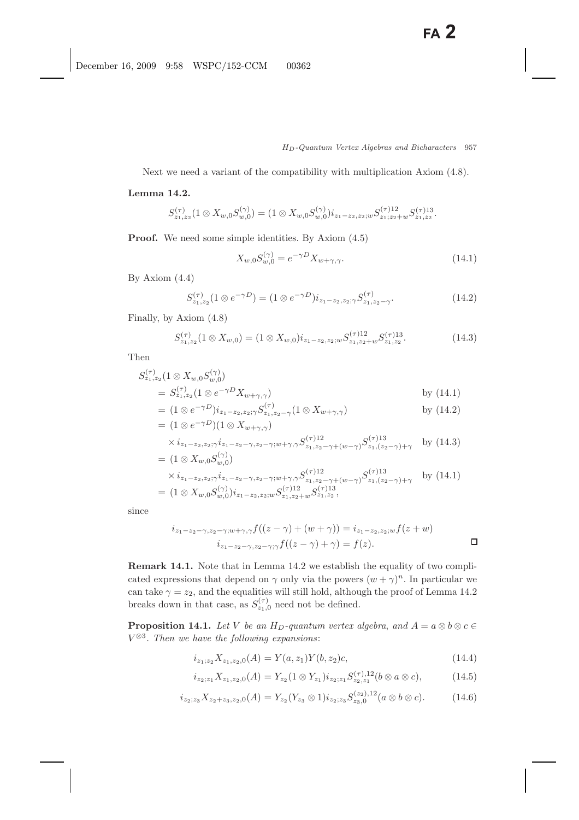Next we need a variant of the compatibility with multiplication Axiom (4.8).

# **Lemma 14.2.**

$$
S_{z_1,z_2}^{(\tau)}(1\otimes X_{w,0}S_{w,0}^{(\gamma)})=(1\otimes X_{w,0}S_{w,0}^{(\gamma)})i_{z_1-z_2,z_2;w}S_{z_1;z_2+w}^{(\tau)12}S_{z_1,z_2}^{(\tau)13}.
$$

**Proof.** We need some simple identities. By Axiom  $(4.5)$ 

$$
X_{w,0}S_{w,0}^{(\gamma)} = e^{-\gamma D}X_{w+\gamma,\gamma}.
$$
\n(14.1)

By Axiom (4.4)

$$
S_{z_1, z_2}^{(\tau)}(1 \otimes e^{-\gamma D}) = (1 \otimes e^{-\gamma D}) i_{z_1 - z_2, z_2; \gamma} S_{z_1, z_2 - \gamma}^{(\tau)}.
$$
 (14.2)

Finally, by Axiom (4.8)

$$
S_{z_1, z_2}^{(\tau)}(1 \otimes X_{w,0}) = (1 \otimes X_{w,0}) i_{z_1 - z_2, z_2; w} S_{z_1, z_2 + w}^{(\tau)12} S_{z_1, z_2}^{(\tau)13}.
$$
 (14.3)

Then

$$
S_{z_1,z_2}^{(\tau)}(1 \otimes X_{w,0}S_{w,0}^{(\gamma)})
$$
  
=  $S_{z_1,z_2}^{(\tau)}(1 \otimes e^{-\gamma D}X_{w+\gamma,\gamma})$  by (14.1)

$$
= (1 \otimes e^{-\gamma D}) i_{z_1 - z_2, z_2; \gamma} S_{z_1, z_2 - \gamma}^{(\tau)} (1 \otimes X_{w + \gamma, \gamma})
$$
 by (14.2)  
=  $(1 \otimes e^{-\gamma D})(1 \otimes X_{w + \gamma, \gamma})$ 

$$
\times i_{z_1 - z_2, z_2; \gamma} i_{z_1 - z_2 - \gamma, z_2 - \gamma; w + \gamma, \gamma} S_{z_1, z_2 - \gamma + (w - \gamma)}^{(\tau)12} S_{z_1, (z_2 - \gamma) + \gamma}^{(\tau)13} \quad \text{by (14.3)}
$$

$$
= (1 \otimes X_{w,0} S_{w,0}^{(r)})
$$
  
\n
$$
\times i_{z_1 - z_2, z_2; \gamma} i_{z_1 - z_2 - \gamma, z_2 - \gamma; w + \gamma, \gamma} S_{z_1, z_2 - \gamma + (w - \gamma)}^{(r)12} S_{z_1, (z_2 - \gamma) + \gamma}^{(\tau)13} \text{ by (14.1)}
$$
  
\n
$$
= (1 \otimes X_{w,0} S_{w,0}^{(\gamma)}) i_{z_1 - z_2, z_2; w} S_{z_1, z_2 + w}^{(\tau)12} S_{z_1, z_2}^{(\tau)13},
$$

since

$$
i_{z_1-z_2-\gamma, z_2-\gamma; w+\gamma, \gamma} f((z-\gamma)+(w+\gamma)) = i_{z_1-z_2, z_2; w} f(z+w)
$$
  

$$
i_{z_1-z_2-\gamma, z_2-\gamma; \gamma} f((z-\gamma)+\gamma) = f(z).
$$

**Remark 14.1.** Note that in Lemma 14.2 we establish the equality of two complicated expressions that depend on  $\gamma$  only via the powers  $(w + \gamma)^n$ . In particular we can take  $\gamma = z_2$ , and the equalities will still hold, although the proof of Lemma 14.2 breaks down in that case, as  $S_{z_1,0}^{(\tau)}$  need not be defined.

**Proposition 14.1.** *Let* V *be an*  $H_D$ -quantum vertex algebra, and  $A = a \otimes b \otimes c \in$  $V^{\otimes 3}$ . Then we have the following expansions:

$$
i_{z_1; z_2} X_{z_1, z_2, 0}(A) = Y(a, z_1) Y(b, z_2) c,
$$
\n(14.4)

$$
i_{z_2;z_1}X_{z_1,z_2,0}(A) = Y_{z_2}(1 \otimes Y_{z_1})i_{z_2;z_1} S_{z_2,z_1}^{(\tau),12}(b \otimes a \otimes c), \qquad (14.5)
$$

$$
i_{z_2;z_3} X_{z_2+z_3,z_2,0}(A) = Y_{z_2}(Y_{z_3} \otimes 1)i_{z_2;z_3} S_{z_3,0}^{(z_2),12}(a \otimes b \otimes c). \tag{14.6}
$$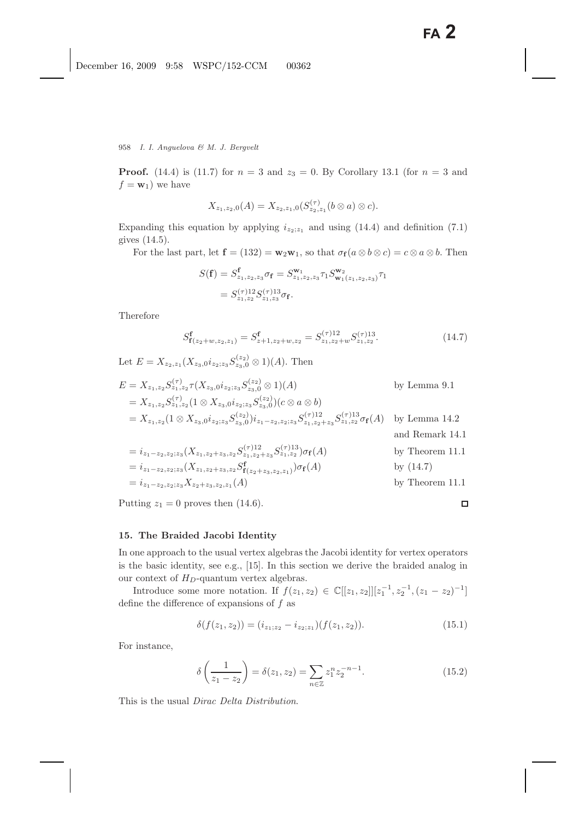958 *I. I. Anguelova & M. J. Bergvelt*

**Proof.** (14.4) is (11.7) for  $n = 3$  and  $z_3 = 0$ . By Corollary 13.1 (for  $n = 3$  and  $f = \mathbf{w}_1$ ) we have

$$
X_{z_1,z_2,0}(A)=X_{z_2,z_1,0}(S_{z_2,z_1}^{(\tau)}(b\otimes a)\otimes c).
$$

Expanding this equation by applying  $i_{z_2;z_1}$  and using (14.4) and definition (7.1) gives (14.5).

For the last part, let  $f = (132) = w_2w_1$ , so that  $\sigma_f(a \otimes b \otimes c) = c \otimes a \otimes b$ . Then

$$
S(\mathbf{f}) = S_{z_1, z_2, z_3}^{\mathbf{f}} \sigma_{\mathbf{f}} = S_{z_1, z_2, z_3}^{\mathbf{w}_1} \tau_1 S_{\mathbf{w}_1(z_1, z_2, z_3)}^{\mathbf{w}_2} \tau_1
$$

$$
= S_{z_1, z_2}^{(\tau)12} S_{z_1, z_3}^{(\tau)13} \sigma_{\mathbf{f}}.
$$

Therefore

$$
S_{\mathbf{f}(z_2+w,z_2,z_1)}^{\mathbf{f}} = S_{z+1,z_2+w,z_2}^{\mathbf{f}} = S_{z_1,z_2+w}^{(\tau)12} S_{z_1,z_2}^{(\tau)13}.
$$
 (14.7)

Let  $E = X_{z_2, z_1} (X_{z_3,0} i_{z_2, z_3} S_{z_3,0}^{(z_2)} \otimes 1)(A)$ . Then

$$
E = X_{z_1, z_2} S_{z_1, z_2}^{(\tau)} \tau(X_{z_3, 0} i_{z_2, z_3} S_{z_3, 0}^{(z_2)} \otimes 1)(A) \qquad \text{by Lemma 9.1}
$$
\n
$$
= X_{z_1, z_2} S_{z_1, z_2}^{(\tau)} (1 \otimes X_{z_3, 0} i_{z_2, z_3} S_{z_3, 0}^{(z_2)})(c \otimes a \otimes b)
$$
\n
$$
= X_{z_1, z_2} (1 \otimes X_{z_3, 0} i_{z_2, z_3} S_{z_3, 0}^{(z_2)}) i_{z_1 - z_2, z_2, z_3} S_{z_1, z_2 + z_3}^{(\tau)12} S_{z_1, z_2}^{(\tau)13} \sigma_f(A) \qquad \text{by Lemma 14.2}
$$
\nand Remark 14.1\n
$$
= i_{z_1 - z_2, z_2, z_3} (X_{z_1, z_2 + z_3, z_2} S_{z_1, z_2 + z_3}^{(\tau)12} S_{z_1, z_2}^{(\tau)13}) \sigma_f(A) \qquad \text{by Theorem 11.1}
$$
\n
$$
= i_{z_1 - z_2, z_2, z_3} (X_{z_1, z_2 + z_3, z_2} S_{z_1, z_2 + z_3}^{(\tau)12} S_{z_1, z_2}^{(\tau)13}) \sigma_f(A) \qquad \text{by (14.7)}
$$

$$
= i_{z_1-z_2,z_2;z_3}(X_{z_1,z_2+z_3,z_2}S_{\mathbf{f}(z_2+z_3,z_2,z_1)}^{\mathbf{f}})\sigma_{\mathbf{f}}(A) \qquad \text{by (14.7)}
$$
  
=  $i_{z_1-z_2,z_2;z_3}X_{z_2+z_3,z_2,z_1}(A) \qquad \text{by Theorem 11.1}$ 

Putting  $z_1 = 0$  proves then (14.6).

# **15. The Braided Jacobi Identity**

In one approach to the usual vertex algebras the Jacobi identity for vertex operators is the basic identity, see e.g., [15]. In this section we derive the braided analog in our context of  $H_D$ -quantum vertex algebras.

Introduce some more notation. If  $f(z_1, z_2) \in \mathbb{C}[[z_1, z_2]][z_1^{-1}, z_2^{-1}, (z_1 - z_2)^{-1}]$ define the difference of expansions of f as

$$
\delta(f(z_1, z_2)) = (i_{z_1; z_2} - i_{z_2; z_1})(f(z_1, z_2)).
$$
\n(15.1)

 $\Box$ 

For instance,

$$
\delta\left(\frac{1}{z_1 - z_2}\right) = \delta(z_1, z_2) = \sum_{n \in \mathbb{Z}} z_1^n z_2^{-n-1}.
$$
\n(15.2)

This is the usual *Dirac Delta Distribution*.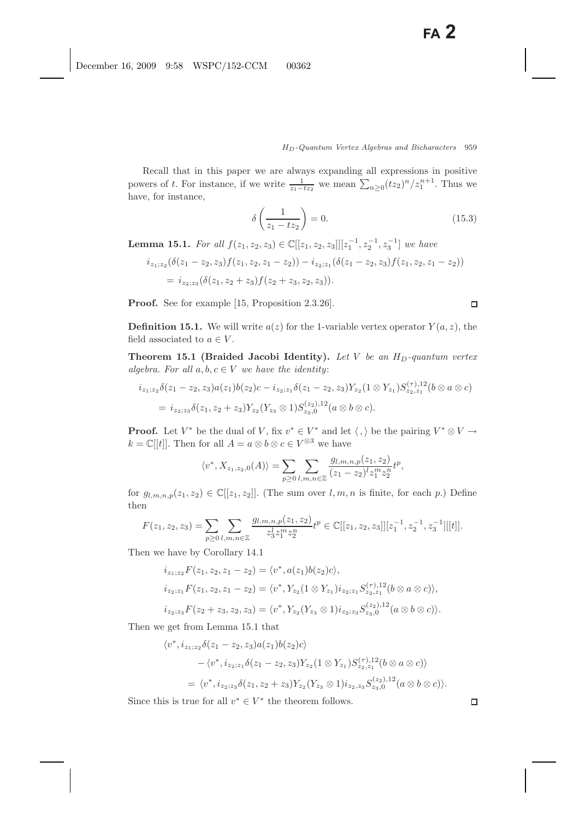Recall that in this paper we are always expanding all expressions in positive powers of t. For instance, if we write  $\frac{1}{z_1-tz_2}$  we mean  $\sum_{n\geq 0} (tz_2)^n/z_1^{n+1}$ . Thus we have, for instance,

$$
\delta\left(\frac{1}{z_1 - tz_2}\right) = 0.\tag{15.3}
$$

**Lemma 15.1.** *For all*  $f(z_1, z_2, z_3) \in \mathbb{C}[[z_1, z_2, z_3]][z_1^{-1}, z_2^{-1}, z_3^{-1}]$  *we have* 

$$
i_{z_1;z_2}(\delta(z_1-z_2,z_3)f(z_1,z_2,z_1-z_2))-i_{z_2;z_1}(\delta(z_1-z_2,z_3)f(z_1,z_2,z_1-z_2))
$$
  
=  $i_{z_2;z_3}(\delta(z_1,z_2+z_3)f(z_2+z_3,z_2,z_3)).$ 

**Proof.** See for example [15, Proposition 2.3.26].

**Definition 15.1.** We will write  $a(z)$  for the 1-variable vertex operator  $Y(a, z)$ , the field associated to  $a \in V$ .

**Theorem 15.1 (Braided Jacobi Identity).** Let V be an  $H_D$ -quantum vertex *algebra. For all*  $a, b, c \in V$  *we have the identity:* 

$$
i_{z_1;z_2}\delta(z_1-z_2,z_3)a(z_1)b(z_2)c-i_{z_2;z_1}\delta(z_1-z_2,z_3)Y_{z_2}(1\otimes Y_{z_1})S_{z_2,z_1}^{(\tau),12}(b\otimes a\otimes c)
$$
  
=  $i_{z_2;z_3}\delta(z_1,z_2+z_3)Y_{z_2}(Y_{z_3}\otimes 1)S_{z_3,0}^{(z_2),12}(a\otimes b\otimes c).$ 

**Proof.** Let  $V^*$  be the dual of V, fix  $v^* \in V^*$  and let  $\langle , \rangle$  be the pairing  $V^* \otimes V \to$  $k = \mathbb{C}[[t]]$ . Then for all  $A = a \otimes b \otimes c \in V^{\otimes 3}$  we have

$$
\langle v^*, X_{z_1, z_2, 0}(A) \rangle = \sum_{p \ge 0} \sum_{l, m, n \in \mathbb{Z}} \frac{g_{l, m, n, p}(z_1, z_2)}{(z_1 - z_2)^l z_1^m z_2^n} t^p,
$$

for  $g_{l,m,n,p}(z_1, z_2) \in \mathbb{C}[[z_1, z_2]]$ . (The sum over  $l, m, n$  is finite, for each p.) Define then

$$
F(z_1, z_2, z_3) = \sum_{p \ge 0} \sum_{l,m,n \in \mathbb{Z}} \frac{g_{l,m,n,p}(z_1, z_2)}{z_3^l z_1^m z_2^n} t^p \in \mathbb{C}[[z_1, z_2, z_3]][z_1^{-1}, z_2^{-1}, z_3^{-1}][[t]].
$$

Then we have by Corollary 14.1

$$
i_{z_1,z_2}F(z_1, z_2, z_1 - z_2) = \langle v^*, a(z_1)b(z_2)c \rangle,
$$
  
\n
$$
i_{z_2,z_1}F(z_1, z_2, z_1 - z_2) = \langle v^*, Y_{z_2}(1 \otimes Y_{z_1})i_{z_2,z_1}S_{z_2,z_1}^{(\tau),12}(b \otimes a \otimes c) \rangle,
$$
  
\n
$$
i_{z_2,z_3}F(z_2 + z_3, z_2, z_3) = \langle v^*, Y_{z_2}(Y_{z_3} \otimes 1)i_{z_2,z_3}S_{z_3,0}^{(z_2),12}(a \otimes b \otimes c) \rangle.
$$

Then we get from Lemma 15.1 that

$$
\langle v^*, i_{z_1; z_2}\delta(z_1 - z_2, z_3)a(z_1)b(z_2)c\rangle
$$
  
 
$$
- \langle v^*, i_{z_2; z_1}\delta(z_1 - z_2, z_3)Y_{z_2}(1 \otimes Y_{z_1})S_{z_2, z_1}^{(\tau),12}(b \otimes a \otimes c)\rangle
$$
  
 
$$
= \langle v^*, i_{z_2; z_3}\delta(z_1, z_2 + z_3)Y_{z_2}(Y_{z_3} \otimes 1)i_{z_2, z_3}S_{z_3,0}^{(z_2),12}(a \otimes b \otimes c)\rangle.
$$

Since this is true for all  $v^* \in V^*$  the theorem follows.

 $\Box$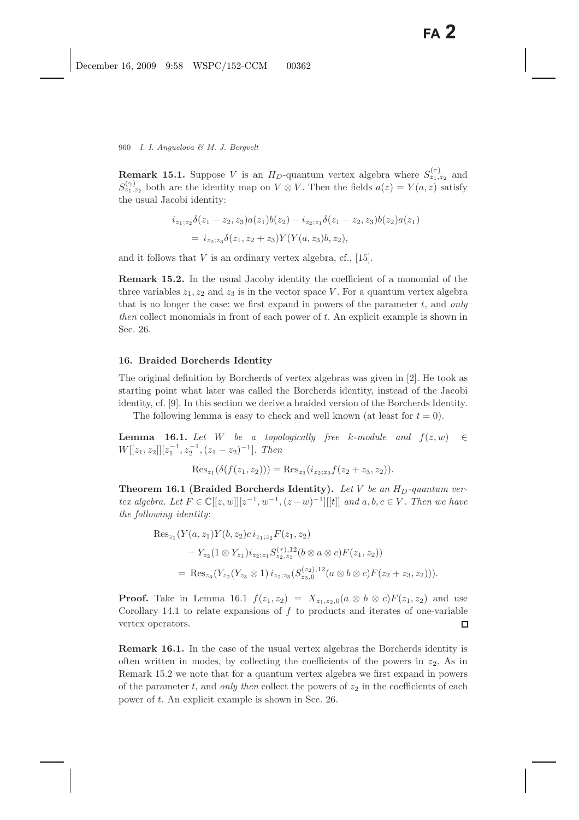**Remark 15.1.** Suppose V is an  $H_D$ -quantum vertex algebra where  $S_{z_1,z_2}^{(\tau)}$  and  $S_{z_1,z_2}^{(\gamma)}$  both are the identity map on  $V \otimes V$ . Then the fields  $a(z) = Y(a, z)$  satisfy the usual Jacobi identity:

$$
i_{z_1,z_2}\delta(z_1-z_2,z_3)a(z_1)b(z_2) - i_{z_2,z_1}\delta(z_1-z_2,z_3)b(z_2)a(z_1)
$$
  
= 
$$
i_{z_2,z_3}\delta(z_1,z_2+z_3)Y(Y(a,z_3)b,z_2),
$$

and it follows that  $V$  is an ordinary vertex algebra, cf., [15].

**Remark 15.2.** In the usual Jacoby identity the coefficient of a monomial of the three variables  $z_1, z_2$  and  $z_3$  is in the vector space V. For a quantum vertex algebra that is no longer the case: we first expand in powers of the parameter t, and *only then* collect monomials in front of each power of t. An explicit example is shown in Sec. 26.

#### **16. Braided Borcherds Identity**

The original definition by Borcherds of vertex algebras was given in [2]. He took as starting point what later was called the Borcherds identity, instead of the Jacobi identity, cf. [9]. In this section we derive a braided version of the Borcherds Identity.

The following lemma is easy to check and well known (at least for  $t = 0$ ).

**Lemma 16.1.** *Let* W *be a topologically free* k-module and  $f(z,w) \in$  $W[[z_1, z_2]][z_1^{-1}, z_2^{-1}, (z_1 - z_2)^{-1}]$ *. Then* 

$$
\operatorname{Res}_{z_1}(\delta(f(z_1, z_2))) = \operatorname{Res}_{z_3}(i_{z_2; z_3}f(z_2 + z_3, z_2)).
$$

**Theorem 16.1 (Braided Borcherds Identity).** Let V be an  $H_D$ -quantum ver*tex algebra.* Let  $F \in \mathbb{C}[[z, w]][z^{-1}, w^{-1}, (z-w)^{-1}][[t]]$  and a, b, c ∈ V. Then we have *the following identity*:

$$
\begin{aligned} \text{Res}_{z_1}(Y(a,z_1)Y(b,z_2)c \, i_{z_1;z_2}F(z_1,z_2) \\ &-Y_{z_2}(1 \otimes Y_{z_1})i_{z_2;z_1}S_{z_2,z_1}^{(\tau),12}(b \otimes a \otimes c)F(z_1,z_2)) \\ &= \text{Res}_{z_3}(Y_{z_2}(Y_{z_3} \otimes 1) \, i_{z_2;z_3}(S_{z_3,0}^{(z_2),12}(a \otimes b \otimes c)F(z_2+z_3,z_2))). \end{aligned}
$$

**Proof.** Take in Lemma 16.1  $f(z_1, z_2) = X_{z_1, z_2, 0}(a \otimes b \otimes c)F(z_1, z_2)$  and use Corollary 14.1 to relate expansions of  $f$  to products and iterates of one-variable vertex operators.  $\Box$ 

**Remark 16.1.** In the case of the usual vertex algebras the Borcherds identity is often written in modes, by collecting the coefficients of the powers in  $z_2$ . As in Remark 15.2 we note that for a quantum vertex algebra we first expand in powers of the parameter t, and *only then* collect the powers of  $z_2$  in the coefficients of each power of t. An explicit example is shown in Sec. 26.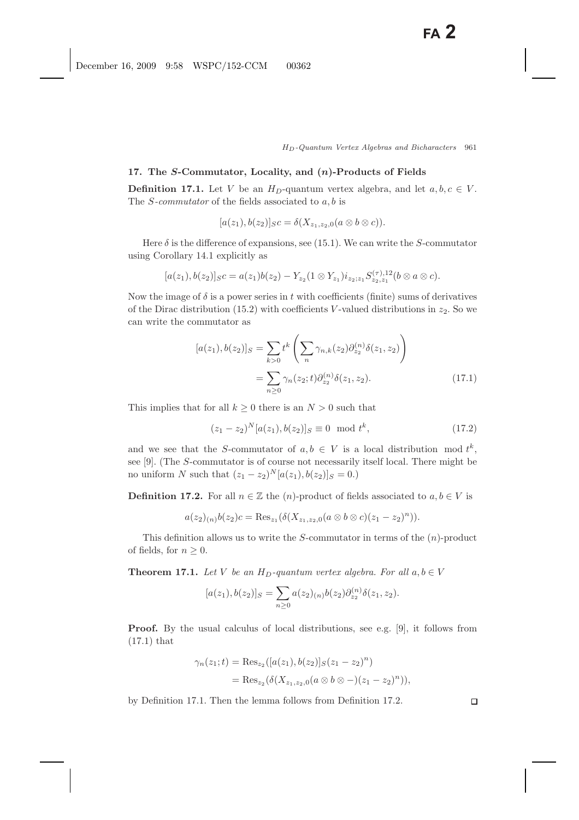#### **17. The** *S***-Commutator, Locality, and (***n***)-Products of Fields**

**Definition 17.1.** Let V be an  $H_D$ -quantum vertex algebra, and let  $a, b, c \in V$ . The S*-commutator* of the fields associated to a, b is

$$
[a(z1), b(z2)]SC = \delta(Xz1, z2, 0(a \otimes b \otimes c)).
$$

Here  $\delta$  is the difference of expansions, see (15.1). We can write the S-commutator using Corollary 14.1 explicitly as

$$
[a(z_1), b(z_2)]_{S}c = a(z_1)b(z_2) - Y_{z_2}(1 \otimes Y_{z_1})i_{z_2; z_1}S_{z_2, z_1}^{(\tau),12}(b \otimes a \otimes c).
$$

Now the image of  $\delta$  is a power series in t with coefficients (finite) sums of derivatives of the Dirac distribution (15.2) with coefficients V-valued distributions in  $z_2$ . So we can write the commutator as

$$
[a(z_1), b(z_2)]_S = \sum_{k>0} t^k \left( \sum_n \gamma_{n,k}(z_2) \partial_{z_2}^{(n)} \delta(z_1, z_2) \right)
$$
  
= 
$$
\sum_{n\geq 0} \gamma_n(z_2; t) \partial_{z_2}^{(n)} \delta(z_1, z_2).
$$
 (17.1)

This implies that for all  $k \geq 0$  there is an  $N > 0$  such that

$$
(z_1 - z_2)^N [a(z_1), b(z_2)]_S \equiv 0 \mod t^k,
$$
\n(17.2)

and we see that the S-commutator of  $a, b \in V$  is a local distribution mod  $t^k$ , see [9]. (The S-commutator is of course not necessarily itself local. There might be no uniform N such that  $(z_1 - z_2)^N [a(z_1), b(z_2)]_S = 0.$ 

**Definition 17.2.** For all  $n \in \mathbb{Z}$  the  $(n)$ -product of fields associated to  $a, b \in V$  is

$$
a(z_2)_{(n)}b(z_2)c = \text{Res}_{z_1}(\delta(X_{z_1,z_2,0}(a\otimes b\otimes c)(z_1-z_2)^n)).
$$

This definition allows us to write the  $S$ -commutator in terms of the  $(n)$ -product of fields, for  $n \geq 0$ .

**Theorem 17.1.** *Let* V *be an*  $H_D$ -quantum vertex algebra. For all  $a, b \in V$ 

$$
[a(z_1), b(z_2)]_S = \sum_{n\geq 0} a(z_2)_{(n)} b(z_2) \partial_{z_2}^{(n)} \delta(z_1, z_2).
$$

**Proof.** By the usual calculus of local distributions, see e.g. [9], it follows from (17.1) that

$$
\gamma_n(z_1;t) = \text{Res}_{z_2}([a(z_1), b(z_2)]_S(z_1 - z_2)^n)
$$
  
= 
$$
\text{Res}_{z_2}(\delta(X_{z_1, z_2, 0}(a \otimes b \otimes -)(z_1 - z_2)^n)),
$$

by Definition 17.1. Then the lemma follows from Definition 17.2.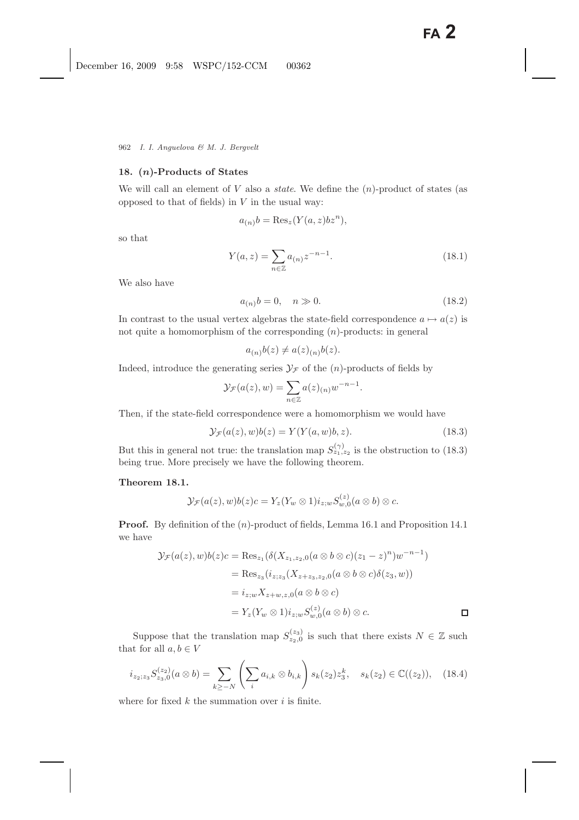# **18. (***n***)-Products of States**

We will call an element of  $V$  also a *state*. We define the  $(n)$ -product of states (as opposed to that of fields) in  $V$  in the usual way:

$$
a_{(n)}b = \text{Res}_{z}(Y(a,z)bz^{n}),
$$

so that

$$
Y(a, z) = \sum_{n \in \mathbb{Z}} a_{(n)} z^{-n-1}.
$$
 (18.1)

We also have

$$
a_{(n)}b = 0, \quad n \gg 0. \tag{18.2}
$$

In contrast to the usual vertex algebras the state-field correspondence  $a \mapsto a(z)$  is not quite a homomorphism of the corresponding  $(n)$ -products: in general

$$
a_{(n)}b(z) \neq a(z)_{(n)}b(z).
$$

Indeed, introduce the generating series  $\mathcal{Y}_\mathcal{F}$  of the  $(n)$ -products of fields by

$$
\mathcal{Y}_{\mathcal{F}}(a(z),w) = \sum_{n \in \mathbb{Z}} a(z)_{(n)} w^{-n-1}.
$$

Then, if the state-field correspondence were a homomorphism we would have

$$
\mathcal{Y}_{\mathcal{F}}(a(z),w)b(z) = Y(Y(a,w)b,z). \tag{18.3}
$$

 $\mathbb{R}^2$ 

But this in general not true: the translation map  $S_{z_1,z_2}^{(\gamma)}$  is the obstruction to (18.3) being true. More precisely we have the following theorem.

# **Theorem 18.1.**

$$
\mathcal{Y}_{\mathcal{F}}(a(z),w)b(z)c=Y_z(Y_w\otimes 1)i_{z;w}S_{w,0}^{(z)}(a\otimes b)\otimes c.
$$

**Proof.** By definition of the  $(n)$ -product of fields, Lemma 16.1 and Proposition 14.1 we have

$$
\mathcal{Y}_{\mathcal{F}}(a(z), w)b(z)c = \text{Res}_{z_1}(\delta(X_{z_1, z_2, 0}(a \otimes b \otimes c)(z_1 - z)^n)w^{-n-1})
$$
  
\n
$$
= \text{Res}_{z_3}(i_{z_1z_3}(X_{z + z_3, z_2, 0}(a \otimes b \otimes c)\delta(z_3, w))
$$
  
\n
$$
= i_{z;w}X_{z + w, z, 0}(a \otimes b \otimes c)
$$
  
\n
$$
= Y_z(Y_w \otimes 1)i_{z;w}S_{w,0}^{(z)}(a \otimes b) \otimes c.
$$

Suppose that the translation map  $S_{z_2,0}^{(z_3)}$  is such that there exists  $N \in \mathbb{Z}$  such that there exists  $N \in \mathbb{Z}$ that for all  $a, b \in V$ 

$$
i_{z_2;z_3}S_{z_3,0}^{(z_2)}(a\otimes b)=\sum_{k\geq -N}\left(\sum_{i}a_{i,k}\otimes b_{i,k}\right)s_k(z_2)z_3^k, \quad s_k(z_2)\in\mathbb{C}((z_2)),\quad(18.4)
$$

where for fixed  $k$  the summation over  $i$  is finite.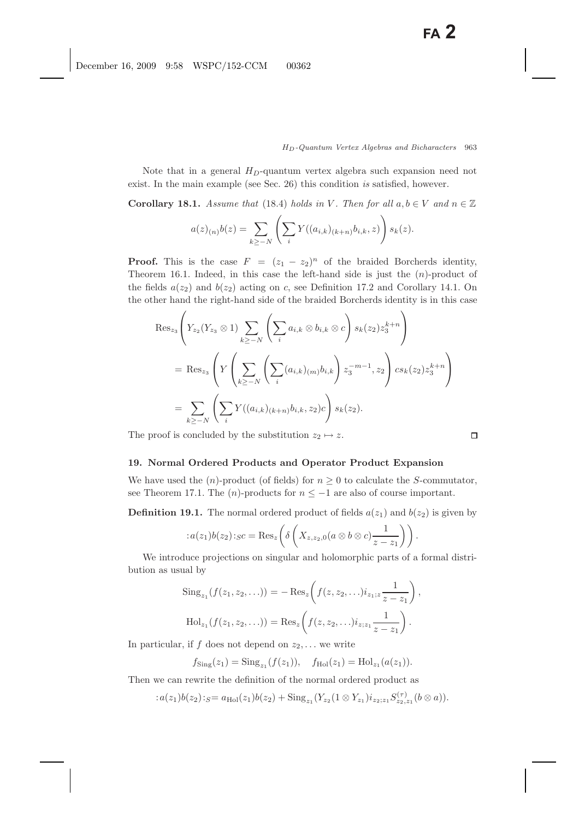Note that in a general  $H_D$ -quantum vertex algebra such expansion need not exist. In the main example (see Sec. 26) this condition *is* satisfied, however.

**Corollary 18.1.** *Assume that* (18.4) *holds in* V. Then for all  $a, b \in V$  and  $n \in \mathbb{Z}$ 

$$
a(z)_{(n)}b(z) = \sum_{k \ge -N} \left( \sum_i Y((a_{i,k})_{(k+n)}b_{i,k}, z) \right) s_k(z).
$$

**Proof.** This is the case  $F = (z_1 - z_2)^n$  of the braided Borcherds identity, Theorem 16.1. Indeed, in this case the left-hand side is just the  $(n)$ -product of the fields  $a(z_2)$  and  $b(z_2)$  acting on c, see Definition 17.2 and Corollary 14.1. On the other hand the right-hand side of the braided Borcherds identity is in this case

$$
Res_{z_{3}}\left(Y_{z_{2}}(Y_{z_{3}} \otimes 1) \sum_{k \geq -N} \left(\sum_{i} a_{i,k} \otimes b_{i,k} \otimes c\right) s_{k}(z_{2}) z_{3}^{k+n}\right)
$$
  
= Res\_{z\_{3}}\left(Y\left(\sum\_{k \geq -N} \left(\sum\_{i} (a\_{i,k})\_{(m)} b\_{i,k}\right) z\_{3}^{-m-1}, z\_{2}\right) c s\_{k}(z\_{2}) z\_{3}^{k+n}\right)  
= \sum\_{k \geq -N} \left(\sum\_{i} Y((a\_{i,k})\_{(k+n)} b\_{i,k}, z\_{2}) c\right) s\_{k}(z\_{2).

The proof is concluded by the substitution  $z_2 \mapsto z$ .

#### **19. Normal Ordered Products and Operator Product Expansion**

We have used the  $(n)$ -product (of fields) for  $n \geq 0$  to calculate the S-commutator, see Theorem 17.1. The  $(n)$ -products for  $n \le -1$  are also of course important.

**Definition 19.1.** The normal ordered product of fields  $a(z_1)$  and  $b(z_2)$  is given by

$$
: a(z_1)b(z_2):_{S}c = \text{Res}_{z}\left(\delta\left(X_{z,z_2,0}(a\otimes b\otimes c)\frac{1}{z-z_1}\right)\right).
$$

We introduce projections on singular and holomorphic parts of a formal distribution as usual by

Sing<sub>z1</sub>
$$
(f(z_1, z_2,...)) = -\text{Res}_z (f(z, z_2,...)i_{z_1,z} \frac{1}{z - z_1}),
$$
  
Hol<sub>z1</sub> $(f(z_1, z_2,...)) = \text{Res}_z (f(z, z_2,...)i_{z_1,z_1} \frac{1}{z - z_1}).$ 

In particular, if f does not depend on  $z_2$ ,... we write

$$
f_{\text{Sing}}(z_1) = \text{Sing}_{z_1}(f(z_1)), \quad f_{\text{Hol}}(z_1) = \text{Hol}_{z_1}(a(z_1)).
$$

Then we can rewrite the definition of the normal ordered product as

$$
: a(z_1)b(z_2):_S = a_{\text{Hol}}(z_1)b(z_2) + \text{Sing}_{z_1}(Y_{z_2}(1 \otimes Y_{z_1})i_{z_2; z_1}S_{z_2, z_1}^{(\tau)}(b \otimes a)).
$$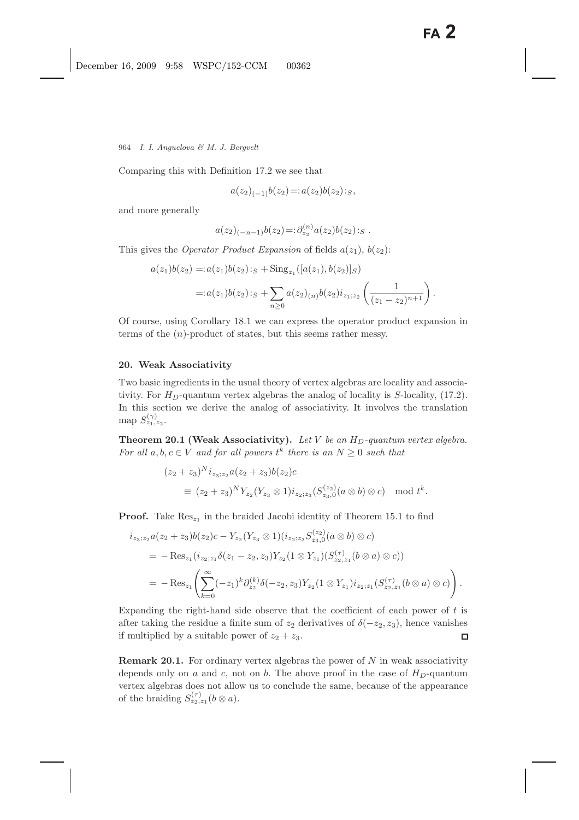Comparing this with Definition 17.2 we see that

$$
a(z_2)_{(-1)}b(z_2) =: a(z_2)b(z_2):_S,
$$

and more generally

$$
a(z_2)_{(-n-1)}b(z_2)=:\partial_{z_2}^{(n)}a(z_2)b(z_2):_S.
$$

This gives the *Operator Product Expansion* of fields  $a(z_1)$ ,  $b(z_2)$ :

$$
a(z_1)b(z_2) =: a(z_1)b(z_2):_S + \text{Sing}_{z_1}([a(z_1), b(z_2)]_S)
$$
  
=: 
$$
a(z_1)b(z_2):_S + \sum_{n\geq 0} a(z_2)_{(n)}b(z_2)i_{z_1;z_2} \left(\frac{1}{(z_1 - z_2)^{n+1}}\right).
$$

Of course, using Corollary 18.1 we can express the operator product expansion in terms of the  $(n)$ -product of states, but this seems rather messy.

# **20. Weak Associativity**

Two basic ingredients in the usual theory of vertex algebras are locality and associativity. For  $H_D$ -quantum vertex algebras the analog of locality is S-locality, (17.2). In this section we derive the analog of associativity. It involves the translation map  $S_{z_1,z_2}^{(\gamma)}$ .

**Theorem 20.1 (Weak Associativity).** Let  $V$  be an  $H_D$ -quantum vertex algebra. *For all*  $a, b, c \in V$  *and for all powers*  $t^k$  *there is an*  $N \geq 0$  *such that* 

$$
(z_2 + z_3)^N i_{z_3; z_2} a(z_2 + z_3) b(z_2) c
$$
  
\n
$$
\equiv (z_2 + z_3)^N Y_{z_2} (Y_{z_3} \otimes 1) i_{z_2; z_3} (S_{z_3,0}^{(z_2)} (a \otimes b) \otimes c) \mod t^k.
$$

**Proof.** Take  $\text{Res}_{z_1}$  in the braided Jacobi identity of Theorem 15.1 to find

$$
i_{z_3;z_2}a(z_2 + z_3)b(z_2)c - Y_{z_2}(Y_{z_3} \otimes 1)(i_{z_2;z_3}S_{z_3,0}^{(z_2)}(a \otimes b) \otimes c)
$$
  
= - Res\_{z\_1}(i\_{z\_2;z\_1}\delta(z\_1 - z\_2, z\_3)Y\_{z\_2}(1 \otimes Y\_{z\_1})(S\_{z\_2,z\_1}^{(\tau)}(b \otimes a) \otimes c))  
= - Res\_{z\_1}\left(\sum\_{k=0}^{\infty}(-z\_1)^k\partial\_{z\_2}^{(k)}\delta(-z\_2, z\_3)Y\_{z\_2}(1 \otimes Y\_{z\_1})i\_{z\_2;z\_1}(S\_{z\_2,z\_1}^{(\tau)}(b \otimes a) \otimes c)\right).

Expanding the right-hand side observe that the coefficient of each power of  $t$  is after taking the residue a finite sum of  $z_2$  derivatives of  $\delta(-z_2, z_3)$ , hence vanishes if multiplied by a suitable power of  $z_2 + z_3$ . if multiplied by a suitable power of  $z_2 + z_3$ .

**Remark 20.1.** For ordinary vertex algebras the power of  $N$  in weak associativity depends only on a and c, not on b. The above proof in the case of  $H_D$ -quantum vertex algebras does not allow us to conclude the same, because of the appearance of the braiding  $S_{z_2,z_1}^{(\tau)}(b \otimes a)$ .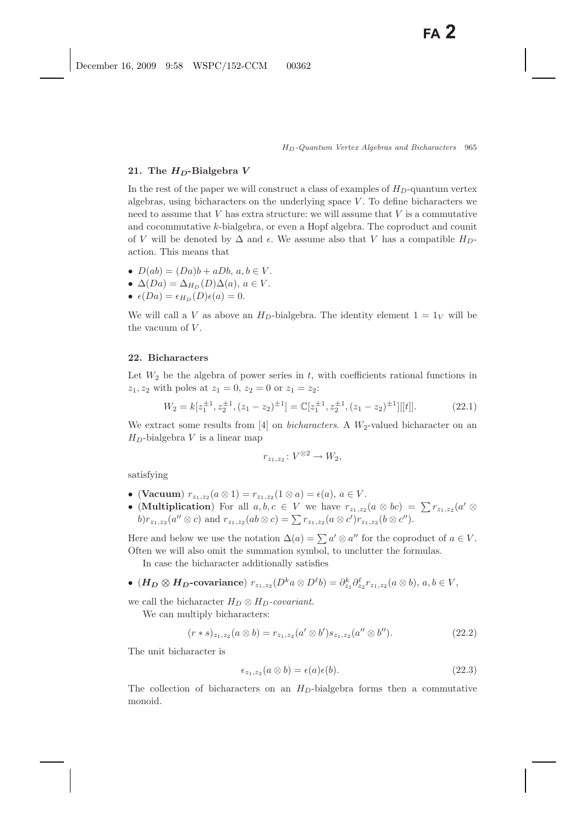### **21. The** *HD***-Bialgebra** *V*

In the rest of the paper we will construct a class of examples of  $H_D$ -quantum vertex algebras, using bicharacters on the underlying space  $V$ . To define bicharacters we need to assume that  $V$  has extra structure: we will assume that  $V$  is a commutative and cocommutative k-bialgebra, or even a Hopf algebra. The coproduct and counit of V will be denoted by  $\Delta$  and  $\epsilon$ . We assume also that V has a compatible  $H_D$ action. This means that

- $D(ab) = (Da)b + aDb, a, b \in V$ .
- $\Delta(Da) = \Delta_{H_D}(D)\Delta(a), a \in V$ .
- $\epsilon(Da) = \epsilon_{H_D}(D)\epsilon(a) = 0.$

We will call a V as above an  $H_D$ -bialgebra. The identity element  $1 = 1_V$  will be the vacuum of  $V$ .

### **22. Bicharacters**

Let  $W_2$  be the algebra of power series in t, with coefficients rational functions in  $z_1, z_2$  with poles at  $z_1 = 0, z_2 = 0$  or  $z_1 = z_2$ :

$$
W_2 = k[z_1^{\pm 1}, z_2^{\pm 1}, (z_1 - z_2)^{\pm 1}] = \mathbb{C}[z_1^{\pm 1}, z_2^{\pm 1}, (z_1 - z_2)^{\pm 1}][[t]].
$$
\n(22.1)

We extract some results from [4] on *bicharacters*. A  $W_2$ -valued bicharacter on an  $H_D$ -bialgebra V is a linear map

$$
r_{z_1,z_2} \colon V^{\otimes 2} \to W_2,
$$

satisfying

- (Vacuum)  $r_{z_1,z_2}(a \otimes 1) = r_{z_1,z_2}(1 \otimes a) = \epsilon(a), a \in V$ .
- (**Multiplication**) For all  $a, b, c \in V$  we have  $r_{z_1,z_2}(a \otimes bc) = \sum r_{z_1,z_2}(a' \otimes$ b) $r_{z_1,z_2}(a'' \otimes c)$  and  $r_{z_1,z_2}(ab \otimes c) = \sum r_{z_1,z_2}(a \otimes c')r_{z_1,z_2}(b \otimes c'')$ .

Here and below we use the notation  $\Delta(a) = \sum a' \otimes a''$  for the coproduct of  $a \in V$ . Often we will also omit the summation symbol, to unclutter the formulas.

In case the bicharacter additionally satisfies

• ( $\bm{H_D} \otimes \bm{H_D}$ -covariance)  $r_{z_1,z_2}(D^k a \otimes D^l b) = \partial_{z_1}^k \partial_{z_2}^l r_{z_1,z_2}(a \otimes b), a, b \in V,$ 

we call the bicharacter  $H_D \otimes H_D$ -covariant.

We can multiply bicharacters:

$$
(r * s)_{z_1, z_2}(a \otimes b) = r_{z_1, z_2}(a' \otimes b')s_{z_1, z_2}(a'' \otimes b'').
$$
\n(22.2)

The unit bicharacter is

$$
\epsilon_{z_1, z_2}(a \otimes b) = \epsilon(a)\epsilon(b). \tag{22.3}
$$

The collection of bicharacters on an  $H_D$ -bialgebra forms then a commutative monoid.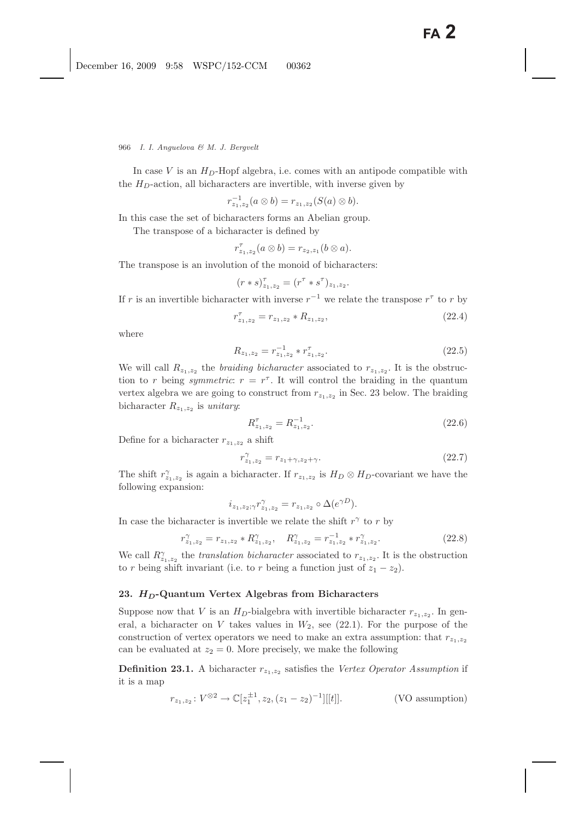In case V is an  $H_D$ -Hopf algebra, i.e. comes with an antipode compatible with the  $H_D$ -action, all bicharacters are invertible, with inverse given by

$$
r_{z_1,z_2}^{-1}(a\otimes b)=r_{z_1,z_2}(S(a)\otimes b).
$$

In this case the set of bicharacters forms an Abelian group.

The transpose of a bicharacter is defined by

$$
r_{z_1,z_2}^{\tau}(a\otimes b)=r_{z_2,z_1}(b\otimes a).
$$

The transpose is an involution of the monoid of bicharacters:

$$
(r * s)_{z_1, z_2}^{\tau} = (r^{\tau} * s^{\tau})_{z_1, z_2}.
$$

If r is an invertible bicharacter with inverse  $r^{-1}$  we relate the transpose  $r^{\tau}$  to r by

$$
r_{z_1, z_2}^{\tau} = r_{z_1, z_2} * R_{z_1, z_2}, \tag{22.4}
$$

where

$$
R_{z_1, z_2} = r_{z_1, z_2}^{-1} * r_{z_1, z_2}^{\tau}.
$$
 (22.5)

We will call  $R_{z_1,z_2}$  the *braiding bicharacter* associated to  $r_{z_1,z_2}$ . It is the obstruction to r being *symmetric*:  $r = r^{\tau}$ . It will control the braiding in the quantum vertex algebra we are going to construct from  $r_{z_1,z_2}$  in Sec. 23 below. The braiding bicharacter  $R_{z_1,z_2}$  is *unitary*:

$$
R_{z_1, z_2}^{\tau} = R_{z_1, z_2}^{-1}.
$$
\n(22.6)

Define for a bicharacter  $r_{z_1,z_2}$  a shift

$$
r_{z_1, z_2}^{\gamma} = r_{z_1 + \gamma, z_2 + \gamma}.
$$
\n(22.7)

The shift  $r_{z_1,z_2}^{\gamma}$  is again a bicharacter. If  $r_{z_1,z_2}$  is  $H_D \otimes H_D$ -covariant we have the following expansion: following expansion:

$$
i_{z_1, z_2; \gamma} r_{z_1, z_2}^{\gamma} = r_{z_1, z_2} \circ \Delta(e^{\gamma D}).
$$

In case the bicharacter is invertible we relate the shift  $r^{\gamma}$  to r by

$$
r_{z_1, z_2}^{\gamma} = r_{z_1, z_2} * R_{z_1, z_2}^{\gamma}, \quad R_{z_1, z_2}^{\gamma} = r_{z_1, z_2}^{-1} * r_{z_1, z_2}^{\gamma}.
$$
 (22.8)

We call  $R_{z_1,z_2}^{\gamma}$  the *translation bicharacter* associated to  $r_{z_1,z_2}$ . It is the obstruction to relation into  $\zeta$ to r being shift invariant (i.e. to r being a function just of  $z_1 - z_2$ ).

### **23.** *HD***-Quantum Vertex Algebras from Bicharacters**

Suppose now that V is an  $H_D$ -bialgebra with invertible bicharacter  $r_{z_1,z_2}$ . In general, a bicharacter on V takes values in  $W_2$ , see (22.1). For the purpose of the construction of vertex operators we need to make an extra assumption: that  $r_{z_1,z_2}$ can be evaluated at  $z_2 = 0$ . More precisely, we make the following

**Definition 23.1.** A bicharacter  $r_{z_1,z_2}$  satisfies the *Vertex Operator Assumption* if it is a map

$$
r_{z_1, z_2} \colon V^{\otimes 2} \to \mathbb{C}[z_1^{\pm 1}, z_2, (z_1 - z_2)^{-1}][[t]]. \tag{VO assumption}
$$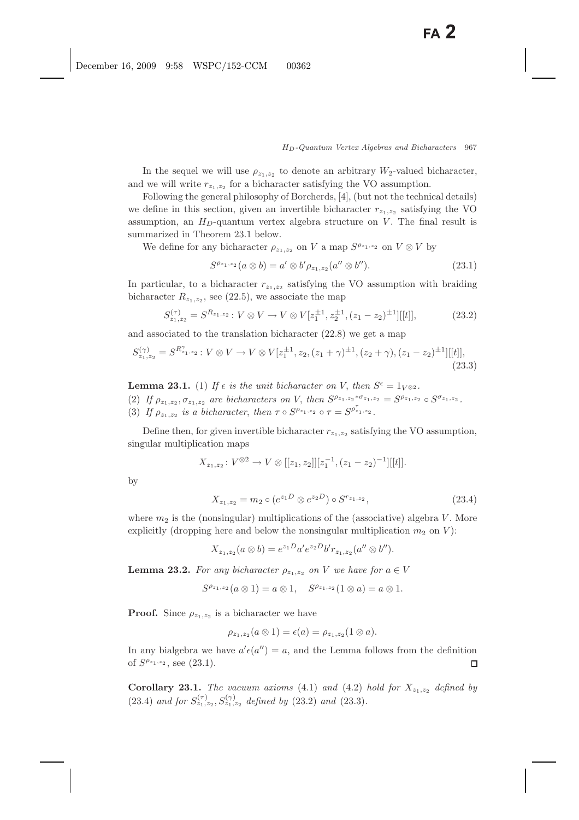In the sequel we will use  $\rho_{z_1,z_2}$  to denote an arbitrary  $W_2$ -valued bicharacter, and we will write  $r_{z_1,z_2}$  for a bicharacter satisfying the VO assumption.

Following the general philosophy of Borcherds, [4], (but not the technical details) we define in this section, given an invertible bicharacter  $r_{z_1,z_2}$  satisfying the VO assumption, an  $H_D$ -quantum vertex algebra structure on V. The final result is summarized in Theorem 23.1 below.

We define for any bicharacter  $\rho_{z_1,z_2}$  on V a map  $S^{\rho_{z_1,z_2}}$  on  $V \otimes V$  by

$$
S^{\rho_{z_1,z_2}}(a\otimes b) = a'\otimes b'\rho_{z_1,z_2}(a''\otimes b'').
$$
\n(23.1)

In particular, to a bicharacter  $r_{z_1,z_2}$  satisfying the VO assumption with braiding bicharacter  $R_{z_1,z_2}$ , see (22.5), we associate the map

$$
S_{z_1, z_2}^{(\tau)} = S^{R_{z_1, z_2}} : V \otimes V \to V \otimes V[z_1^{\pm 1}, z_2^{\pm 1}, (z_1 - z_2)^{\pm 1}][[t]], \tag{23.2}
$$

and associated to the translation bicharacter (22.8) we get a map

$$
S_{z_1, z_2}^{(\gamma)} = S^{R_{z_1, z_2}^{\gamma}} : V \otimes V \to V \otimes V[z_1^{\pm 1}, z_2, (z_1 + \gamma)^{\pm 1}, (z_2 + \gamma), (z_1 - z_2)^{\pm 1}][[t]],
$$
\n(23.3)

**Lemma 23.1.** (1) *If*  $\epsilon$  *is the unit bicharacter on V*, *then*  $S^{\epsilon} = 1_{V^{\otimes 2}}$ *.* (2) *If*  $\rho_{z_1,z_2}, \sigma_{z_1,z_2}$  are bicharacters on V, then  $S^{\rho_{z_1,z_2}*\sigma_{z_1,z_2}} = S^{\rho_{z_1,z_2}} \circ S^{\sigma_{z_1,z_2}}$ . (3) If  $\rho_{z_1,z_2}$  *is a bicharacter, then*  $\tau \circ S^{\rho_{z_1,z_2}} \circ \tau = S^{\rho_{z_1,z_2}}$ *.* 

Define then, for given invertible bicharacter  $r_{z_1,z_2}$  satisfying the VO assumption, singular multiplication maps

$$
X_{z_1,z_2}: V^{\otimes 2} \to V \otimes [[z_1,z_2]][z_1^{-1}, (z_1-z_2)^{-1}][[t]].
$$

by

$$
X_{z_1, z_2} = m_2 \circ (e^{z_1 D} \otimes e^{z_2 D}) \circ S^{r_{z_1, z_2}}, \tag{23.4}
$$

where  $m_2$  is the (nonsingular) multiplications of the (associative) algebra V. More explicitly (dropping here and below the nonsingular multiplication  $m_2$  on V):

$$
X_{z_1,z_2}(a\otimes b)=e^{z_1D}a'e^{z_2D}b'r_{z_1,z_2}(a''\otimes b'').
$$

**Lemma 23.2.** *For any bicharacter*  $\rho_{z_1,z_2}$  *on V we have for*  $a \in V$ 

$$
S^{\rho_{z_1,z_2}}(a\otimes 1) = a\otimes 1, \quad S^{\rho_{z_1,z_2}}(1\otimes a) = a\otimes 1.
$$

**Proof.** Since  $\rho_{z_1,z_2}$  is a bicharacter we have

$$
\rho_{z_1,z_2}(a\otimes 1)=\epsilon(a)=\rho_{z_1,z_2}(1\otimes a).
$$

In any bialgebra we have  $a' \epsilon(a'') = a$ , and the Lemma follows from the definition of  $S^{\rho_{z_1,z_2}}$ , see (23.1).  $\Box$ 

**Corollary 23.1.** *The vacuum axioms* (4.1) *and* (4.2) *hold for*  $X_{z_1,z_2}$  *defined by* (23.4) *and for*  $S_{z_1,z_2}^{(\tau)}$ ,  $S_{z_1,z_2}^{(\gamma)}$  *defined by* (23.2) *and* (23.3)*.*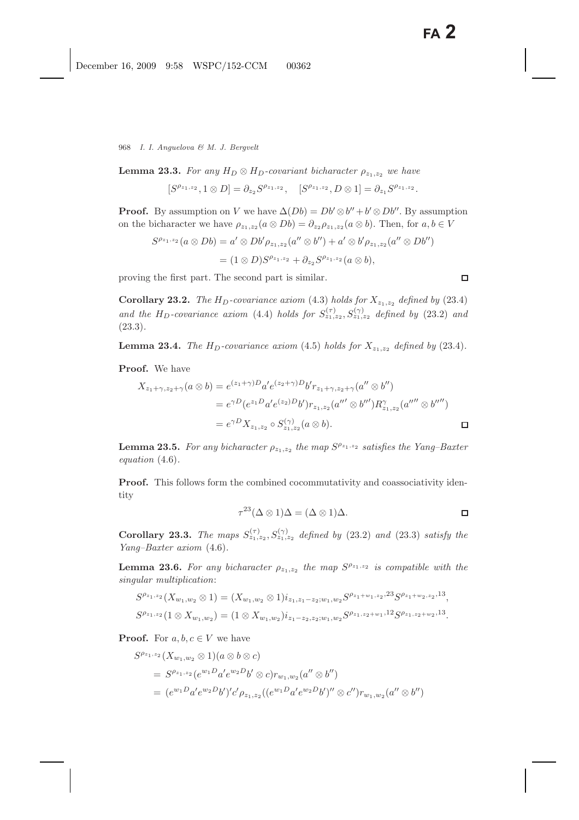**Lemma 23.3.** *For any*  $H_D \otimes H_D$ *-covariant bicharacter*  $\rho_{z_1,z_2}$  *we have* 

$$
[S^{\rho_{z_1,z_2}}, 1 \otimes D] = \partial_{z_2} S^{\rho_{z_1,z_2}}, \quad [S^{\rho_{z_1,z_2}}, D \otimes 1] = \partial_{z_1} S^{\rho_{z_1,z_2}}.
$$

**Proof.** By assumption on V we have  $\Delta(Db) = Db' \otimes b'' + b' \otimes Db''$ . By assumption on the bicharacter we have  $\rho_{z_1,z_2}(a \otimes Db) = \partial_{z_2} \rho_{z_1,z_2}(a \otimes b)$ . Then, for  $a, b \in V$ 

$$
S^{\rho_{z_1,z_2}}(a \otimes Db) = a' \otimes Db'\rho_{z_1,z_2}(a'' \otimes b'') + a' \otimes b'\rho_{z_1,z_2}(a'' \otimes Db'')
$$
  
=  $(1 \otimes D)S^{\rho_{z_1,z_2}} + \partial_{z_2}S^{\rho_{z_1,z_2}}(a \otimes b),$ 

proving the first part. The second part is similar.

**Corollary 23.2.** *The*  $H_D$ -covariance axiom (4.3) holds for  $X_{z_1,z_2}$  defined by (23.4) and the H<sub>D</sub>-covariance axiom (4.4) holds for  $S_{z_1,z_2}^{(\tau)}$ ,  $S_{z_1,z_2}^{(\gamma)}$  defined by (23.2) and (23.3)*.*

**Lemma 23.4.** *The*  $H_D$ -covariance axiom (4.5) holds for  $X_{z_1,z_2}$  defined by (23.4).

**Proof.** We have

$$
X_{z_1+\gamma, z_2+\gamma}(a \otimes b) = e^{(z_1+\gamma)D} a' e^{(z_2+\gamma)D} b' r_{z_1+\gamma, z_2+\gamma}(a'' \otimes b'')
$$
  
=  $e^{\gamma D} (e^{z_1 D} a' e^{(z_2)D} b') r_{z_1, z_2}(a''' \otimes b''') R_{z_1, z_2}^{\gamma}(a'''' \otimes b'''')$   
=  $e^{\gamma D} X_{z_1, z_2} \circ S_{z_1, z_2}^{(\gamma)} (a \otimes b).$ 

**Lemma 23.5.** *For any bicharacter*  $\rho_{z_1,z_2}$  *the map*  $S^{\rho_{z_1,z_2}}$  *satisfies the Yang–Baxter equation* (4.6)*.*

**Proof.** This follows form the combined cocommutativity and coassociativity identity

$$
\tau^{23}(\Delta \otimes 1)\Delta = (\Delta \otimes 1)\Delta.
$$

**Corollary 23.3.** *The maps*  $S_{z_1,z_2}^{(\tau)}$ ,  $S_{z_1,z_2}^{(\gamma)}$  *defined by* (23.2) *and* (23.3) *satisfy the Yang–Baxter axiom* (4.6)*.*

**Lemma 23.6.** For any bicharacter  $\rho_{z_1,z_2}$  the map  $S^{\rho_{z_1,z_2}}$  is compatible with the *singular multiplication*:

$$
S^{\rho_{z_1,z_2}}(X_{w_1,w_2} \otimes 1) = (X_{w_1,w_2} \otimes 1)i_{z_1,z_1-z_2;w_1,w_2} S^{\rho_{z_1+w_1,z_2},23} S^{\rho_{z_1+w_2,z_2},13},
$$
  

$$
S^{\rho_{z_1,z_2}}(1 \otimes X_{w_1,w_2}) = (1 \otimes X_{w_1,w_2})i_{z_1-z_2,z_2;w_1,w_2} S^{\rho_{z_1,z_2+w_1},12} S^{\rho_{z_1,z_2+w_2},13}.
$$

**Proof.** For  $a, b, c \in V$  we have

$$
S^{\rho_{z_1,z_2}}(X_{w_1,w_2} \otimes 1)(a \otimes b \otimes c)
$$
  
=  $S^{\rho_{z_1,z_2}}(e^{w_1D}a'e^{w_2D}b' \otimes c)r_{w_1,w_2}(a'' \otimes b'')$   
=  $(e^{w_1D}a'e^{w_2D}b')'c'\rho_{z_1,z_2}((e^{w_1D}a'e^{w_2D}b')'' \otimes c'')r_{w_1,w_2}(a'' \otimes b'')$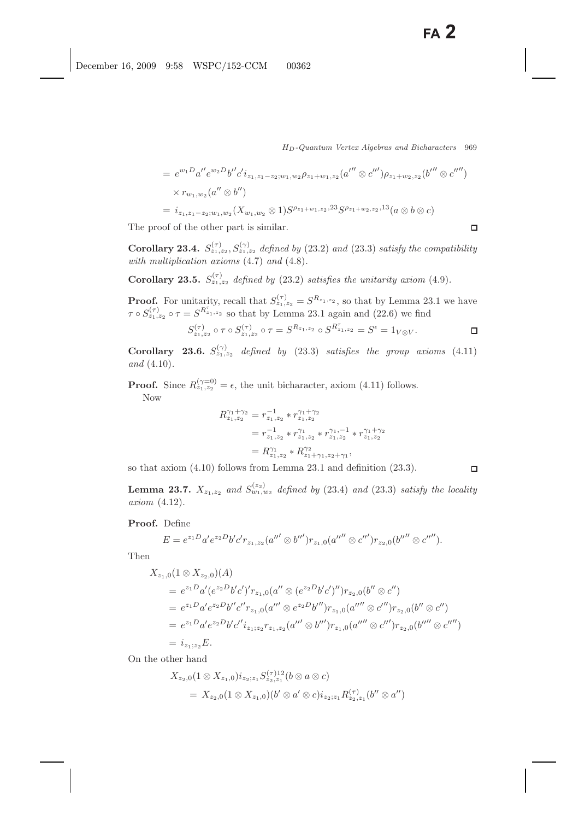$\Box$ 

 $\Box$ 

$$
= e^{w_1 D} a'' e^{w_2 D} b'' c' i_{z_1, z_1 - z_2; w_1, w_2} \rho_{z_1 + w_1, z_2} (a'' \otimes c''') \rho_{z_1 + w_2, z_2} (b'' \otimes c''')
$$
  
\n
$$
\times r_{w_1, w_2} (a'' \otimes b'')
$$
  
\n
$$
= i_{z_1, z_1 - z_2; w_1, w_2} (X_{w_1, w_2} \otimes 1) S^{\rho_{z_1 + w_1, z_2}, 23} S^{\rho_{z_1 + w_2, z_2}, 13} (a \otimes b \otimes c)
$$

The proof of the other part is similar.

**Corollary 23.4.**  $S_{z_1,z_2}^{(\tau)}$ ,  $S_{z_1,z_2}^{(\gamma)}$  *defined by* (23.2) *and* (23.3) *satisfy the compatibility with multiplication axioms* (4.7) *and* (4.8)*.*

**Corollary 23.5.**  $S_{z_1,z_2}^{(\tau)}$  *defined by* (23.2) *satisfies the unitarity axiom* (4.9)*.* 

**Proof.** For unitarity, recall that  $S_{z_1,z_2}^{(\tau)} = S^{R_{z_1,z_2}}$ , so that by Lemma 23.1 we have  $\tau \circ S_{z_1, z_2}^{(1)} \circ \tau = S^{K_{z_1, z_2}}$  so that by Lemma 23.1 again and (22.6) we find

$$
S_{z_1, z_2}^{(\tau)} \circ \tau \circ S_{z_1, z_2}^{(\tau)} \circ \tau = S^{R_{z_1, z_2}} \circ S^{R_{z_1, z_2}^{\tau}} = S^{\epsilon} = 1_{V \otimes V}.
$$

**Corollary 23.6.**  $S_{z_1,z_2}^{(\gamma)}$  defined by (23.3) satisfies the group axioms (4.11) *and* (4.10)*.*

**Proof.** Since  $R_{z_1,z_2}^{(\gamma=0)} = \epsilon$ , the unit bicharacter, axiom (4.11) follows. Now

$$
R_{z_1,z_2}^{\gamma_1+\gamma_2} = r_{z_1,z_2}^{-1} * r_{z_1,z_2}^{\gamma_1+\gamma_2}
$$
  
=  $r_{z_1,z_2}^{-1} * r_{z_1,z_2}^{\gamma_1} * r_{z_1,z_2}^{\gamma_1,-1} * r_{z_1,z_2}^{\gamma_1+\gamma_2}$   
=  $R_{z_1,z_2}^{\gamma_1} * R_{z_1+\gamma_1,z_2+\gamma_1}^{\gamma_2},$ 

so that axiom (4.10) follows from Lemma 23.1 and definition (23.3).

**Lemma 23.7.**  $X_{z_1,z_2}$  *and*  $S_{w_1,w_2}^{(z_2)}$  *defined by* (23.4) *and* (23.3) *satisfy the locality axiom* (4.12)*.*

**Proof.** Define

$$
E = e^{z_1 D} a' e^{z_2 D} b' c' r_{z_1, z_2} (a''' \otimes b''') r_{z_1, 0} (a'''' \otimes c''') r_{z_2, 0} (b'''' \otimes c''').
$$

Then

$$
X_{z_1,0}(1 \otimes X_{z_2,0})(A)
$$
  
=  $e^{z_1D}a'(e^{z_2D}b'c')'r_{z_1,0}(a'' \otimes (e^{z_2D}b'c')'')r_{z_2,0}(b'' \otimes c'')$   
=  $e^{z_1D}a'e^{z_2D}b''c'r_{z_1,0}(a''' \otimes e^{z_2D}b'')r_{z_1,0}(a'''' \otimes c''')r_{z_2,0}(b'' \otimes c'')$   
=  $e^{z_1D}a'e^{z_2D}b'c''i_{z_1,z_2}r_{z_1,z_2}(a''' \otimes b''')r_{z_1,0}(a'''' \otimes c''')r_{z_2,0}(b'''' \otimes c'''')$   
=  $i_{z_1,z_2}E$ .

On the other hand

$$
X_{z_2,0}(1 \otimes X_{z_1,0})i_{z_2;z_1}S_{z_2,z_1}^{(\tau)12}(b \otimes a \otimes c)
$$
  
=  $X_{z_2,0}(1 \otimes X_{z_1,0})(b' \otimes a' \otimes c)i_{z_2;z_1}R_{z_2,z_1}^{(\tau)}(b'' \otimes a'')$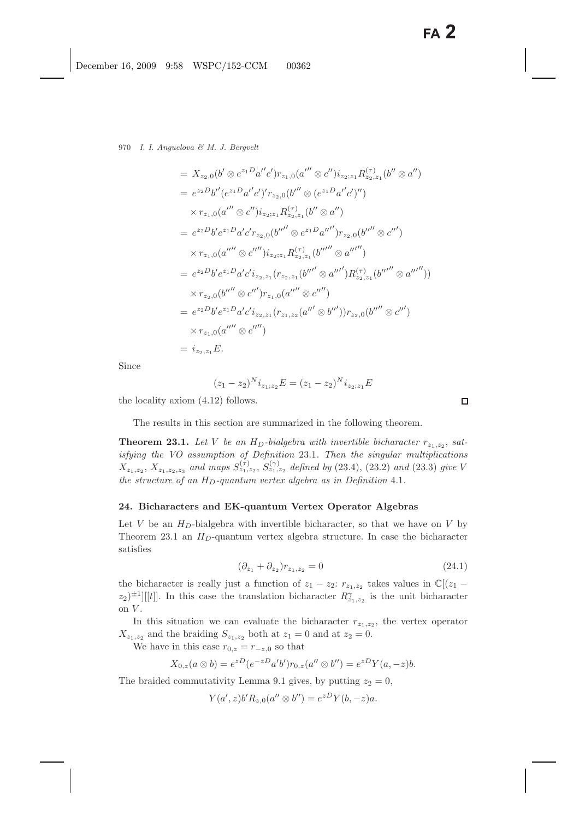$$
= X_{z_2,0}(b' \otimes e^{z_1D}a''c')r_{z_1,0}(a'' \otimes c'')i_{z_2;z_1}R_{z_2,z_1}^{(\tau)}(b'' \otimes a'')
$$
  
\n
$$
= e^{z_2D}b''(e^{z_1D}a'c')r_{z_2,0}(b'' \otimes (e^{z_1D}a'c'')'')
$$
  
\n
$$
\times r_{z_1,0}(a'' \otimes c'')i_{z_2;z_1}R_{z_2,z_1}^{(\tau)}(b'' \otimes a'')
$$
  
\n
$$
= e^{z_2D}b'e^{z_1D}a'c'r_{z_2,0}(b''' \otimes e^{z_1D}a''')r_{z_2,0}(b'''' \otimes c''')
$$
  
\n
$$
\times r_{z_1,0}(a'''' \otimes c'''')i_{z_2;z_1}R_{z_2,z_1}^{(\tau)}(b''''' \otimes a'''')
$$
  
\n
$$
= e^{z_2D}b'e^{z_1D}a'c'i_{z_2,z_1}(r_{z_2,z_1}(b'''' \otimes a''')R_{z_2,z_1}^{(\tau)}(b'''' \otimes a''''))
$$
  
\n
$$
\times r_{z_2,0}(b''' \otimes c''')r_{z_1,0}(a'''' \otimes c'''')
$$
  
\n
$$
= e^{z_2D}b'e^{z_1D}a'c'i_{z_2,z_1}(r_{z_1,z_2}(a'' \otimes b'''))r_{z_2,0}(b'''' \otimes c''')
$$
  
\n
$$
\times r_{z_1,0}(a'''' \otimes c'''')
$$
  
\n
$$
= i_{z_2,z_1}E.
$$

Since

$$
(z_1 - z_2)^N i_{z_1; z_2} E = (z_1 - z_2)^N i_{z_2; z_1} E
$$

the locality axiom (4.12) follows.

The results in this section are summarized in the following theorem.

**Theorem 23.1.** Let V be an  $H_D$ -bialgebra with invertible bicharacter  $r_{z_1,z_2}$ , sat*isfying the VO assumption of Definition* 23.1*. Then the singular multiplications*  $X_{z_1,z_2}, X_{z_1,z_2,z_3}$  *and maps*  $S_{z_1,z_2}^{(\tau)}$ ,  $S_{z_1,z_2}^{(\gamma)}$  *defined by* (23.4), (23.2) *and* (23.3) *give* V *the structure of an*  $H_D$ -quantum vertex algebra as in Definition 4.1.

#### **24. Bicharacters and EK-quantum Vertex Operator Algebras**

Let V be an  $H_D$ -bialgebra with invertible bicharacter, so that we have on V by Theorem 23.1 an  $H_D$ -quantum vertex algebra structure. In case the bicharacter satisfies

$$
(\partial_{z_1} + \partial_{z_2})r_{z_1, z_2} = 0 \tag{24.1}
$$

the bicharacter is really just a function of  $z_1 - z_2$ :  $r_{z_1,z_2}$  takes values in  $\mathbb{C}[(z_1 - z_2)]$  $(z_2)^{\pm 1}$ [[t]]. In this case the translation bicharacter  $R_{z_1,z_2}^{\gamma}$  is the unit bicharacter on  $V$ .

In this situation we can evaluate the bicharacter  $r_{z_1,z_2}$ , the vertex operator  $X_{z_1,z_2}$  and the braiding  $S_{z_1,z_2}$  both at  $z_1 = 0$  and at  $z_2 = 0$ .

We have in this case  $r_{0,z} = r_{-z,0}$  so that

$$
X_{0,z}(a\otimes b) = e^{zD}(e^{-zD}a'b')r_{0,z}(a''\otimes b'') = e^{zD}Y(a,-z)b.
$$

The braided commutativity Lemma 9.1 gives, by putting  $z_2 = 0$ ,

$$
Y(a',z)b'R_{z,0}(a'' \otimes b'') = e^{zD}Y(b,-z)a.
$$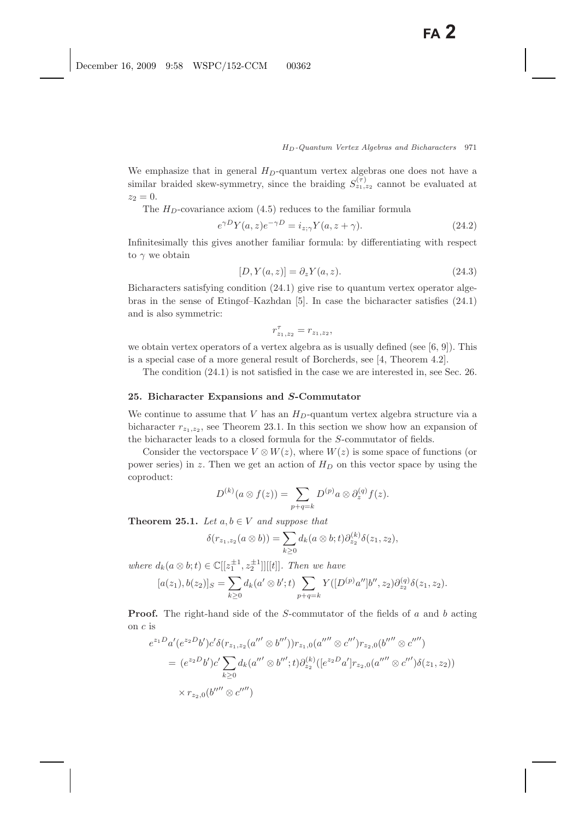We emphasize that in general  $H_D$ -quantum vertex algebras one does not have a similar braided skew-symmetry, since the braiding  $S_{z_1,z_2}^{(\tau)}$  cannot be evaluated at  $z_2 = 0.$ 

The  $H_D$ -covariance axiom (4.5) reduces to the familiar formula

$$
e^{\gamma D}Y(a,z)e^{-\gamma D} = i_{z;\gamma}Y(a,z+\gamma).
$$
\n(24.2)

Infinitesimally this gives another familiar formula: by differentiating with respect to  $\gamma$  we obtain

$$
[D, Y(a, z)] = \partial_z Y(a, z). \tag{24.3}
$$

Bicharacters satisfying condition (24.1) give rise to quantum vertex operator algebras in the sense of Etingof–Kazhdan [5]. In case the bicharacter satisfies (24.1) and is also symmetric:

$$
r_{z_1, z_2}^{\tau} = r_{z_1, z_2},
$$

we obtain vertex operators of a vertex algebra as is usually defined (see  $[6, 9]$ ). This is a special case of a more general result of Borcherds, see [4, Theorem 4.2].

The condition (24.1) is not satisfied in the case we are interested in, see Sec. 26.

# **25. Bicharacter Expansions and** *S***-Commutator**

We continue to assume that V has an  $H_D$ -quantum vertex algebra structure via a bicharacter  $r_{z_1,z_2}$ , see Theorem 23.1. In this section we show how an expansion of the bicharacter leads to a closed formula for the S-commutator of fields.

Consider the vectorspace  $V \otimes W(z)$ , where  $W(z)$  is some space of functions (or power series) in z. Then we get an action of  $H_D$  on this vector space by using the coproduct:

$$
D^{(k)}(a\otimes f(z))=\sum_{p+q=k}D^{(p)}a\otimes \partial_z^{(q)}f(z).
$$

**Theorem 25.1.** *Let*  $a, b \in V$  *and suppose that* 

$$
\delta(r_{z_1,z_2}(a\otimes b))=\sum_{k\geq 0}d_k(a\otimes b;t)\partial_{z_2}^{(k)}\delta(z_1,z_2),
$$

*where*  $d_k(a \otimes b; t) \in \mathbb{C}[[z_1^{\pm 1}, z_2^{\pm 1}]][[t]]$ *. Then we have* 

$$
[a(z_1), b(z_2)]_S = \sum_{k \ge 0} d_k(a' \otimes b'; t) \sum_{p+q=k} Y([D^{(p)} a''] b'', z_2) \partial_{z_2}^{(q)} \delta(z_1, z_2).
$$

**Proof.** The right-hand side of the S-commutator of the fields of a and b acting on c is

$$
e^{z_1D}a'(e^{z_2D}b')c'\delta(r_{z_1,z_2}(a'''\otimes b'''))r_{z_1,0}(a''''\otimes c''')r_{z_2,0}(b''''\otimes c''')
$$
  
= 
$$
(e^{z_2D}b')c'\sum_{k\geq 0}d_k(a'''\otimes b''';t)\partial_{z_2}^{(k)}([e^{z_2D}a']r_{z_2,0}(a'''\otimes c''')\delta(z_1,z_2))
$$
  
× 
$$
r_{z_2,0}(b''''\otimes c''')
$$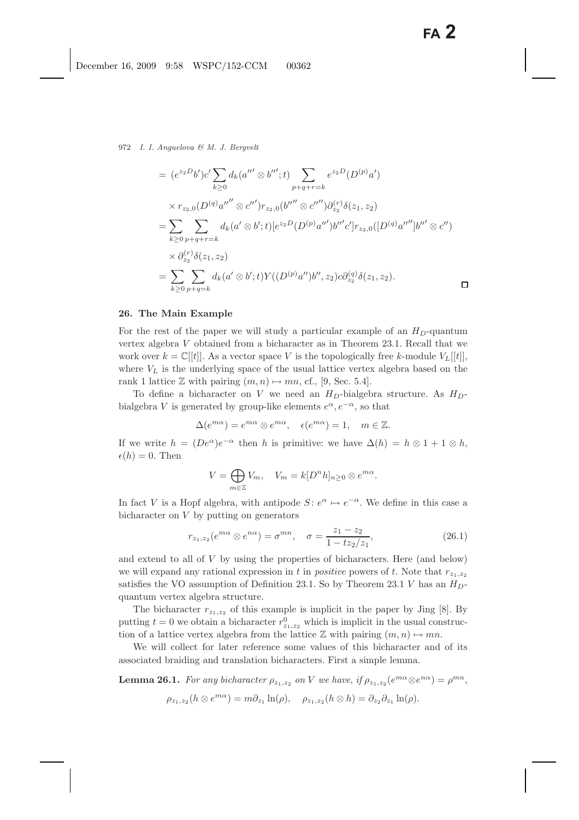972 *I. I. Anguelova & M. J. Bergvelt*

$$
= (e^{z_2D}b')c'\sum_{k\geq 0} d_k(a'' \otimes b''';t) \sum_{p+q+r=k} e^{z_2D}(D^{(p)}a')
$$
  
\n
$$
\times r_{z_2,0}(D^{(q)}a'' \otimes c''')r_{z_2,0}(b''' \otimes c'''')\partial_{z_2}^{(r)}\delta(z_1,z_2)
$$
  
\n
$$
= \sum_{k\geq 0} \sum_{p+q+r=k} d_k(a' \otimes b';t)[e^{z_2D}(D^{(p)}a''')b'''c']r_{z_2,0}([D^{(q)}a''']b''' \otimes c'')
$$
  
\n
$$
\times \partial_{z_2}^{(r)}\delta(z_1,z_2)
$$
  
\n
$$
= \sum_{k\geq 0} \sum_{p+q=k} d_k(a' \otimes b';t)Y((D^{(p)}a'')b'',z_2)c\partial_{z_2}^{(q)}\delta(z_1,z_2).
$$

#### **26. The Main Example**

For the rest of the paper we will study a particular example of an  $H_D$ -quantum vertex algebra V obtained from a bicharacter as in Theorem 23.1. Recall that we work over  $k = \mathbb{C}[[t]]$ . As a vector space V is the topologically free k-module  $V_L[[t]]$ , where  $V_L$  is the underlying space of the usual lattice vertex algebra based on the rank 1 lattice  $\mathbb Z$  with pairing  $(m, n) \mapsto mn$ , cf., [9, Sec. 5.4].

To define a bicharacter on V we need an  $H_D$ -bialgebra structure. As  $H_D$ bialgebra V is generated by group-like elements  $e^{\alpha}, e^{-\alpha}$ , so that

$$
\Delta(e^{m\alpha}) = e^{m\alpha} \otimes e^{m\alpha}, \quad \epsilon(e^{m\alpha}) = 1, \quad m \in \mathbb{Z}.
$$

If we write  $h = (De^{\alpha})e^{-\alpha}$  then h is primitive: we have  $\Delta(h) = h \otimes 1 + 1 \otimes h$ ,  $\epsilon(h) = 0$ . Then

$$
V = \bigoplus_{m \in \mathbb{Z}} V_m, \quad V_m = k[D^n h]_{n \ge 0} \otimes e^{m\alpha}.
$$

In fact V is a Hopf algebra, with antipode  $S: e^{\alpha} \mapsto e^{-\alpha}$ . We define in this case a bicharacter on V by putting on generators

$$
r_{z_1, z_2}(e^{m\alpha} \otimes e^{n\alpha}) = \sigma^{mn}, \quad \sigma = \frac{z_1 - z_2}{1 - tz_2/z_1},
$$
\n(26.1)

and extend to all of V by using the properties of bicharacters. Here (and below) we will expand any rational expression in t in *positive* powers of t. Note that  $r_{z_1,z_2}$ satisfies the VO assumption of Definition 23.1. So by Theorem 23.1 V has an  $H_D$ quantum vertex algebra structure.

The bicharacter  $r_{z_1,z_2}$  of this example is implicit in the paper by Jing [8]. By putting  $t = 0$  we obtain a bicharacter  $r_{2_1, z_2}^0$  which is implicit in the usual construc-<br>tion of a lattice venture algebra from the lattice  $\mathbb{Z}$  with points  $(m, n) \cup m$ tion of a lattice vertex algebra from the lattice  $\mathbb Z$  with pairing  $(m, n) \mapsto mn$ .

We will collect for later reference some values of this bicharacter and of its associated braiding and translation bicharacters. First a simple lemma.

**Lemma 26.1.** *For any bicharacter*  $\rho_{z_1,z_2}$  *on V we have, if*  $\rho_{z_1,z_2}(e^{m\alpha}\otimes e^{n\alpha}) = \rho^{mn}$ ,  $\rho_{z_1,z_2}(h \otimes e^{m\alpha}) = m\partial_{z_1} \ln(\rho), \quad \rho_{z_1,z_2}(h \otimes h) = \partial_{z_2} \partial_{z_1} \ln(\rho).$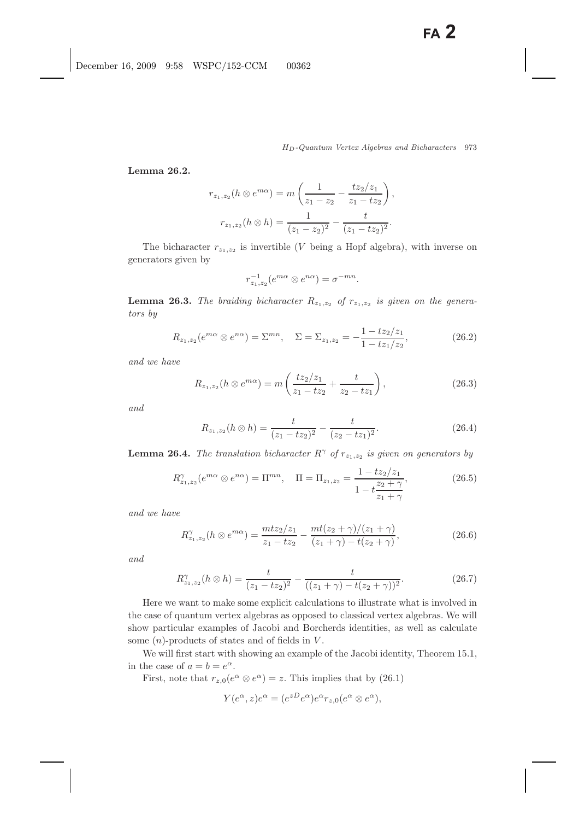**Lemma 26.2.**

$$
r_{z_1,z_2}(h \otimes e^{m\alpha}) = m\left(\frac{1}{z_1 - z_2} - \frac{tz_2/z_1}{z_1 - tz_2}\right),
$$

$$
r_{z_1,z_2}(h \otimes h) = \frac{1}{(z_1 - z_2)^2} - \frac{t}{(z_1 - tz_2)^2}.
$$

The bicharacter  $r_{z_1,z_2}$  is invertible (V being a Hopf algebra), with inverse on generators given by

$$
r_{z_1,z_2}^{-1}(e^{m\alpha} \otimes e^{n\alpha}) = \sigma^{-mn}.
$$

**Lemma 26.3.** *The braiding bicharacter*  $R_{z_1,z_2}$  *of*  $r_{z_1,z_2}$  *is given on the generators by*

$$
R_{z_1, z_2}(e^{m\alpha} \otimes e^{n\alpha}) = \Sigma^{mn}, \quad \Sigma = \Sigma_{z_1, z_2} = -\frac{1 - tz_2/z_1}{1 - tz_1/z_2}, \tag{26.2}
$$

*and we have*

$$
R_{z_1, z_2}(h \otimes e^{m\alpha}) = m\left(\frac{tz_2/z_1}{z_1 - tz_2} + \frac{t}{z_2 - tz_1}\right),\tag{26.3}
$$

*and*

$$
R_{z_1, z_2}(h \otimes h) = \frac{t}{(z_1 - tz_2)^2} - \frac{t}{(z_2 - tz_1)^2}.
$$
 (26.4)

**Lemma 26.4.** *The translation bicharacter*  $R^{\gamma}$  *of*  $r_{z_1,z_2}$  *is given on generators* by

$$
R_{z_1, z_2}^{\gamma}(e^{m\alpha} \otimes e^{n\alpha}) = \Pi^{mn}, \quad \Pi = \Pi_{z_1, z_2} = \frac{1 - tz_2/z_1}{1 - t\frac{z_2 + \gamma}{z_1 + \gamma}},\tag{26.5}
$$

*and we have*

$$
R_{z_1,z_2}^{\gamma}(h \otimes e^{m\alpha}) = \frac{mtz_2/z_1}{z_1 - tz_2} - \frac{mt(z_2 + \gamma)/(z_1 + \gamma)}{(z_1 + \gamma) - t(z_2 + \gamma)},
$$
(26.6)

*and*

$$
R_{z_1,z_2}^{\gamma}(h \otimes h) = \frac{t}{(z_1 - tz_2)^2} - \frac{t}{((z_1 + \gamma) - t(z_2 + \gamma))^2}.
$$
 (26.7)

Here we want to make some explicit calculations to illustrate what is involved in the case of quantum vertex algebras as opposed to classical vertex algebras. We will show particular examples of Jacobi and Borcherds identities, as well as calculate some  $(n)$ -products of states and of fields in  $V$ .

We will first start with showing an example of the Jacobi identity, Theorem 15.1, in the case of  $a = b = e^{\alpha}$ .

First, note that  $r_{z,0}(e^{\alpha} \otimes e^{\alpha}) = z$ . This implies that by (26.1)

$$
Y(e^{\alpha}, z)e^{\alpha} = (e^{zD}e^{\alpha})e^{\alpha}r_{z,0}(e^{\alpha} \otimes e^{\alpha}),
$$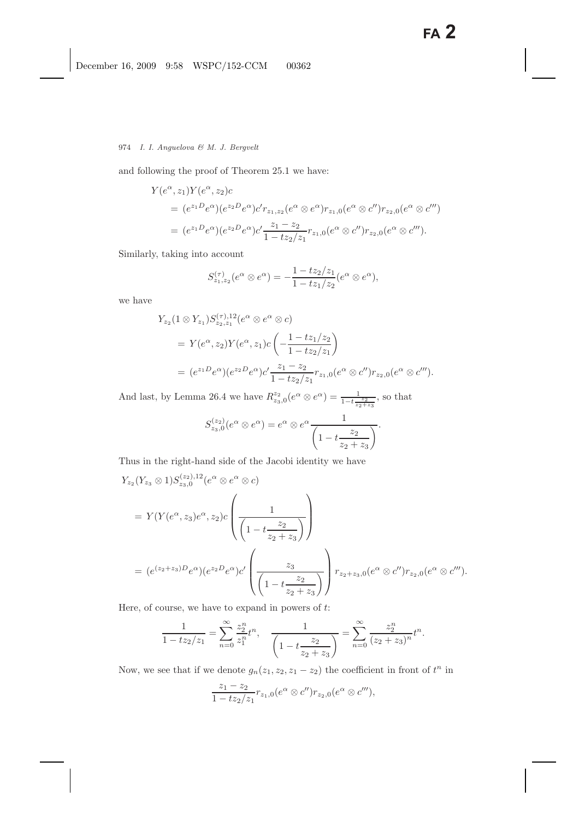and following the proof of Theorem 25.1 we have:

$$
Y(e^{\alpha}, z_1)Y(e^{\alpha}, z_2)c
$$
  
=  $(e^{z_1D}e^{\alpha})(e^{z_2D}e^{\alpha})c'r_{z_1, z_2}(e^{\alpha} \otimes e^{\alpha})r_{z_1, 0}(e^{\alpha} \otimes c'')r_{z_2, 0}(e^{\alpha} \otimes c''')$   
=  $(e^{z_1D}e^{\alpha})(e^{z_2D}e^{\alpha})c'\frac{z_1 - z_2}{1 - tz_2/z_1}r_{z_1, 0}(e^{\alpha} \otimes c'')r_{z_2, 0}(e^{\alpha} \otimes c''').$ 

Similarly, taking into account

$$
S_{z_1,z_2}^{(\tau)}(e^{\alpha} \otimes e^{\alpha}) = -\frac{1 - tz_2/z_1}{1 - tz_1/z_2}(e^{\alpha} \otimes e^{\alpha}),
$$

we have

$$
Y_{z_2}(1 \otimes Y_{z_1}) S_{z_2, z_1}^{(\tau), 12}(e^{\alpha} \otimes e^{\alpha} \otimes c)
$$
  
=  $Y(e^{\alpha}, z_2) Y(e^{\alpha}, z_1) c \left( -\frac{1 - tz_1/z_2}{1 - tz_2/z_1} \right)$   
=  $(e^{z_1 D} e^{\alpha})(e^{z_2 D} e^{\alpha}) c' \frac{z_1 - z_2}{1 - tz_2/z_1} r_{z_1, 0} (e^{\alpha} \otimes c'') r_{z_2, 0} (e^{\alpha} \otimes c''').$ 

And last, by Lemma 26.4 we have  $R_{z_3,0}^{z_2}(e^{\alpha} \otimes e^{\alpha}) = \frac{1}{1-t_{z_2+z_3}^{z_2}}$ , so that

$$
S_{z_3,0}^{(z_2)}(e^{\alpha} \otimes e^{\alpha}) = e^{\alpha} \otimes e^{\alpha} \frac{1}{\left(1 - t \frac{z_2}{z_2 + z_3}\right)}.
$$

Thus in the right-hand side of the Jacobi identity we have

$$
Y_{z_2}(Y_{z_3} \otimes 1)S_{z_3,0}^{(z_2),12}(e^{\alpha} \otimes e^{\alpha} \otimes c)
$$
  
=  $Y(Y(e^{\alpha}, z_3)e^{\alpha}, z_2)c\left(\frac{1}{\left(1 - t\frac{z_2}{z_2 + z_3}\right)}\right)$   
=  $(e^{(z_2 + z_3)D}e^{\alpha})(e^{z_2D}e^{\alpha})c'\left(\frac{z_3}{\left(1 - t\frac{z_2}{z_2 + z_3}\right)}\right)r_{z_2 + z_3,0}(e^{\alpha} \otimes c'')r_{z_2,0}(e^{\alpha} \otimes c'').$ 

Here, of course, we have to expand in powers of  $t$ :

$$
\frac{1}{1 - tz_2/z_1} = \sum_{n=0}^{\infty} \frac{z_2^n}{z_1^n} t^n, \quad \frac{1}{\left(1 - t \frac{z_2}{z_2 + z_3}\right)} = \sum_{n=0}^{\infty} \frac{z_2^n}{(z_2 + z_3)^n} t^n.
$$

Now, we see that if we denote  $g_n(z_1, z_2, z_1 - z_2)$  the coefficient in front of  $t^n$  in

$$
\frac{z_1 - z_2}{1 - tz_2/z_1} r_{z_1,0}(e^{\alpha} \otimes c'') r_{z_2,0}(e^{\alpha} \otimes c'''),
$$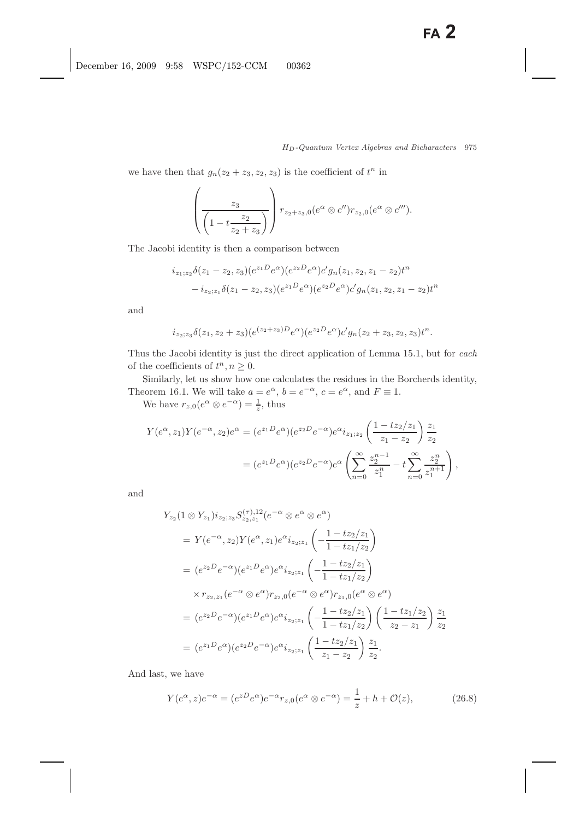we have then that  $g_n(z_2 + z_3, z_2, z_3)$  is the coefficient of  $t^n$  in

$$
\left(\frac{z_3}{\left(1-t\frac{z_2}{z_2+z_3}\right)}\right) r_{z_2+z_3,0}(e^{\alpha} \otimes c'')r_{z_2,0}(e^{\alpha} \otimes c''').
$$

The Jacobi identity is then a comparison between

$$
i_{z_1;z_2}\delta(z_1-z_2,z_3)(e^{z_1D}e^{\alpha})(e^{z_2D}e^{\alpha})c'g_n(z_1,z_2,z_1-z_2)t^n
$$
  

$$
-i_{z_2;z_1}\delta(z_1-z_2,z_3)(e^{z_1D}e^{\alpha})(e^{z_2D}e^{\alpha})c'g_n(z_1,z_2,z_1-z_2)t^n
$$

and

$$
i_{z_2;z_3}\delta(z_1,z_2+z_3)(e^{(z_2+z_3)D}e^{\alpha})(e^{z_2D}e^{\alpha})c'g_n(z_2+z_3,z_2,z_3)t^n.
$$

Thus the Jacobi identity is just the direct application of Lemma 15.1, but for *each* of the coefficients of  $t^n, n \geq 0$ .

Similarly, let us show how one calculates the residues in the Borcherds identity, Theorem 16.1. We will take  $a = e^{\alpha}$ ,  $b = e^{-\alpha}$ ,  $c = e^{\alpha}$ , and  $F \equiv 1$ .

We have  $r_{z,0}(e^{\alpha} \otimes e^{-\alpha}) = \frac{1}{z}$ , thus

$$
Y(e^{\alpha}, z_1)Y(e^{-\alpha}, z_2)e^{\alpha} = (e^{z_1D}e^{\alpha})(e^{z_2D}e^{-\alpha})e^{\alpha}i_{z_1; z_2} \left(\frac{1 - tz_2/z_1}{z_1 - z_2}\right)\frac{z_1}{z_2}
$$
  

$$
= (e^{z_1D}e^{\alpha})(e^{z_2D}e^{-\alpha})e^{\alpha} \left(\sum_{n=0}^{\infty}\frac{z_2^{n-1}}{z_1^n} - t\sum_{n=0}^{\infty}\frac{z_2^n}{z_1^{n+1}}\right),
$$

and

$$
Y_{z_2}(1 \otimes Y_{z_1})i_{z_2;z_3}S_{z_2,z_1}^{(\tau),12}(e^{-\alpha} \otimes e^{\alpha} \otimes e^{\alpha})
$$
  
=  $Y(e^{-\alpha}, z_2)Y(e^{\alpha}, z_1)e^{\alpha}i_{z_2;z_1}\left(-\frac{1-tz_2/z_1}{1-tz_1/z_2}\right)$   
=  $(e^{z_2D}e^{-\alpha})(e^{z_1D}e^{\alpha})e^{\alpha}i_{z_2;z_1}\left(-\frac{1-tz_2/z_1}{1-tz_1/z_2}\right)$   
 $\times r_{z_2,z_1}(e^{-\alpha} \otimes e^{\alpha})r_{z_2,0}(e^{-\alpha} \otimes e^{\alpha})r_{z_1,0}(e^{\alpha} \otimes e^{\alpha})$   
=  $(e^{z_2D}e^{-\alpha})(e^{z_1D}e^{\alpha})e^{\alpha}i_{z_2;z_1}\left(-\frac{1-tz_2/z_1}{1-tz_1/z_2}\right)\left(\frac{1-tz_1/z_2}{z_2-z_1}\right)\frac{z_1}{z_2}$   
=  $(e^{z_1D}e^{\alpha})(e^{z_2D}e^{-\alpha})e^{\alpha}i_{z_2;z_1}\left(\frac{1-tz_2/z_1}{z_1-z_2}\right)\frac{z_1}{z_2}.$ 

And last, we have

$$
Y(e^{\alpha}, z)e^{-\alpha} = (e^{zD}e^{\alpha})e^{-\alpha}r_{z,0}(e^{\alpha} \otimes e^{-\alpha}) = \frac{1}{z} + h + \mathcal{O}(z),
$$
 (26.8)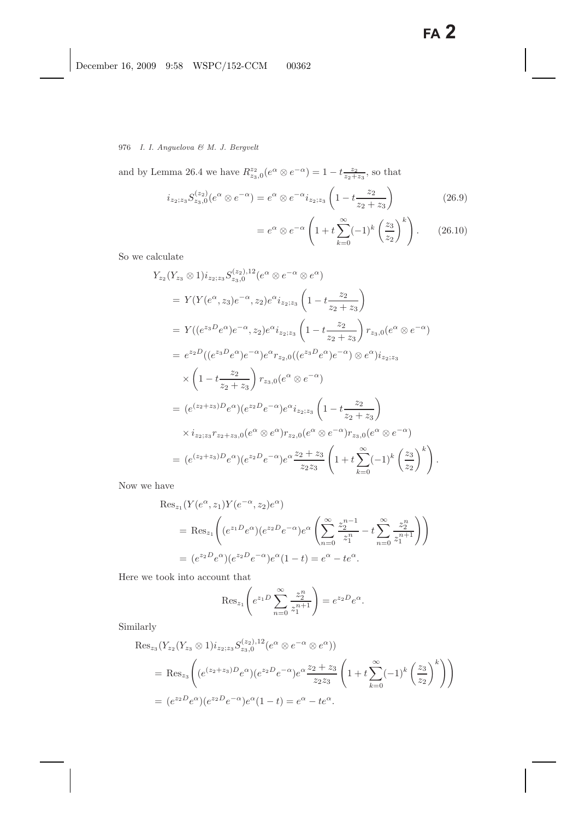and by Lemma 26.4 we have  $R_{z_3,0}^{z_2}(e^{\alpha} \otimes e^{-\alpha}) = 1 - t \frac{z_2}{z_2 + z_3}$ , so that

$$
i_{z_2; z_3} S_{z_3,0}^{(z_2)}(e^{\alpha} \otimes e^{-\alpha}) = e^{\alpha} \otimes e^{-\alpha} i_{z_2; z_3} \left(1 - t \frac{z_2}{z_2 + z_3}\right)
$$
 (26.9)

$$
=e^{\alpha} \otimes e^{-\alpha} \left(1+t \sum_{k=0}^{\infty} (-1)^k \left(\frac{z_3}{z_2}\right)^k\right). \tag{26.10}
$$

So we calculate

$$
Y_{z_2}(Y_{z_3} \otimes 1)i_{z_2; z_3} S_{z_3,0}^{(z_2),12}(e^{\alpha} \otimes e^{-\alpha} \otimes e^{\alpha})
$$
  
=  $Y(Y(e^{\alpha}, z_3)e^{-\alpha}, z_2)e^{\alpha}i_{z_2; z_3} \left(1 - t \frac{z_2}{z_2 + z_3}\right)$   
=  $Y((e^{z_3}e^{\alpha})e^{-\alpha}, z_2)e^{\alpha}i_{z_2; z_3} \left(1 - t \frac{z_2}{z_2 + z_3}\right) r_{z_3,0}(e^{\alpha} \otimes e^{-\alpha})$   
=  $e^{z_2D}((e^{z_3}e^{\alpha})e^{-\alpha})e^{\alpha}r_{z_2,0}((e^{z_3}e^{\alpha})e^{-\alpha}) \otimes e^{\alpha})i_{z_2; z_3}$   
 $\times \left(1 - t \frac{z_2}{z_2 + z_3}\right) r_{z_3,0}(e^{\alpha} \otimes e^{-\alpha})$   
=  $(e^{(z_2+z_3)D}e^{\alpha})(e^{z_2}e^{-\alpha})e^{\alpha}i_{z_2; z_3} \left(1 - t \frac{z_2}{z_2 + z_3}\right)$   
 $\times i_{z_2; z_3}r_{z_2+z_3,0}(e^{\alpha} \otimes e^{\alpha})r_{z_2,0}(e^{\alpha} \otimes e^{-\alpha})r_{z_3,0}(e^{\alpha} \otimes e^{-\alpha})$   
=  $(e^{(z_2+z_3)D}e^{\alpha})(e^{z_2}e^{-\alpha})e^{\alpha} \frac{z_2 + z_3}{z_2 z_3} \left(1 + t \sum_{k=0}^{\infty}(-1)^k\left(\frac{z_3}{z_2}\right)^k\right).$ 

Now we have

$$
Res_{z_1}(Y(e^{\alpha}, z_1)Y(e^{-\alpha}, z_2)e^{\alpha})
$$
  
= Res\_{z\_1}\left((e^{z\_1D}e^{\alpha})(e^{z\_2D}e^{-\alpha})e^{\alpha}\left(\sum\_{n=0}^{\infty}\frac{z\_2^{n-1}}{z\_1^n} - t\sum\_{n=0}^{\infty}\frac{z\_2^n}{z\_1^{n+1}}\right)\right)  
= (e^{z\_2D}e^{\alpha})(e^{z\_2D}e^{-\alpha})e^{\alpha}(1-t) = e^{\alpha} - te^{\alpha}.

Here we took into account that

$$
\operatorname{Res}_{z_1} \left( e^{z_1 D} \sum_{n=0}^{\infty} \frac{z_2^n}{z_1^{n+1}} \right) = e^{z_2 D} e^{\alpha}.
$$

Similarly

$$
\operatorname{Res}_{z_3}(Y_{z_2}(Y_{z_3} \otimes 1)i_{z_2; z_3} S_{z_3,0}^{(z_2),12}(e^{\alpha} \otimes e^{-\alpha} \otimes e^{\alpha}))
$$
\n
$$
= \operatorname{Res}_{z_3}\left( (e^{(z_2+z_3)D}e^{\alpha})(e^{z_2D}e^{-\alpha})e^{\alpha} \frac{z_2+z_3}{z_2z_3} \left( 1 + t \sum_{k=0}^{\infty} (-1)^k \left( \frac{z_3}{z_2} \right)^k \right) \right)
$$
\n
$$
= (e^{z_2D}e^{\alpha})(e^{z_2D}e^{-\alpha})e^{\alpha}(1-t) = e^{\alpha} - te^{\alpha}.
$$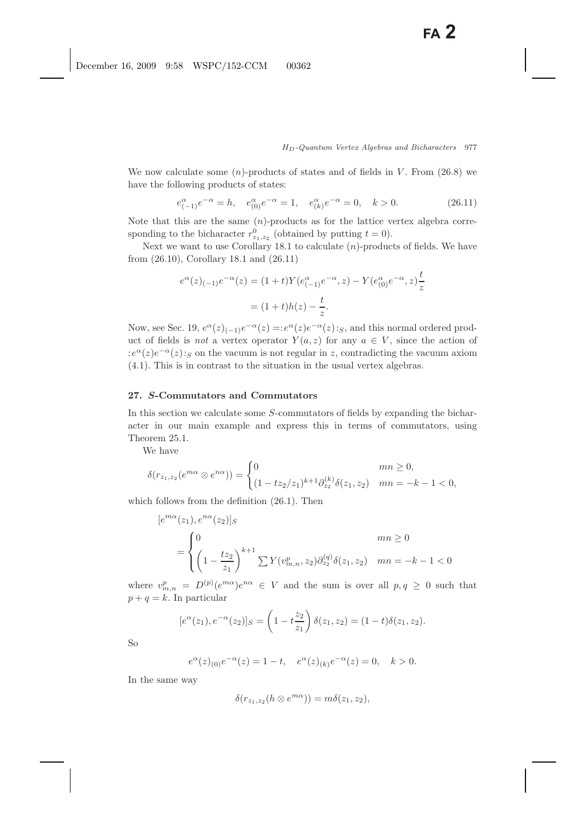We now calculate some  $(n)$ -products of states and of fields in V. From  $(26.8)$  we have the following products of states:

$$
e_{(-1)}^{\alpha}e^{-\alpha} = h, \quad e_{(0)}^{\alpha}e^{-\alpha} = 1, \quad e_{(k)}^{\alpha}e^{-\alpha} = 0, \quad k > 0.
$$
 (26.11)

Note that this are the same  $(n)$ -products as for the lattice vertex algebra corresponding to the bicharacter  $r_{2_1, z_2}^0$  (obtained by putting  $t = 0$ ).<br>Nort we want to use Capillary 18,1 to salvelate (n) produce

Next we want to use Corollary 18.1 to calculate  $(n)$ -products of fields. We have from (26.10), Corollary 18.1 and (26.11)

$$
e^{\alpha}(z)_{(-1)}e^{-\alpha}(z) = (1+t)Y(e^{\alpha}_{(-1)}e^{-\alpha}, z) - Y(e^{\alpha}_{(0)}e^{-\alpha}, z)\frac{t}{z}
$$

$$
= (1+t)h(z) - \frac{t}{z}.
$$

Now, see Sec. 19,  $e^{\alpha}(z)_{(-1)}e^{-\alpha}(z) =: e^{\alpha}(z)e^{-\alpha}(z):$  and this normal ordered product of fields is *not* a vertex operator  $Y(a, z)$  for any  $a \in V$ , since the action of  $:e^{\alpha}(z)e^{-\alpha}(z):S$  on the vacuum is not regular in z, contradicting the vacuum axiom (4.1). This is in contrast to the situation in the usual vertex algebras.

### **27.** *S***-Commutators and Commutators**

In this section we calculate some S-commutators of fields by expanding the bicharacter in our main example and express this in terms of commutators, using Theorem 25.1.

We have

$$
\delta(r_{z_1,z_2}(e^{m\alpha}\otimes e^{n\alpha})) = \begin{cases} 0 & mn \ge 0, \\ (1 - tz_2/z_1)^{k+1}\partial_{z_2}^{(k)}\delta(z_1,z_2) & mn = -k - 1 < 0, \end{cases}
$$

which follows from the definition (26.1). Then

$$
[e^{m\alpha}(z_1), e^{n\alpha}(z_2)]_S
$$
  
= 
$$
\begin{cases} 0 & mn \ge 0 \\ \left(1 - \frac{tz_2}{z_1}\right)^{k+1} \sum Y(v_{m,n}^p, z_2) \partial_{z_2}^{(q)} \delta(z_1, z_2) & mn = -k - 1 < 0 \end{cases}
$$

where  $v_{m,n}^p = D^{(p)}(e^{m\alpha})e^{n\alpha} \in V$  and the sum is over all  $p, q \ge 0$  such that  $p + q = k$ . In particular

$$
[e^{\alpha}(z_1), e^{-\alpha}(z_2)]_S = \left(1 - t \frac{z_2}{z_1}\right) \delta(z_1, z_2) = (1 - t) \delta(z_1, z_2).
$$

So

$$
e^{\alpha}(z)_{(0)}e^{-\alpha}(z) = 1 - t
$$
,  $e^{\alpha}(z)_{(k)}e^{-\alpha}(z) = 0$ ,  $k > 0$ .

In the same way

$$
\delta(r_{z_1,z_2}(h\otimes e^{m\alpha}))=m\delta(z_1,z_2),
$$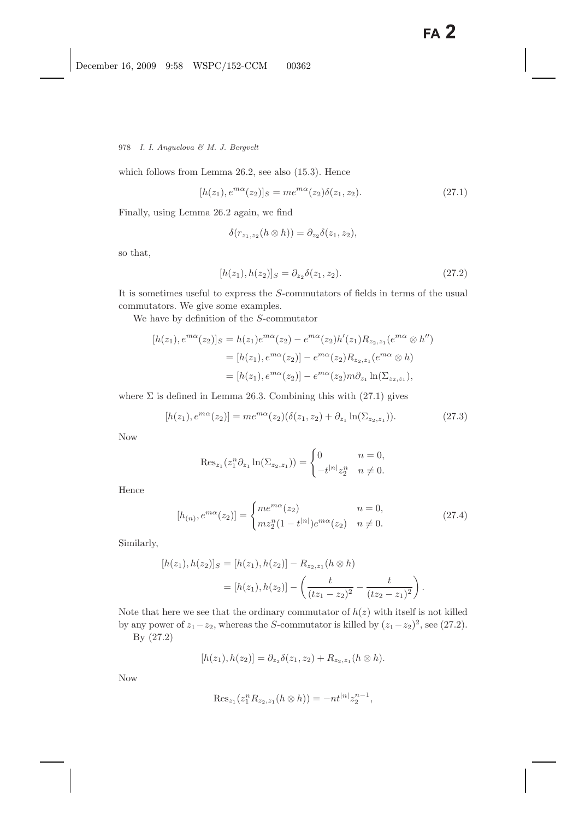which follows from Lemma 26.2, see also (15.3). Hence

$$
[h(z_1), e^{m\alpha}(z_2)]_S = me^{m\alpha}(z_2)\delta(z_1, z_2). \tag{27.1}
$$

Finally, using Lemma 26.2 again, we find

$$
\delta(r_{z_1,z_2}(h\otimes h))=\partial_{z_2}\delta(z_1,z_2),
$$

so that,

$$
[h(z_1), h(z_2)]_S = \partial_{z_2} \delta(z_1, z_2). \tag{27.2}
$$

It is sometimes useful to express the S-commutators of fields in terms of the usual commutators. We give some examples.

We have by definition of the S-commutator

$$
[h(z_1), e^{m\alpha}(z_2)]_S = h(z_1)e^{m\alpha}(z_2) - e^{m\alpha}(z_2)h'(z_1)R_{z_2, z_1}(e^{m\alpha} \otimes h'')
$$
  

$$
= [h(z_1), e^{m\alpha}(z_2)] - e^{m\alpha}(z_2)R_{z_2, z_1}(e^{m\alpha} \otimes h)
$$
  

$$
= [h(z_1), e^{m\alpha}(z_2)] - e^{m\alpha}(z_2)m\partial_{z_1}\ln(\Sigma_{z_2, z_1}),
$$

where  $\Sigma$  is defined in Lemma 26.3. Combining this with (27.1) gives

$$
[h(z_1), e^{m\alpha}(z_2)] = me^{m\alpha}(z_2)(\delta(z_1, z_2) + \partial_{z_1} \ln(\Sigma_{z_2, z_1})).
$$
\n(27.3)

Now

$$
\operatorname{Res}_{z_1}(z_1^n \partial_{z_1} \ln(\Sigma_{z_2, z_1})) = \begin{cases} 0 & n = 0, \\ -t^{|n|} z_2^n & n \neq 0. \end{cases}
$$

Hence

$$
[h_{(n)}, e^{m\alpha}(z_2)] = \begin{cases} me^{m\alpha}(z_2) & n = 0, \\ m z_2^n (1 - t^{|n|}) e^{m\alpha}(z_2) & n \neq 0. \end{cases}
$$
 (27.4)

Similarly,

$$
[h(z_1), h(z_2)]_S = [h(z_1), h(z_2)] - R_{z_2, z_1}(h \otimes h)
$$
  
= 
$$
[h(z_1), h(z_2)] - \left(\frac{t}{(tz_1 - z_2)^2} - \frac{t}{(tz_2 - z_1)^2}\right).
$$

Note that here we see that the ordinary commutator of  $h(z)$  with itself is not killed by any power of  $z_1-z_2$ , whereas the S-commutator is killed by  $(z_1-z_2)^2$ , see (27.2).

By (27.2)

$$
[h(z_1), h(z_2)] = \partial_{z_2} \delta(z_1, z_2) + R_{z_2, z_1} (h \otimes h).
$$

Now

$$
\mathrm{Res}_{z_1}(z_1^n R_{z_2,z_1}(h \otimes h)) = -nt^{|n|} z_2^{n-1},
$$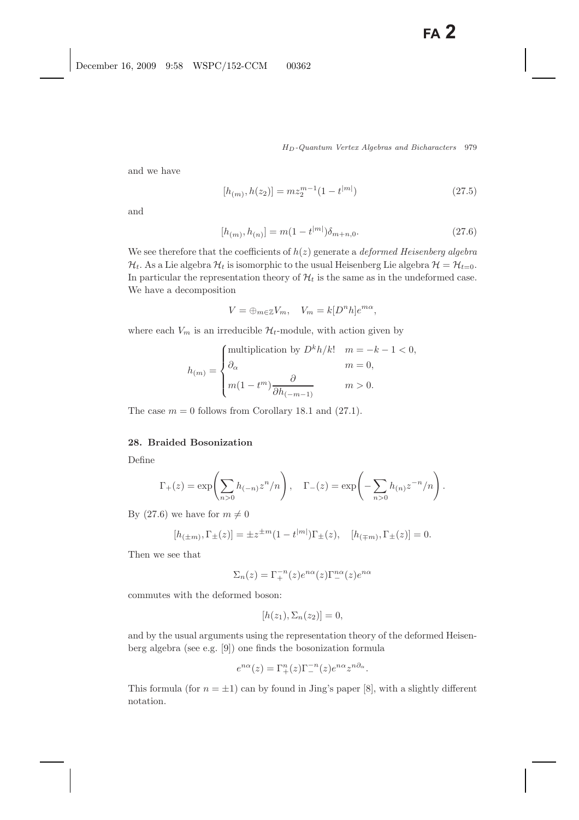and we have

$$
[h_{(m)}, h(z_2)] = m z_2^{m-1} (1 - t^{|m|})
$$
\n(27.5)

and

$$
[h_{(m)}, h_{(n)}] = m(1 - t^{|m|})\delta_{m+n,0}.
$$
\n(27.6)

We see therefore that the coefficients of  $h(z)$  generate a *deformed Heisenberg algebra*  $\mathcal{H}_t$ . As a Lie algebra  $\mathcal{H}_t$  is isomorphic to the usual Heisenberg Lie algebra  $\mathcal{H} = \mathcal{H}_{t=0}$ . In particular the representation theory of  $\mathcal{H}_t$  is the same as in the undeformed case. We have a decomposition

$$
V = \oplus_{m \in \mathbb{Z}} V_m, \quad V_m = k[D^n h]e^{m\alpha},
$$

where each  $V_m$  is an irreducible  $\mathcal{H}_t$ -module, with action given by

$$
h_{(m)} = \begin{cases} \text{multiplication by } D^k h / k! & m = -k - 1 < 0, \\ \partial_{\alpha} & m = 0, \\ m(1 - t^m) \frac{\partial}{\partial h_{(-m-1)}} & m > 0. \end{cases}
$$

The case  $m = 0$  follows from Corollary 18.1 and (27.1).

# **28. Braided Bosonization**

Define

$$
\Gamma_+(z) = \exp\left(\sum_{n>0} h_{(-n)} z^n/n\right), \quad \Gamma_-(z) = \exp\left(-\sum_{n>0} h_{(n)} z^{-n}/n\right).
$$

By (27.6) we have for  $m \neq 0$ 

$$
[h_{(\pm m)}, \Gamma_{\pm}(z)] = \pm z^{\pm m} (1 - t^{|m|}) \Gamma_{\pm}(z), \quad [h_{(\mp m)}, \Gamma_{\pm}(z)] = 0.
$$

Then we see that

$$
\Sigma_n(z) = \Gamma_+^{-n}(z)e^{n\alpha}(z)\Gamma_-^{n\alpha}(z)e^{n\alpha}
$$

commutes with the deformed boson:

$$
[h(z_1), \Sigma_n(z_2)] = 0,
$$

and by the usual arguments using the representation theory of the deformed Heisenberg algebra (see e.g. [9]) one finds the bosonization formula

$$
e^{n\alpha}(z) = \Gamma_+^n(z)\Gamma_-^{-n}(z)e^{n\alpha}z^{n\partial_\alpha}.
$$

This formula (for  $n = \pm 1$ ) can by found in Jing's paper [8], with a slightly different notation.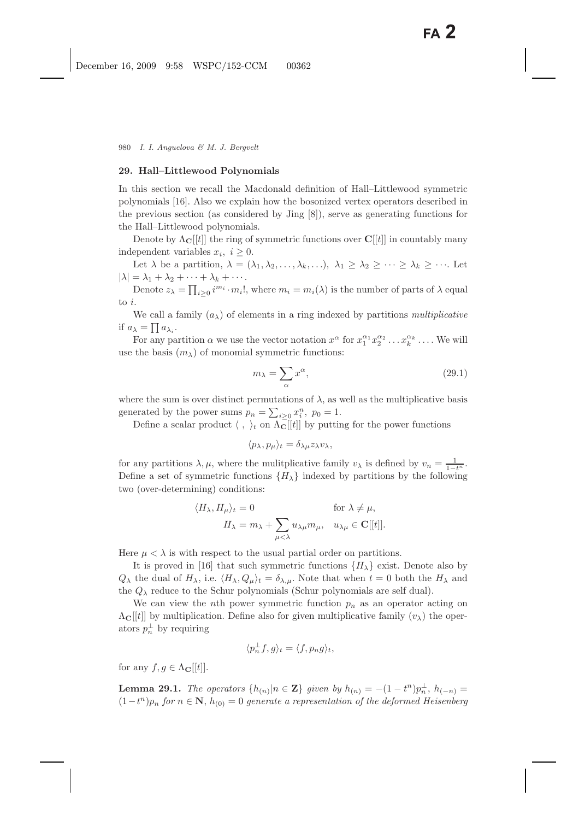### **29. Hall–Littlewood Polynomials**

In this section we recall the Macdonald definition of Hall–Littlewood symmetric polynomials [16]. Also we explain how the bosonized vertex operators described in the previous section (as considered by Jing [8]), serve as generating functions for the Hall–Littlewood polynomials.

Denote by  $\Lambda_{\mathbf{C}}[[t]]$  the ring of symmetric functions over  $\mathbf{C}[[t]]$  in countably many independent variables  $x_i, i \geq 0$ .

Let  $\lambda$  be a partition,  $\lambda = (\lambda_1, \lambda_2, \ldots, \lambda_k, \ldots), \lambda_1 \geq \lambda_2 \geq \cdots \geq \lambda_k \geq \cdots$ . Let  $|\lambda| = \lambda_1 + \lambda_2 + \cdots + \lambda_k + \cdots$ .

Denote  $z_{\lambda} = \prod_{i \geq 0} i^{m_i} \cdot m_i!$ , where  $m_i = m_i(\lambda)$  is the number of parts of  $\lambda$  equal to i.

We call a family  $(a_{\lambda})$  of elements in a ring indexed by partitions *multiplicative* if  $a_{\lambda} = \prod a_{\lambda_i}$ .

For any partition  $\alpha$  we use the vector notation  $x^{\alpha}$  for  $x_1^{\alpha_1} x_2^{\alpha_2} \dots x_k^{\alpha_k} \dots$ . We will the basis  $(m_1)$  of monomial symmetric functions: use the basis  $(m_{\lambda})$  of monomial symmetric functions:

$$
m_{\lambda} = \sum_{\alpha} x^{\alpha},\tag{29.1}
$$

where the sum is over distinct permutations of  $\lambda$ , as well as the multiplicative basis generated by the power sums  $p_n = \sum_{i \geq 0} x_i^n$ ,  $p_0 = 1$ .<br>Define a scalar product  $\langle \cdot \rangle$  on  $\Lambda$ -[[fl] by putting

Define a scalar product  $\langle , \rangle_t$  on  $\Lambda_{\mathbf{C}}[[t]]$  by putting for the power functions

$$
\langle p_\lambda, p_\mu \rangle_t = \delta_{\lambda\mu} z_\lambda v_\lambda,
$$

for any partitions  $\lambda, \mu$ , where the mulitplicative family  $v_{\lambda}$  is defined by  $v_n = \frac{1}{1-t^n}$ . Define a set of symmetric functions  $\{H_{\lambda}\}\$ indexed by partitions by the following two (over-determining) conditions:

$$
\langle H_{\lambda}, H_{\mu} \rangle_t = 0 \quad \text{for } \lambda \neq \mu,
$$
  

$$
H_{\lambda} = m_{\lambda} + \sum_{\mu < \lambda} u_{\lambda \mu} m_{\mu}, \quad u_{\lambda \mu} \in \mathbf{C}[[t]].
$$

Here  $\mu < \lambda$  is with respect to the usual partial order on partitions.

It is proved in [16] that such symmetric functions  $\{H_{\lambda}\}\$ exist. Denote also by  $Q_{\lambda}$  the dual of  $H_{\lambda}$ , i.e.  $\langle H_{\lambda}, Q_{\mu} \rangle_t = \delta_{\lambda,\mu}$ . Note that when  $t = 0$  both the  $H_{\lambda}$  and the  $Q_{\lambda}$  reduce to the Schur polynomials (Schur polynomials are self dual).

We can view the nth power symmetric function  $p_n$  as an operator acting on  $\Lambda_{\mathbf{C}}[[t]]$  by multiplication. Define also for given multiplicative family  $(v_{\lambda})$  the operators  $p_n^{\perp}$  by requiring

$$
\langle p_n^{\perp} f, g \rangle_t = \langle f, p_n g \rangle_t,
$$

for any  $f, g \in \Lambda_{\mathbf{C}}[[t]].$ 

**Lemma 29.1.** *The operators*  $\{h_{(n)}|n \in \mathbf{Z}\}\$  *given by*  $h_{(n)} = -(1-t^n)p_n^{\perp}, h_{(-n)} =$ <br> $\{1-t^n\}$  for  $n \in \mathbf{N}\$ ,  $h_{-n}$  of example a proposantation of the defermed Heightenhand  $(1-t^n)p_n$  *for*  $n \in \mathbf{N}$ ,  $h_{(0)} = 0$  *generate a representation of the deformed Heisenberg*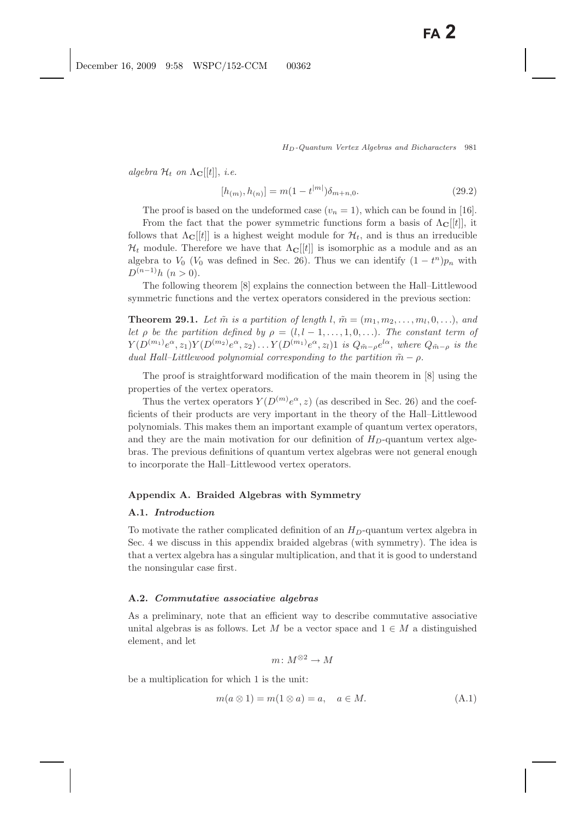*algebra*  $\mathcal{H}_t$  *on*  $\Lambda_{\mathbf{C}}[[t]],$  *i.e.* 

$$
[h_{(m)}, h_{(n)}] = m(1 - t^{|m|})\delta_{m+n,0}.
$$
\n(29.2)

The proof is based on the undeformed case  $(v_n = 1)$ , which can be found in [16].

From the fact that the power symmetric functions form a basis of  $\Lambda_{\mathbf{C}}[[t]]$ , it follows that  $\Lambda_{\mathbf{C}}[[t]]$  is a highest weight module for  $\mathcal{H}_t$ , and is thus an irreducible  $\mathcal{H}_t$  module. Therefore we have that  $\Lambda_{\mathbf{C}}[[t]]$  is isomorphic as a module and as an algebra to  $V_0$  ( $V_0$  was defined in Sec. 26). Thus we can identify  $(1 - t^n)p_n$  with  $D^{(n-1)}h$   $(n > 0)$ .

The following theorem [8] explains the connection between the Hall–Littlewood symmetric functions and the vertex operators considered in the previous section:

**Theorem 29.1.** Let  $\tilde{m}$  is a partition of length l,  $\tilde{m} = (m_1, m_2, \ldots, m_l, 0, \ldots)$ , and *let*  $\rho$  *be the partition defined by*  $\rho = (l, l - 1, \ldots, 1, 0, \ldots)$ *. The constant term of*  $Y(D^{(m_1)}e^{\alpha}, z_1)Y(D^{(m_2)}e^{\alpha}, z_2)\ldots Y(D^{(m_1)}e^{\alpha}, z_l)1$  *is*  $Q_{\tilde{m}-\rho}e^{l\alpha}$ , *where*  $Q_{\tilde{m}-\rho}$  *is the dual Hall–Littlewood polynomial corresponding to the partition*  $\tilde{m} - \rho$ .

The proof is straightforward modification of the main theorem in [8] using the properties of the vertex operators.

Thus the vertex operators  $Y(D^{(m)}e^{\alpha}, z)$  (as described in Sec. 26) and the coefficients of their products are very important in the theory of the Hall–Littlewood polynomials. This makes them an important example of quantum vertex operators, and they are the main motivation for our definition of  $H_D$ -quantum vertex algebras. The previous definitions of quantum vertex algebras were not general enough to incorporate the Hall–Littlewood vertex operators.

### **Appendix A. Braided Algebras with Symmetry**

#### **A.1.** *Introduction*

To motivate the rather complicated definition of an  $H_D$ -quantum vertex algebra in Sec. 4 we discuss in this appendix braided algebras (with symmetry). The idea is that a vertex algebra has a singular multiplication, and that it is good to understand the nonsingular case first.

#### **A.2.** *Commutative associative algebras*

As a preliminary, note that an efficient way to describe commutative associative unital algebras is as follows. Let M be a vector space and  $1 \in M$  a distinguished element, and let

$$
m\colon M^{\otimes 2}\to M
$$

be a multiplication for which 1 is the unit:

$$
m(a \otimes 1) = m(1 \otimes a) = a, \quad a \in M. \tag{A.1}
$$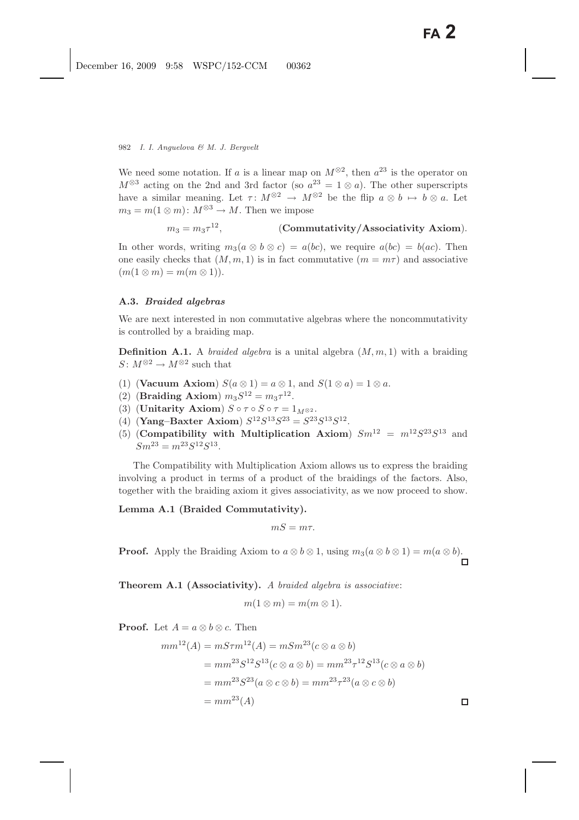We need some notation. If a is a linear map on  $M^{\otimes 2}$ , then  $a^{23}$  is the operator on  $M^{\otimes 3}$  acting on the 2nd and 3rd factor (so  $a^{23} = 1 \otimes a$ ). The other superscripts have a similar meaning. Let  $\tau: M^{\otimes 2} \to M^{\otimes 2}$  be the flip  $a \otimes b \mapsto b \otimes a$ . Let  $m_3 = m(1 \otimes m)$ :  $M^{\otimes 3} \to M$ . Then we impose

$$
m_3 = m_3 \tau^{12}, \qquad \qquad \text{(Commutativity/Associativity Axiom)}.
$$

In other words, writing  $m_3(a \otimes b \otimes c) = a(bc)$ , we require  $a(bc) = b(ac)$ . Then one easily checks that  $(M, m, 1)$  is in fact commutative  $(m = m\tau)$  and associative  $(m(1 \otimes m) = m(m \otimes 1)).$ 

### **A.3.** *Braided algebras*

We are next interested in non commutative algebras where the noncommutativity is controlled by a braiding map.

**Definition A.1.** A *braided algebra* is a unital algebra  $(M, m, 1)$  with a braiding  $S: M^{\otimes 2} \to M^{\otimes 2}$  such that

- (1) (**Vacuum Axiom**)  $S(a \otimes 1) = a \otimes 1$ , and  $S(1 \otimes a) = 1 \otimes a$ .
- (2) **(Braiding Axiom)**  $m_3S^{12} = m_3\tau^{12}$ .
- (3) (**Unitarity Axiom**)  $S \circ \tau \circ S \circ \tau = 1_{M \otimes 2}$ .
- (4) **(Yang–Baxter Axiom)**  $S^{12}S^{13}S^{23} = S^{23}S^{13}S^{12}$ .
- (5) (**Compatibility with Multiplication Axiom**)  $Sm^{12} = m^{12}S^{23}S^{13}$  and  $Sm^{23} = m^{23}S^{12}S^{13}.$

The Compatibility with Multiplication Axiom allows us to express the braiding involving a product in terms of a product of the braidings of the factors. Also, together with the braiding axiom it gives associativity, as we now proceed to show.

# **Lemma A.1 (Braided Commutativity).**

$$
mS = m\tau.
$$

**Proof.** Apply the Braiding Axiom to  $a \otimes b \otimes 1$ , using  $m_3(a \otimes b \otimes 1) = m(a \otimes b)$ .

**Theorem A.1 (Associativity).** *A braided algebra is associative*:

$$
m(1\otimes m)=m(m\otimes 1).
$$

**Proof.** Let  $A = a \otimes b \otimes c$ . Then

$$
mm^{12}(A) = mS\tau m^{12}(A) = mSm^{23}(c \otimes a \otimes b)
$$
  
=  $mm^{23}S^{12}S^{13}(c \otimes a \otimes b) = mm^{23}\tau^{12}S^{13}(c \otimes a \otimes b)$   
=  $mm^{23}S^{23}(a \otimes c \otimes b) = mm^{23}\tau^{23}(a \otimes c \otimes b)$   
=  $mm^{23}(A)$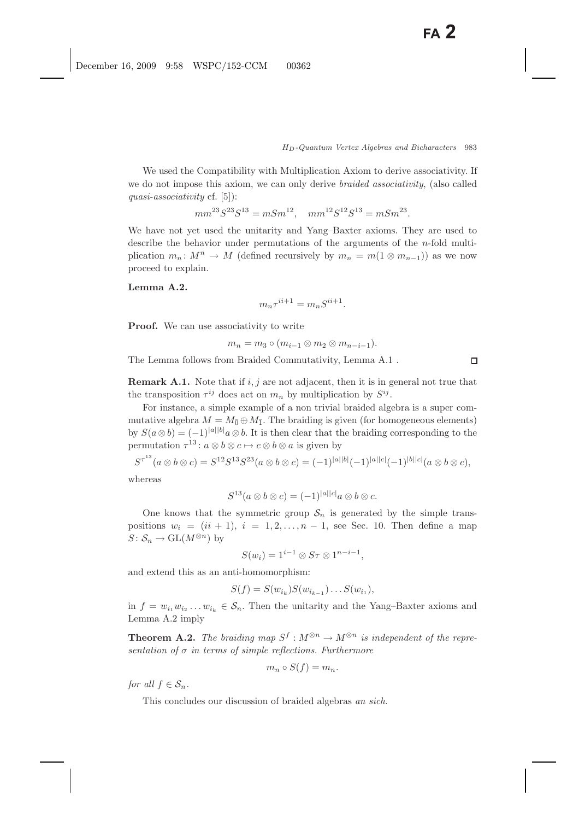We used the Compatibility with Multiplication Axiom to derive associativity. If we do not impose this axiom, we can only derive *braided associativity*, (also called *quasi-associativity* cf. [5]):

$$
mm^{23}S^{23}S^{13} = mSm^{12}, \quad mm^{12}S^{12}S^{13} = mSm^{23}.
$$

We have not yet used the unitarity and Yang–Baxter axioms. They are used to describe the behavior under permutations of the arguments of the  $n$ -fold multiplication  $m_n: M^n \to M$  (defined recursively by  $m_n = m(1 \otimes m_{n-1})$ ) as we now proceed to explain.

# **Lemma A.2.**

$$
m_n \tau^{ii+1} = m_n S^{ii+1}.
$$

**Proof.** We can use associativity to write

$$
m_n = m_3 \circ (m_{i-1} \otimes m_2 \otimes m_{n-i-1}).
$$

The Lemma follows from Braided Commutativity, Lemma A.1 .

**Remark A.1.** Note that if  $i, j$  are not adjacent, then it is in general not true that the transposition  $\tau^{ij}$  does act on  $m_n$  by multiplication by  $S^{ij}$ .

For instance, a simple example of a non trivial braided algebra is a super commutative algebra  $M = M_{\bar{0}} \oplus M_{\bar{1}}$ . The braiding is given (for homogeneous elements) by  $S(a\otimes b) = (-1)^{|a||b|}a\otimes b$ . It is then clear that the braiding corresponding to the permutation  $\tau^{13}$ :  $a \otimes b \otimes c \mapsto c \otimes b \otimes a$  is given by

$$
S^{\tau^{13}}(a\otimes b\otimes c)=S^{12}S^{13}S^{23}(a\otimes b\otimes c)=(-1)^{|a||b|}(-1)^{|a||c|}(-1)^{|b||c|}(a\otimes b\otimes c),
$$

whereas

$$
S^{13}(a\otimes b\otimes c) = (-1)^{|a||c|}a\otimes b\otimes c.
$$

One knows that the symmetric group  $S_n$  is generated by the simple transpositions  $w_i = (ii + 1), i = 1, 2, \ldots, n - 1$ , see Sec. 10. Then define a map  $S\colon \mathcal{S}_n \to \mathrm{GL}(M^{\otimes n})$  by

 $S(w_i)=1^{i-1}\otimes S\tau \otimes 1^{n-i-1},$ 

and extend this as an anti-homomorphism:

$$
S(f) = S(w_{i_k})S(w_{i_{k-1}}) \dots S(w_{i_1}),
$$

in  $f = w_{i_1}w_{i_2}...w_{i_k} \in S_n$ . Then the unitarity and the Yang–Baxter axioms and Lemma A.2 imply

**Theorem A.2.** *The braiding map*  $S^f : M^{\otimes n} \to M^{\otimes n}$  *is independent of the representation of* σ *in terms of simple reflections. Furthermore*

$$
m_n \circ S(f) = m_n.
$$

*for all*  $f \in S_n$ *.* 

This concludes our discussion of braided algebras *an sich*.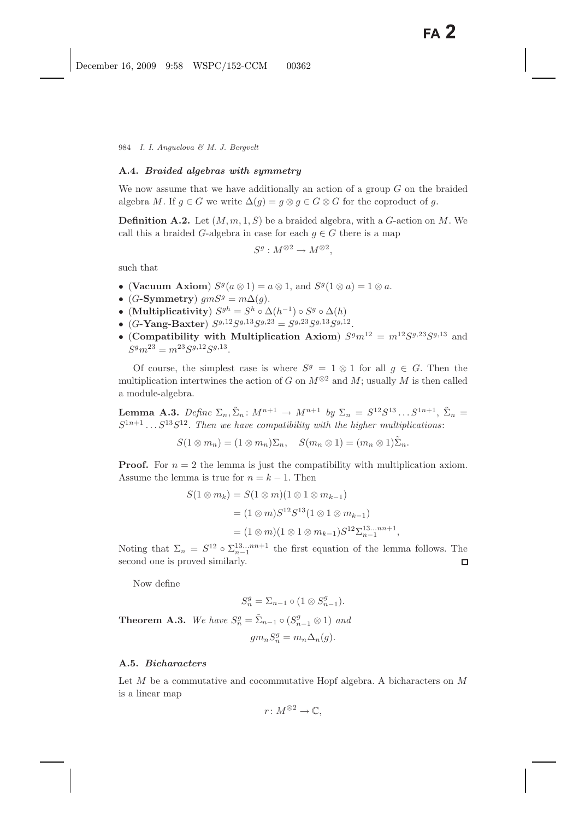#### **A.4.** *Braided algebras with symmetry*

We now assume that we have additionally an action of a group  $G$  on the braided algebra M. If  $g \in G$  we write  $\Delta(g) = g \otimes g \in G \otimes G$  for the coproduct of g.

**Definition A.2.** Let  $(M, m, 1, S)$  be a braided algebra, with a G-action on M. We call this a braided G-algebra in case for each  $q \in G$  there is a map

$$
S^g: M^{\otimes 2} \to M^{\otimes 2},
$$

such that

- (Vacuum Axiom)  $S^g(a \otimes 1) = a \otimes 1$ , and  $S^g(1 \otimes a) = 1 \otimes a$ .
- (G-Symmetry)  $qmS^g = m\Delta(q)$ .
- (**Multiplicativity**)  $S^{gh} = S^h \circ \Delta(h^{-1}) \circ S^g \circ \Delta(h)$
- (G-Yang-Baxter)  $S^{g,12}S^{g,13}S^{g,23} = S^{g,23}S^{g,13}S^{g,12}$
- (**Compatibility with Multiplication Axiom**)  $S^g m^{12} = m^{12} S^{g,23} S^{g,13}$  and  $S^g m^{23} = m^{23} S^{g,12} S^{g,13}.$

Of course, the simplest case is where  $S<sup>g</sup> = 1 \otimes 1$  for all  $g \in G$ . Then the multiplication intertwines the action of G on  $M^{\otimes 2}$  and M; usually M is then called a module-algebra.

**Lemma A.3.** *Define*  $\Sigma_n$ ,  $\tilde{\Sigma}_n$ :  $M^{n+1} \to M^{n+1}$  *by*  $\Sigma_n = S^{12} S^{13} \dots S^{1n+1}$ ,  $\tilde{\Sigma}_n =$  $S^{1n+1} \dots S^{13} S^{12}$ . Then we have compatibility with the higher multiplications:

 $S(1 \otimes m_n) = (1 \otimes m_n) \Sigma_n, \quad S(m_n \otimes 1) = (m_n \otimes 1) \tilde{\Sigma}_n.$ 

**Proof.** For  $n = 2$  the lemma is just the compatibility with multiplication axiom. Assume the lemma is true for  $n = k - 1$ . Then

$$
S(1 \otimes m_k) = S(1 \otimes m)(1 \otimes 1 \otimes m_{k-1})
$$
  
=  $(1 \otimes m)S^{12}S^{13}(1 \otimes 1 \otimes m_{k-1})$   
=  $(1 \otimes m)(1 \otimes 1 \otimes m_{k-1})S^{12}\Sigma_{n-1}^{13...mn+1}$ ,

Noting that  $\Sigma_n = S^{12} \circ \Sigma_{n-1}^{13...nn+1}$  the first equation of the lemma follows. The second one is proved similarly.

Now define

$$
S_n^g = \Sigma_{n-1} \circ (1 \otimes S_{n-1}^g).
$$

**Theorem A.3.** *We have*  $S_n^g = \tilde{\Sigma}_{n-1} \circ (S_{n-1}^g \otimes 1)$  *and* 

$$
gm_n S_n^g = m_n \Delta_n(g).
$$

### **A.5.** *Bicharacters*

Let  $M$  be a commutative and cocommutative Hopf algebra. A bicharacters on  $M$ is a linear map

$$
r\colon M^{\otimes 2}\to \mathbb{C},
$$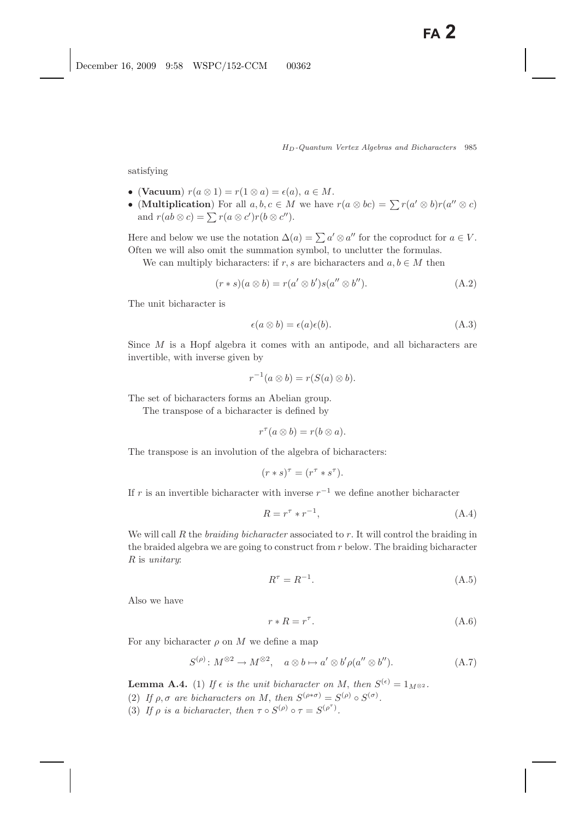satisfying

- (Vacuum)  $r(a \otimes 1) = r(1 \otimes a) = \epsilon(a), a \in M$ .
- (**Multiplication**) For all  $a, b, c \in M$  we have  $r(a \otimes bc) = \sum r(a' \otimes b)r(a'' \otimes c)$ and  $r(ab \otimes c) = \sum r(a \otimes c')r(b \otimes c'')$ .

Here and below we use the notation  $\Delta(a) = \sum a' \otimes a''$  for the coproduct for  $a \in V$ . Often we will also omit the summation symbol, to unclutter the formulas.

We can multiply bicharacters: if r, s are bicharacters and  $a, b \in M$  then

$$
(r * s)(a \otimes b) = r(a' \otimes b')s(a'' \otimes b'').
$$
\n(A.2)

The unit bicharacter is

$$
\epsilon(a \otimes b) = \epsilon(a)\epsilon(b). \tag{A.3}
$$

Since  $M$  is a Hopf algebra it comes with an antipode, and all bicharacters are invertible, with inverse given by

$$
r^{-1}(a\otimes b)=r(S(a)\otimes b).
$$

The set of bicharacters forms an Abelian group.

The transpose of a bicharacter is defined by

$$
r^{\tau}(a\otimes b)=r(b\otimes a).
$$

The transpose is an involution of the algebra of bicharacters:

$$
(r * s)^\tau = (r^\tau * s^\tau).
$$

If r is an invertible bicharacter with inverse  $r^{-1}$  we define another bicharacter

$$
R = r^{\tau} \ast r^{-1},\tag{A.4}
$$

We will call R the *braiding bicharacter* associated to r. It will control the braiding in the braided algebra we are going to construct from  $r$  below. The braiding bicharacter R is *unitary*:

$$
R^{\tau} = R^{-1}.\tag{A.5}
$$

Also we have

$$
r * R = r^{\tau}.
$$
\n(A.6)

For any bicharacter  $\rho$  on M we define a map

$$
S^{(\rho)}\colon M^{\otimes 2} \to M^{\otimes 2}, \quad a \otimes b \mapsto a' \otimes b' \rho(a'' \otimes b''). \tag{A.7}
$$

**Lemma A.4.** (1) *If*  $\epsilon$  *is the unit bicharacter on M*, *then*  $S^{(\epsilon)} = 1_{M^{\otimes 2}}$ *.* (2) If  $\rho$ ,  $\sigma$  are bicharacters on M, then  $S^{(\rho*\sigma)} = S^{(\rho)} \circ S^{(\sigma)}$ . (3) If  $\rho$  is a bicharacter, then  $\tau \circ S^{(\rho)} \circ \tau = S^{(\rho^*)}$ .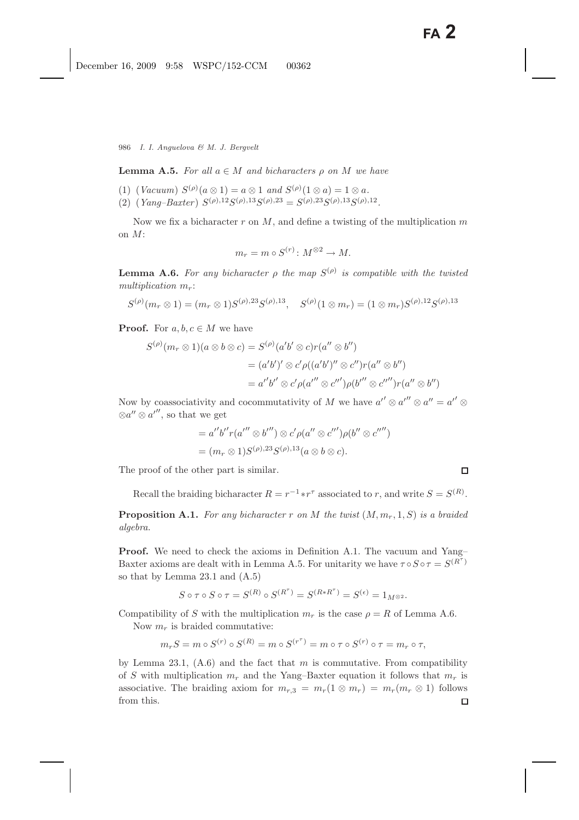**Lemma A.5.** *For all*  $a \in M$  *and bicharacters*  $\rho$  *on*  $M$  *we have* 

- (1) (*Vacuum*)  $S^{(\rho)}(a \otimes 1) = a \otimes 1$  *and*  $S^{(\rho)}(1 \otimes a) = 1 \otimes a$ *.*
- (2)  $(Yang-Baster) S^{(\rho),12}S^{(\rho),13}S^{(\rho),23} = S^{(\rho),23}S^{(\rho),13}S^{(\rho),12}$

Now we fix a bicharacter  $r$  on  $M$ , and define a twisting of the multiplication  $m$ on M:

$$
m_r = m \circ S^{(r)} \colon M^{\otimes 2} \to M.
$$

**Lemma A.6.** For any bicharacter *ρ* the map  $S^{(\rho)}$  is compatible with the twisted  $multiplication m_r$ :

$$
S^{(\rho)}(m_r \otimes 1) = (m_r \otimes 1)S^{(\rho),23}S^{(\rho),13}, \quad S^{(\rho)}(1 \otimes m_r) = (1 \otimes m_r)S^{(\rho),12}S^{(\rho),13}
$$

**Proof.** For  $a, b, c \in M$  we have

$$
S^{(\rho)}(m_r \otimes 1)(a \otimes b \otimes c) = S^{(\rho)}(a'b' \otimes c)r(a'' \otimes b'')
$$
  
=  $(a'b')' \otimes c'\rho((a'b')'' \otimes c'')r(a'' \otimes b'')$   
=  $a''b'' \otimes c'\rho(a''' \otimes c'')\rho(b''' \otimes c''')r(a'' \otimes b'')$ 

Now by coassociativity and cocommutativity of M we have  $a'' \otimes a'' \otimes a'' = a'' \otimes a$  $\otimes a'' \otimes a''$ , so that we get

$$
= a''b''r(a'' \otimes b''') \otimes c'\rho(a'' \otimes c''')\rho(b'' \otimes c''')
$$
  
=  $(m_r \otimes 1)S^{(\rho),23}S^{(\rho),13}(a \otimes b \otimes c).$ 

The proof of the other part is similar.

Recall the braiding bicharacter  $R = r^{-1} * r^{\tau}$  associated to r, and write  $S = S^{(R)}$ .

**Proposition A.1.** *For any bicharacter* <sup>r</sup> *on* <sup>M</sup> *the twist* (M,mr, <sup>1</sup>, S) *is a braided algebra.*

**Proof.** We need to check the axioms in Definition A.1. The vacuum and Yang– Baxter axioms are dealt with in Lemma A.5. For unitarity we have  $\tau \circ S \circ \tau = S^{(R^{\tau})}$ so that by Lemma 23.1 and (A.5)

$$
S \circ \tau \circ S \circ \tau = S^{(R)} \circ S^{(R^{\tau})} = S^{(R \ast R^{\tau})} = S^{(\epsilon)} = 1_{M^{\otimes 2}}.
$$

Compatibility of S with the multiplication  $m_r$  is the case  $\rho = R$  of Lemma A.6.

Now  $m_r$  is braided commutative:

$$
m_r S = m \circ S^{(r)} \circ S^{(R)} = m \circ S^{(r^{\tau})} = m \circ \tau \circ S^{(r)} \circ \tau = m_r \circ \tau,
$$

by Lemma 23.1,  $(A.6)$  and the fact that m is commutative. From compatibility of S with multiplication  $m_r$  and the Yang–Baxter equation it follows that  $m_r$  is associative. The braiding axiom for  $m_{r,3} = m_r(1 \otimes m_r) = m_r(m_r \otimes 1)$  follows from this. from this.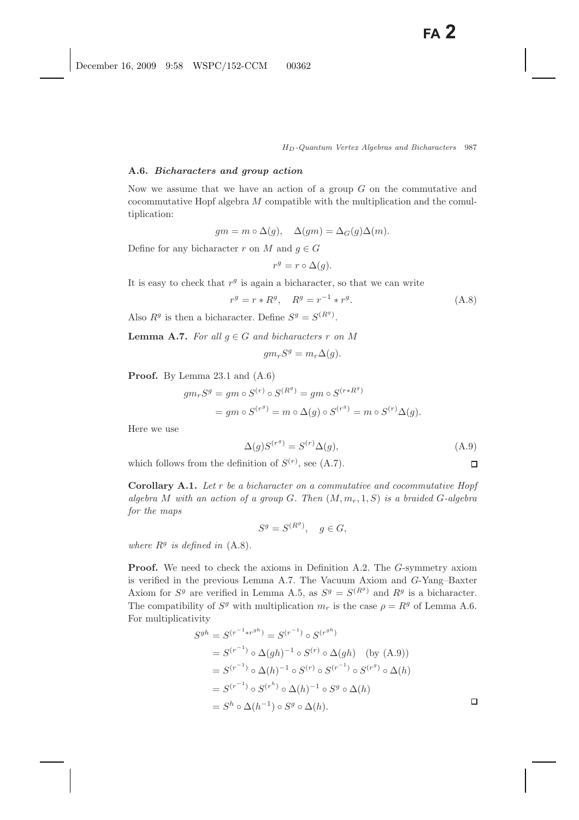### **A.6.** *Bicharacters and group action*

Now we assume that we have an action of a group  $G$  on the commutative and cocommutative Hopf algebra M compatible with the multiplication and the comultiplication:

$$
gm = m \circ \Delta(g), \quad \Delta(gm) = \Delta_G(g)\Delta(m).
$$

Define for any bicharacter r on M and  $q \in G$ 

$$
r^g = r \circ \Delta(g).
$$

It is easy to check that  $r<sup>g</sup>$  is again a bicharacter, so that we can write

$$
r^g = r * R^g, \quad R^g = r^{-1} * r^g. \tag{A.8}
$$

Also  $R^g$  is then a bicharacter. Define  $S^g = S^{(R^g)}$ .

**Lemma A.7.** *For all*  $g \in G$  *and bicharacters*  $r$  *on*  $M$ 

$$
gm_rS^g = m_r\Delta(g).
$$

**Proof.** By Lemma 23.1 and (A.6)

$$
gm_rS^g = gm \circ S^{(r)} \circ S^{(R^g)} = gm \circ S^{(r*R^g)}
$$
  
=  $gm \circ S^{(r^g)} = m \circ \Delta(g) \circ S^{(r^g)} = m \circ S^{(r)}\Delta(g)$ .

Here we use

$$
\Delta(g)S^{(r^g)} = S^{(r)}\Delta(g),\tag{A.9}
$$

 $\Box$ 

which follows from the definition of  $S^{(r)}$ , see (A.7).

**Corollary A.1.** *Let* r *be a bicharacter on a commutative and cocommutative Hopf algebra* M *with an action of a group* G. Then  $(M, m_r, 1, S)$  *is a braided* G-algebra *for the maps*

$$
S^g = S^{(R^g)}, \quad g \in G,
$$

*where*  $R^g$  *is defined in*  $(A.8)$ *.* 

**Proof.** We need to check the axioms in Definition A.2. The G-symmetry axiom is verified in the previous Lemma A.7. The Vacuum Axiom and G-Yang–Baxter Axiom for  $S^g$  are verified in Lemma A.5, as  $S^g = S^{(R^g)}$  and  $R^g$  is a bicharacter. The compatibility of  $S^g$  with multiplication  $m_r$  is the case  $\rho = R^g$  of Lemma A.6. For multiplicativity

$$
S^{gh} = S^{(r^{-1} * r^{gh})} = S^{(r^{-1})} \circ S^{(r^{gh})}
$$
  
=  $S^{(r^{-1})} \circ \Delta(gh)^{-1} \circ S^{(r)} \circ \Delta(gh)$  (by (A.9))  
=  $S^{(r^{-1})} \circ \Delta(h)^{-1} \circ S^{(r)} \circ S^{(r^{-1})} \circ S^{(r^{g})} \circ \Delta(h)$   
=  $S^{(r^{-1})} \circ S^{(r^{h})} \circ \Delta(h)^{-1} \circ S^{g} \circ \Delta(h)$   
=  $S^{h} \circ \Delta(h^{-1}) \circ S^{g} \circ \Delta(h)$ .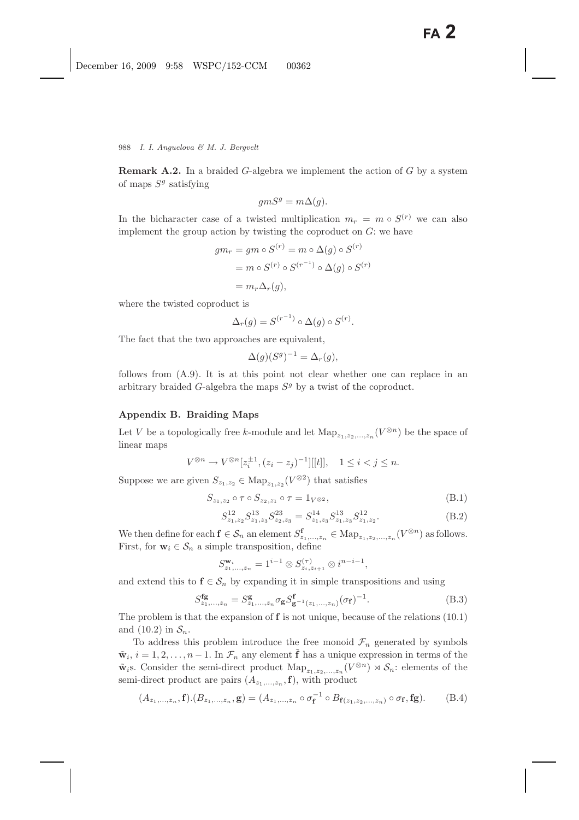**Remark A.2.** In a braided G-algebra we implement the action of G by a system of maps  $S<sup>g</sup>$  satisfying

$$
gmS^g = m\Delta(g).
$$

In the bicharacter case of a twisted multiplication  $m_r = m \circ S^{(r)}$  we can also implement the group action by twisting the coproduct on  $G$ : we have

$$
gm_r = gm \circ S^{(r)} = m \circ \Delta(g) \circ S^{(r)}
$$

$$
= m \circ S^{(r)} \circ S^{(r^{-1})} \circ \Delta(g) \circ S^{(r)}
$$

$$
= m_r \Delta_r(g),
$$

where the twisted coproduct is

$$
\Delta_r(g) = S^{(r^{-1})} \circ \Delta(g) \circ S^{(r)}.
$$

The fact that the two approaches are equivalent,

$$
\Delta(g)(S^g)^{-1} = \Delta_r(g),
$$

follows from (A.9). It is at this point not clear whether one can replace in an arbitrary braided G-algebra the maps  $S<sup>g</sup>$  by a twist of the coproduct.

# **Appendix B. Braiding Maps**

Let V be a topologically free k-module and let  $\text{Map}_{z_1,z_2,\ldots,z_n}(V^{\otimes n})$  be the space of linear maps linear maps

$$
V^{\otimes n} \to V^{\otimes n}[z_i^{\pm 1}, (z_i - z_j)^{-1}][[t]], \quad 1 \le i < j \le n.
$$

Suppose we are given  $S_{z_1,z_2} \in \text{Map}_{z_1,z_2} (V^{\otimes 2})$  that satisfies

$$
S_{z_1, z_2} \circ \tau \circ S_{z_2, z_1} \circ \tau = 1_{V^{\otimes 2}},
$$
\n(B.1)

$$
S_{z_1,z_2}^{12} S_{z_1,z_3}^{13} S_{z_2,z_3}^{23} = S_{z_1,z_3}^{14} S_{z_1,z_3}^{13} S_{z_1,z_2}^{12}.
$$
 (B.2)

We then define for each  $\mathbf{f} \in \mathcal{S}_n$  an element  $S^{\mathbf{f}}_{z_1,\dots,z_n} \in \text{Map}_{z_1,z_2,\dots,z_n}(V^{\otimes n})$  as follows. First, for  $\mathbf{w}_i \in \mathcal{S}_n$  a simple transposition, define

$$
S_{z_1,...,z_n}^{\mathbf{w}_i} = 1^{i-1} \otimes S_{z_i,z_{i+1}}^{(\tau)} \otimes i^{n-i-1},
$$

and extend this to  $f \in S_n$  by expanding it in simple transpositions and using

$$
S_{z_1,\dots,z_n}^{\text{fg}} = S_{z_1,\dots,z_n}^{\text{g}} \sigma_{\text{g}} S_{\text{g}^{-1}(z_1,\dots,z_n)}^{\text{f}} (\sigma_{\text{f}})^{-1}.
$$
 (B.3)

The problem is that the expansion of **f** is not unique, because of the relations (10.1) and  $(10.2)$  in  $S_n$ .

To address this problem introduce the free monoid  $\mathcal{F}_n$  generated by symbols  $\tilde{\mathbf{w}}_i$ ,  $i = 1, 2, \ldots, n-1$ . In  $\mathcal{F}_n$  any element **f** has a unique expression in terms of the  $\tilde{\mathbf{w}}_i$ s. Consider the semi-direct product  $\text{Map}_{z_1,z_2,\ldots,z_n}(V^{\otimes n}) \rtimes \mathcal{S}_n$ : elements of the semi-direct product are pairs  $(A_{z_1,\ldots,z_n},\mathbf{f})$ , with product

$$
(A_{z_1,\ldots,z_n},\mathbf{f}).(B_{z_1,\ldots,z_n},\mathbf{g})=(A_{z_1,\ldots,z_n}\circ\sigma_{\mathbf{f}}^{-1}\circ B_{\mathbf{f}(z_1,z_2,\ldots,z_n)}\circ\sigma_{\mathbf{f}},\mathbf{fg}).
$$
 (B.4)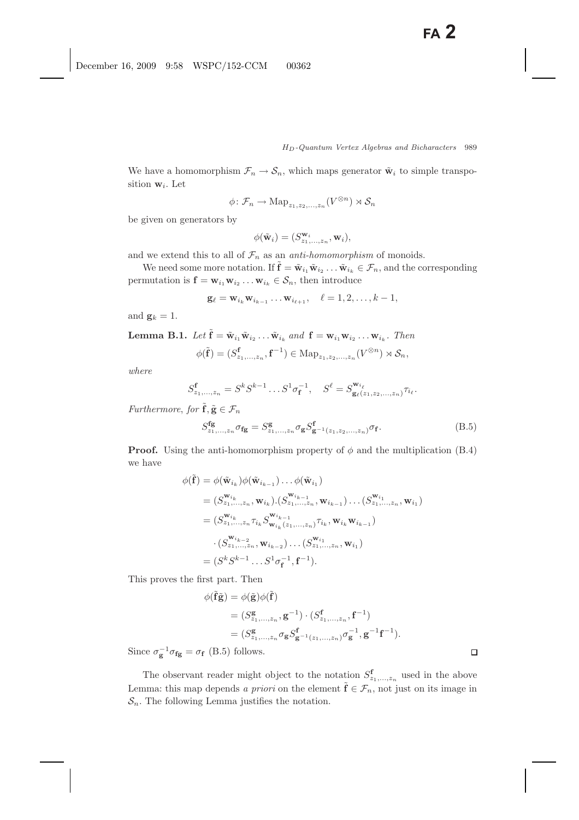We have a homomorphism  $\mathcal{F}_n \to \mathcal{S}_n$ , which maps generator  $\tilde{\mathbf{w}}_i$  to simple transposition  $\mathbf{w}_i$ . Let

$$
\phi \colon \mathcal{F}_n \to \mathrm{Map}_{z_1, z_2, ..., z_n}(V^{\otimes n}) \rtimes \mathcal{S}_n
$$

be given on generators by

$$
\phi(\tilde{\mathbf{w}}_i)=(S^{\mathbf{w}_i}_{z_1,\ldots,z_n},\mathbf{w}_i),
$$

and we extend this to all of  $\mathcal{F}_n$  as an *anti-homomorphism* of monoids.

We need some more notation. If  $\tilde{\mathbf{f}} = \tilde{\mathbf{w}}_{i_1} \tilde{\mathbf{w}}_{i_2} \dots \tilde{\mathbf{w}}_{i_k} \in \mathcal{F}_n$ , and the corresponding permutation is  $\mathbf{f} = \mathbf{w}_{i_1} \mathbf{w}_{i_2} \dots \mathbf{w}_{i_k} \in \mathcal{S}_n$ , then introduce

$$
\mathbf{g}_{\ell}=\mathbf{w}_{i_k}\mathbf{w}_{i_{k-1}}\ldots\mathbf{w}_{i_{\ell+1}}, \quad \ell=1,2,\ldots,k-1,
$$

and  $\mathbf{g}_k = 1$ .

**Lemma B.1.** *Let*  $\tilde{\mathbf{f}} = \tilde{\mathbf{w}}_{i_1} \tilde{\mathbf{w}}_{i_2} \dots \tilde{\mathbf{w}}_{i_k}$  and  $\mathbf{f} = \mathbf{w}_{i_1} \mathbf{w}_{i_2} \dots \mathbf{w}_{i_k}$ . Then

$$
\phi(\tilde{\mathbf{f}}) = (S_{z_1,\ldots,z_n}^{\mathbf{f}}, \mathbf{f}^{-1}) \in \mathrm{Map}_{z_1,z_2,\ldots,z_n}(V^{\otimes n}) \rtimes \mathcal{S}_n,
$$

*where*

$$
S_{z_1,...,z_n}^{\mathbf{f}} = S^k S^{k-1} \dots S^1 \sigma_{\mathbf{f}}^{-1}, \quad S^{\ell} = S_{\mathbf{g}_{\ell}(z_1,z_2,...,z_n)}^{\mathbf{w}_{i_{\ell}}}
$$

*Furthermore*, *for*  $\tilde{\mathbf{f}}$ ,  $\tilde{\mathbf{g}} \in \mathcal{F}_n$ 

$$
S_{z_1,\dots,z_n}^{\text{fg}} \sigma_{\text{fg}} = S_{z_1,\dots,z_n}^{\text{g}} \sigma_{\text{g}} S_{\text{g}^{-1}(z_1,z_2,\dots,z_n)}^{\text{f}} \sigma_{\text{f}}.
$$
(B.5)

**Proof.** Using the anti-homomorphism property of  $\phi$  and the multiplication (B.4) we have

$$
\phi(\tilde{\mathbf{f}}) = \phi(\tilde{\mathbf{w}}_{i_k})\phi(\tilde{\mathbf{w}}_{i_{k-1}})\dots\phi(\tilde{\mathbf{w}}_{i_1})
$$
\n
$$
= (S_{z_1,\dots,z_n}^{\mathbf{w}_{i_k}}, \mathbf{w}_{i_k}) \cdot (S_{z_1,\dots,z_n}^{\mathbf{w}_{i_{k-1}}}, \mathbf{w}_{i_{k-1}})\dots (S_{z_1,\dots,z_n}^{\mathbf{w}_{i_1}}, \mathbf{w}_{i_1})
$$
\n
$$
= (S_{z_1,\dots,z_n}^{\mathbf{w}_{i_k}} \tau_{i_k} S_{\mathbf{w}_{i_k}(z_1,\dots,z_n)}^{\mathbf{w}_{i_{k-1}}}, \mathbf{w}_{i_k} \mathbf{w}_{i_{k-1}})
$$
\n
$$
\cdot (S_{z_1,\dots,z_n}^{\mathbf{w}_{i_{k-2}}}, \mathbf{w}_{i_{k-2}})\dots (S_{z_1,\dots,z_n}^{\mathbf{w}_{i_1}}, \mathbf{w}_{i_1})
$$
\n
$$
= (S^k S^{k-1} \dots S^1 \sigma_{\mathbf{f}}^{-1}, \mathbf{f}^{-1}).
$$

This proves the first part. Then

$$
\phi(\tilde{\mathbf{f}}\tilde{\mathbf{g}}) = \phi(\tilde{\mathbf{g}})\phi(\tilde{\mathbf{f}})
$$
  
=  $(S_{z_1,...,z_n}^{\mathbf{g}}, \mathbf{g}^{-1}) \cdot (S_{z_1,...,z_n}^{\mathbf{f}}, \mathbf{f}^{-1})$   
=  $(S_{z_1,...,z_n}^{\mathbf{g}} \sigma_{\mathbf{g}} S_{\mathbf{g}^{-1}(z_1,...,z_n)}^{\mathbf{f}} \sigma_{\mathbf{g}}^{-1}, \mathbf{g}^{-1} \mathbf{f}^{-1}).$ 

Since  $\sigma_{\mathbf{g}}^{-1} \sigma_{\mathbf{fg}} = \sigma_{\mathbf{f}}$  (B.5) follows.

The observant reader might object to the notation  $S^{\mathbf{f}}_{\mathbf{z}_1,\dots,\mathbf{z}_n}$  used in the above Lemma: this map depends *a priori* on the element  $\tilde{\mathbf{f}} \in \mathcal{F}_n$ , not just on its image in  $\mathcal{S}_n$ . The following Lemma justifies the notation.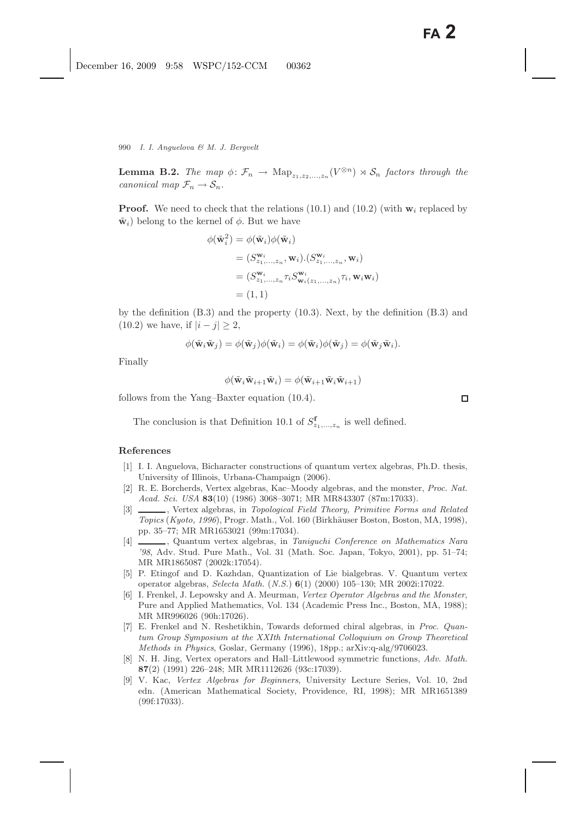**Lemma B.2.** *The map*  $\phi \colon \mathcal{F}_n \to \text{Map}_{z_1, z_2, ..., z_n}(V^{\otimes n}) \rtimes \mathcal{S}_n$  *factors through the canonical map*  $\mathcal{F}_n \to \mathcal{S}_n$ *.* 

**Proof.** We need to check that the relations  $(10.1)$  and  $(10.2)$  (with  $\mathbf{w}_i$  replaced by  $\tilde{\mathbf{w}}_i$ ) belong to the kernel of  $\phi$ . But we have

$$
\phi(\tilde{\mathbf{w}}_i^2) = \phi(\tilde{\mathbf{w}}_i)\phi(\tilde{\mathbf{w}}_i)
$$
  
\n
$$
= (S_{z_1,\ldots,z_n}^{\mathbf{w}_i}, \mathbf{w}_i) \cdot (S_{z_1,\ldots,z_n}^{\mathbf{w}_i}, \mathbf{w}_i)
$$
  
\n
$$
= (S_{z_1,\ldots,z_n}^{\mathbf{w}_i} \tau_i S_{\mathbf{w}_i(z_1,\ldots,z_n)}^{\mathbf{w}_i} \tau_i, \mathbf{w}_i \mathbf{w}_i)
$$
  
\n
$$
= (1, 1)
$$

by the definition (B.3) and the property (10.3). Next, by the definition (B.3) and (10.2) we have, if  $|i - j| > 2$ ,

$$
\phi(\tilde{\mathbf{w}}_i\tilde{\mathbf{w}}_j) = \phi(\tilde{\mathbf{w}}_j)\phi(\tilde{\mathbf{w}}_i) = \phi(\tilde{\mathbf{w}}_i)\phi(\tilde{\mathbf{w}}_j) = \phi(\tilde{\mathbf{w}}_j\tilde{\mathbf{w}}_i).
$$

Finally

$$
\phi(\tilde{\mathbf{w}}_i \tilde{\mathbf{w}}_{i+1} \tilde{\mathbf{w}}_i) = \phi(\tilde{\mathbf{w}}_{i+1} \tilde{\mathbf{w}}_i \tilde{\mathbf{w}}_{i+1})
$$

follows from the Yang–Baxter equation (10.4).

The conclusion is that Definition 10.1 of  $S^{\mathbf{f}}_{z_1,\ldots,z_n}$  is well defined.

### **References**

- [1] I. I. Anguelova, Bicharacter constructions of quantum vertex algebras, Ph.D. thesis, University of Illinois, Urbana-Champaign (2006).
- [2] R. E. Borcherds, Vertex algebras, Kac–Moody algebras, and the monster, *Proc. Nat. Acad. Sci. USA* **83**(10) (1986) 3068–3071; MR MR843307 (87m:17033).
- [3] , Vertex algebras, in *Topological Field Theory, Primitive Forms and Related Topics* (*Kyoto, 1996*), Progr. Math., Vol. 160 (Birkh¨auser Boston, Boston, MA, 1998), pp. 35–77; MR MR1653021 (99m:17034).
- [4] , Quantum vertex algebras, in *Taniguchi Conference on Mathematics Nara '98*, Adv. Stud. Pure Math., Vol. 31 (Math. Soc. Japan, Tokyo, 2001), pp. 51–74; MR MR1865087 (2002k:17054).
- [5] P. Etingof and D. Kazhdan, Quantization of Lie bialgebras. V. Quantum vertex operator algebras, *Selecta Math.* (*N.S.*) **6**(1) (2000) 105–130; MR 2002i:17022.
- [6] I. Frenkel, J. Lepowsky and A. Meurman, *Vertex Operator Algebras and the Monster*, Pure and Applied Mathematics, Vol. 134 (Academic Press Inc., Boston, MA, 1988); MR MR996026 (90h:17026).
- [7] E. Frenkel and N. Reshetikhin, Towards deformed chiral algebras, in *Proc. Quantum Group Symposium at the XXIth International Colloquium on Group Theoretical Methods in Physics*, Goslar, Germany (1996), 18pp.; arXiv:q-alg/9706023.
- [8] N. H. Jing, Vertex operators and Hall–Littlewood symmetric functions, *Adv. Math.* **87**(2) (1991) 226–248; MR MR1112626 (93c:17039).
- [9] V. Kac, *Vertex Algebras for Beginners*, University Lecture Series, Vol. 10, 2nd edn. (American Mathematical Society, Providence, RI, 1998); MR MR1651389 (99f:17033).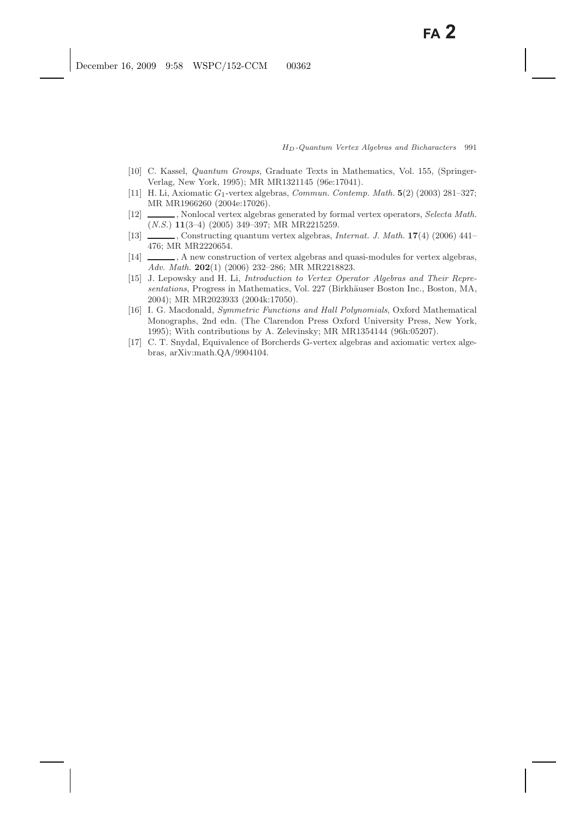- [10] C. Kassel, *Quantum Groups*, Graduate Texts in Mathematics, Vol. 155, (Springer-Verlag, New York, 1995); MR MR1321145 (96e:17041).
- [11] H. Li, Axiomatic *<sup>G</sup>*1-vertex algebras, *Commun. Contemp. Math.* **<sup>5</sup>**(2) (2003) 281–327; MR MR1966260 (2004e:17026).
- [12] , Nonlocal vertex algebras generated by formal vertex operators, *Selecta Math.* (*N.S.*) **11**(3–4) (2005) 349–397; MR MR2215259.
- [13] , Constructing quantum vertex algebras, *Internat. J. Math.* **17**(4) (2006) 441– 476; MR MR2220654.
- [14] , A new construction of vertex algebras and quasi-modules for vertex algebras, *Adv. Math.* **202**(1) (2006) 232–286; MR MR2218823.
- [15] J. Lepowsky and H. Li, *Introduction to Vertex Operator Algebras and Their Representations*, Progress in Mathematics, Vol. 227 (Birkhäuser Boston Inc., Boston, MA, 2004); MR MR2023933 (2004k:17050).
- [16] I. G. Macdonald, *Symmetric Functions and Hall Polynomials*, Oxford Mathematical Monographs, 2nd edn. (The Clarendon Press Oxford University Press, New York, 1995); With contributions by A. Zelevinsky; MR MR1354144 (96h:05207).
- [17] C. T. Snydal, Equivalence of Borcherds G-vertex algebras and axiomatic vertex algebras, arXiv:math.QA/9904104.